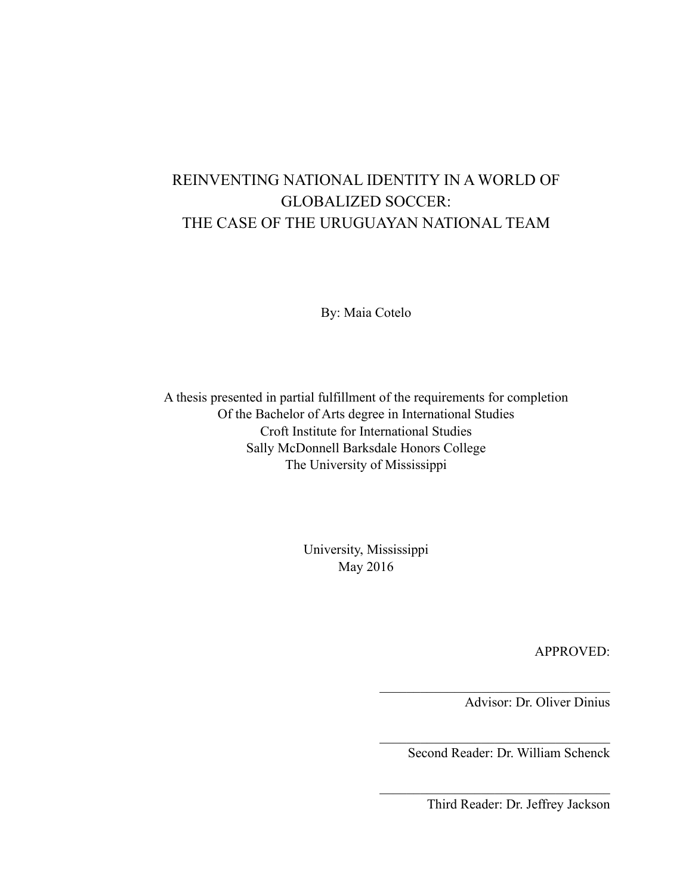# REINVENTING NATIONAL IDENTITY IN A WORLD OF GLOBALIZED SOCCER: THE CASE OF THE URUGUAYAN NATIONAL TEAM

By: Maia Cotelo

A thesis presented in partial fulfillment of the requirements for completion Of the Bachelor of Arts degree in International Studies Croft Institute for International Studies Sally McDonnell Barksdale Honors College The University of Mississippi

> University, Mississippi May 2016

> > APPROVED:

Advisor: Dr. Oliver Dinius

Second Reader: Dr. William Schenck

 $\mathcal{L}_\text{max}$  , where  $\mathcal{L}_\text{max}$  and  $\mathcal{L}_\text{max}$  and  $\mathcal{L}_\text{max}$ 

 $\mathcal{L}_\text{max}$  , where  $\mathcal{L}_\text{max}$  and  $\mathcal{L}_\text{max}$  and  $\mathcal{L}_\text{max}$ 

 $\mathcal{L}_\text{max}$  , where  $\mathcal{L}_\text{max}$  and  $\mathcal{L}_\text{max}$  and  $\mathcal{L}_\text{max}$ 

Third Reader: Dr. Jeffrey Jackson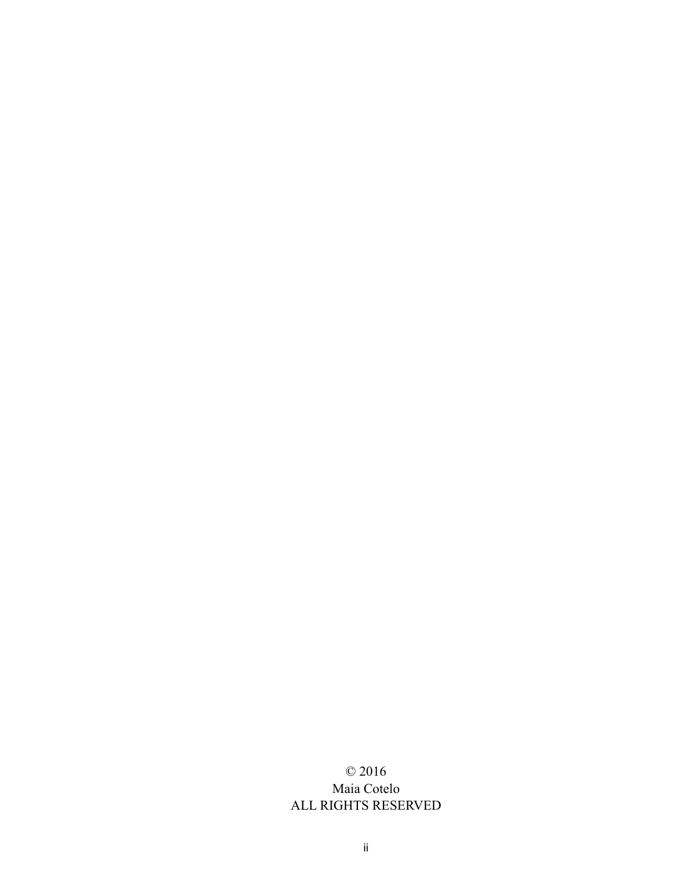## © 2016 Maia Cotelo ALL RIGHTS RESERVED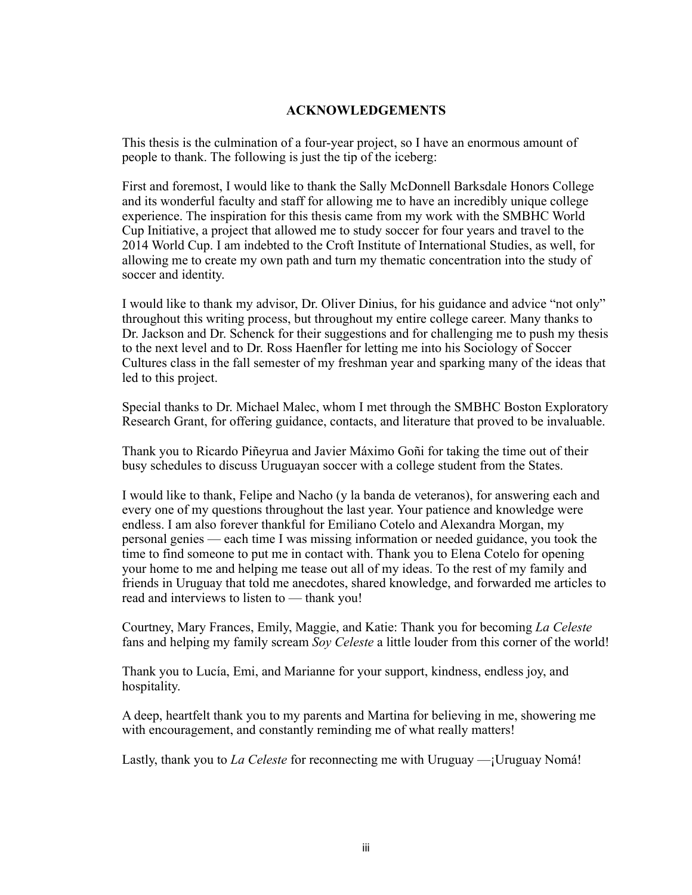#### **ACKNOWLEDGEMENTS**

This thesis is the culmination of a four-year project, so I have an enormous amount of people to thank. The following is just the tip of the iceberg:

First and foremost, I would like to thank the Sally McDonnell Barksdale Honors College and its wonderful faculty and staff for allowing me to have an incredibly unique college experience. The inspiration for this thesis came from my work with the SMBHC World Cup Initiative, a project that allowed me to study soccer for four years and travel to the 2014 World Cup. I am indebted to the Croft Institute of International Studies, as well, for allowing me to create my own path and turn my thematic concentration into the study of soccer and identity.

I would like to thank my advisor, Dr. Oliver Dinius, for his guidance and advice "not only" throughout this writing process, but throughout my entire college career. Many thanks to Dr. Jackson and Dr. Schenck for their suggestions and for challenging me to push my thesis to the next level and to Dr. Ross Haenfler for letting me into his Sociology of Soccer Cultures class in the fall semester of my freshman year and sparking many of the ideas that led to this project.

Special thanks to Dr. Michael Malec, whom I met through the SMBHC Boston Exploratory Research Grant, for offering guidance, contacts, and literature that proved to be invaluable.

Thank you to Ricardo Piñeyrua and Javier Máximo Goñi for taking the time out of their busy schedules to discuss Uruguayan soccer with a college student from the States.

I would like to thank, Felipe and Nacho (y la banda de veteranos), for answering each and every one of my questions throughout the last year. Your patience and knowledge were endless. I am also forever thankful for Emiliano Cotelo and Alexandra Morgan, my personal genies — each time I was missing information or needed guidance, you took the time to find someone to put me in contact with. Thank you to Elena Cotelo for opening your home to me and helping me tease out all of my ideas. To the rest of my family and friends in Uruguay that told me anecdotes, shared knowledge, and forwarded me articles to read and interviews to listen to — thank you!

Courtney, Mary Frances, Emily, Maggie, and Katie: Thank you for becoming *La Celeste*  fans and helping my family scream *Soy Celeste* a little louder from this corner of the world!

Thank you to Lucía, Emi, and Marianne for your support, kindness, endless joy, and hospitality.

A deep, heartfelt thank you to my parents and Martina for believing in me, showering me with encouragement, and constantly reminding me of what really matters!

Lastly, thank you to *La Celeste* for reconnecting me with Uruguay —¡Uruguay Nomá!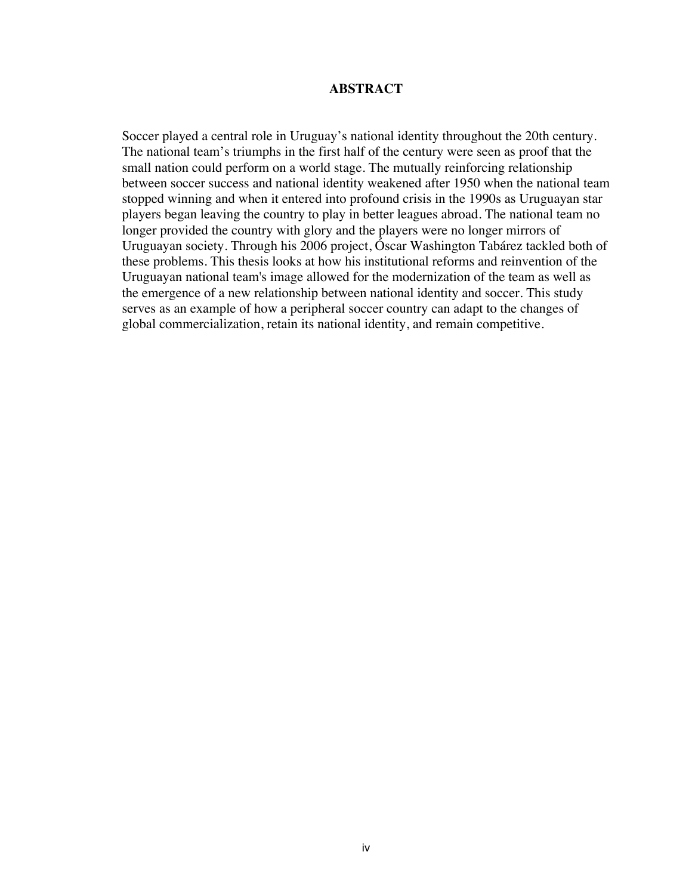#### **ABSTRACT**

Soccer played a central role in Uruguay's national identity throughout the 20th century. The national team's triumphs in the first half of the century were seen as proof that the small nation could perform on a world stage. The mutually reinforcing relationship between soccer success and national identity weakened after 1950 when the national team stopped winning and when it entered into profound crisis in the 1990s as Uruguayan star players began leaving the country to play in better leagues abroad. The national team no longer provided the country with glory and the players were no longer mirrors of Uruguayan society. Through his 2006 project, Óscar Washington Tabárez tackled both of these problems. This thesis looks at how his institutional reforms and reinvention of the Uruguayan national team's image allowed for the modernization of the team as well as the emergence of a new relationship between national identity and soccer. This study serves as an example of how a peripheral soccer country can adapt to the changes of global commercialization, retain its national identity, and remain competitive.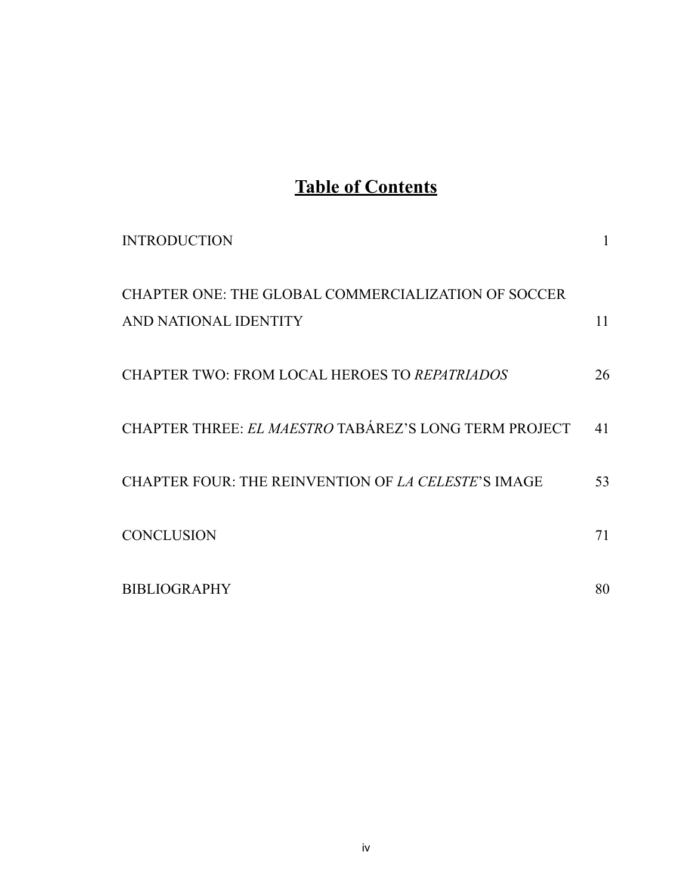# **Table of Contents**

| <b>INTRODUCTION</b>                                                          |    |
|------------------------------------------------------------------------------|----|
| CHAPTER ONE: THE GLOBAL COMMERCIALIZATION OF SOCCER<br>AND NATIONAL IDENTITY | 11 |
| <b>CHAPTER TWO: FROM LOCAL HEROES TO REPATRIADOS</b>                         | 26 |
| CHAPTER THREE: EL MAESTRO TABÁREZ'S LONG TERM PROJECT                        | 41 |
| CHAPTER FOUR: THE REINVENTION OF <i>LA CELESTE'S</i> IMAGE                   | 53 |
| <b>CONCLUSION</b>                                                            | 71 |
| <b>BIBLIOGRAPHY</b>                                                          | 80 |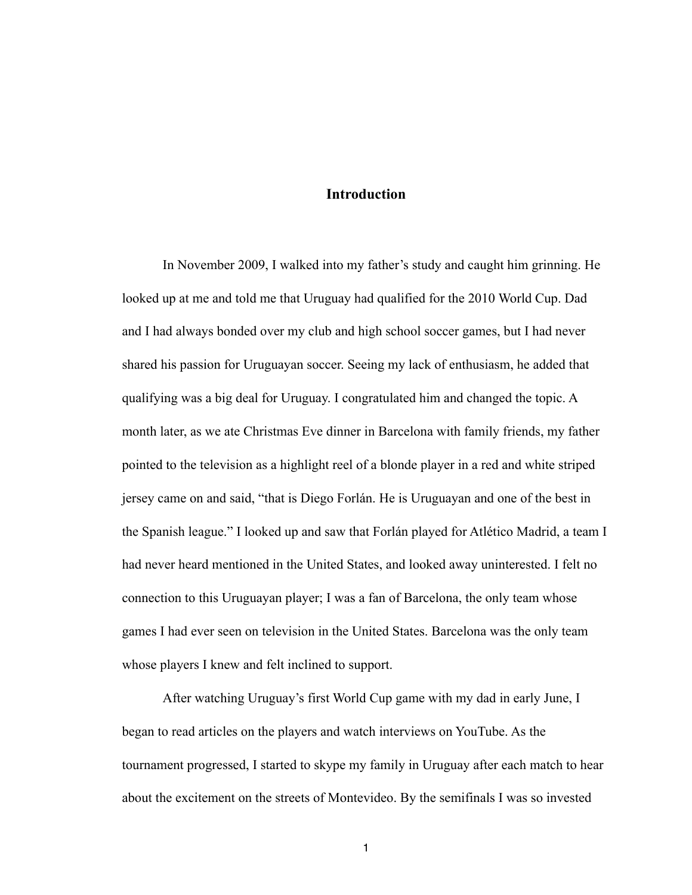### **Introduction**

 In November 2009, I walked into my father's study and caught him grinning. He looked up at me and told me that Uruguay had qualified for the 2010 World Cup. Dad and I had always bonded over my club and high school soccer games, but I had never shared his passion for Uruguayan soccer. Seeing my lack of enthusiasm, he added that qualifying was a big deal for Uruguay. I congratulated him and changed the topic. A month later, as we ate Christmas Eve dinner in Barcelona with family friends, my father pointed to the television as a highlight reel of a blonde player in a red and white striped jersey came on and said, "that is Diego Forlán. He is Uruguayan and one of the best in the Spanish league." I looked up and saw that Forlán played for Atlético Madrid, a team I had never heard mentioned in the United States, and looked away uninterested. I felt no connection to this Uruguayan player; I was a fan of Barcelona, the only team whose games I had ever seen on television in the United States. Barcelona was the only team whose players I knew and felt inclined to support.

 After watching Uruguay's first World Cup game with my dad in early June, I began to read articles on the players and watch interviews on YouTube. As the tournament progressed, I started to skype my family in Uruguay after each match to hear about the excitement on the streets of Montevideo. By the semifinals I was so invested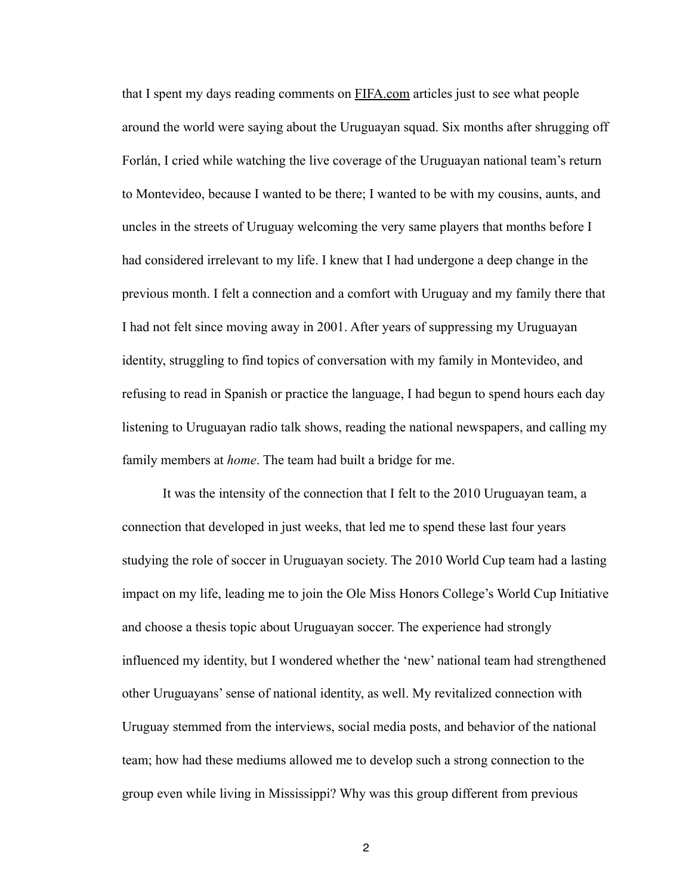that I spent my days reading comments on [FIFA.com](http://fifa.com) articles just to see what people around the world were saying about the Uruguayan squad. Six months after shrugging off Forlán, I cried while watching the live coverage of the Uruguayan national team's return to Montevideo, because I wanted to be there; I wanted to be with my cousins, aunts, and uncles in the streets of Uruguay welcoming the very same players that months before I had considered irrelevant to my life. I knew that I had undergone a deep change in the previous month. I felt a connection and a comfort with Uruguay and my family there that I had not felt since moving away in 2001. After years of suppressing my Uruguayan identity, struggling to find topics of conversation with my family in Montevideo, and refusing to read in Spanish or practice the language, I had begun to spend hours each day listening to Uruguayan radio talk shows, reading the national newspapers, and calling my family members at *home*. The team had built a bridge for me.

 It was the intensity of the connection that I felt to the 2010 Uruguayan team, a connection that developed in just weeks, that led me to spend these last four years studying the role of soccer in Uruguayan society. The 2010 World Cup team had a lasting impact on my life, leading me to join the Ole Miss Honors College's World Cup Initiative and choose a thesis topic about Uruguayan soccer. The experience had strongly influenced my identity, but I wondered whether the 'new' national team had strengthened other Uruguayans' sense of national identity, as well. My revitalized connection with Uruguay stemmed from the interviews, social media posts, and behavior of the national team; how had these mediums allowed me to develop such a strong connection to the group even while living in Mississippi? Why was this group different from previous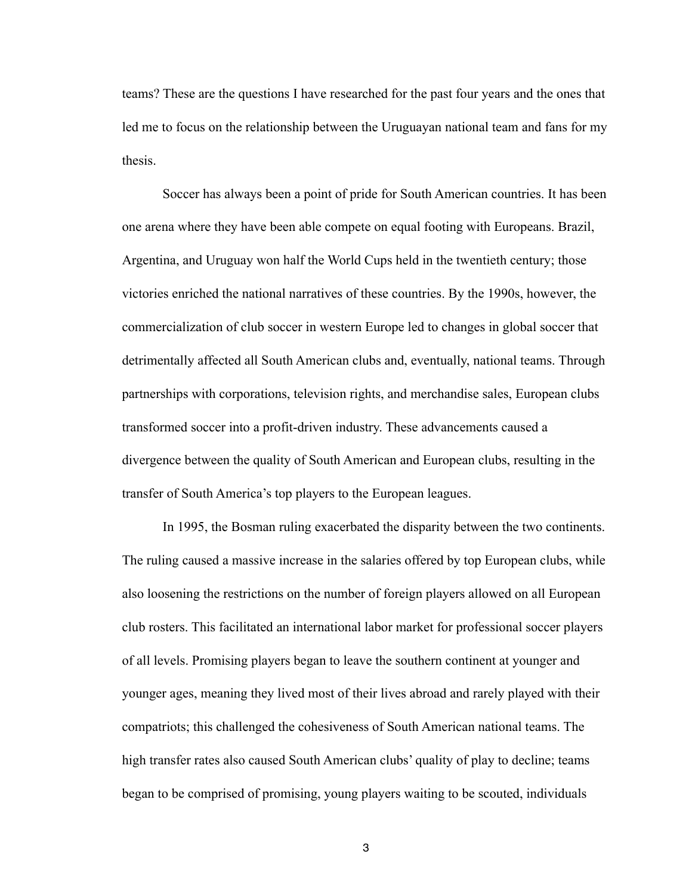teams? These are the questions I have researched for the past four years and the ones that led me to focus on the relationship between the Uruguayan national team and fans for my thesis.

 Soccer has always been a point of pride for South American countries. It has been one arena where they have been able compete on equal footing with Europeans. Brazil, Argentina, and Uruguay won half the World Cups held in the twentieth century; those victories enriched the national narratives of these countries. By the 1990s, however, the commercialization of club soccer in western Europe led to changes in global soccer that detrimentally affected all South American clubs and, eventually, national teams. Through partnerships with corporations, television rights, and merchandise sales, European clubs transformed soccer into a profit-driven industry. These advancements caused a divergence between the quality of South American and European clubs, resulting in the transfer of South America's top players to the European leagues.

 In 1995, the Bosman ruling exacerbated the disparity between the two continents. The ruling caused a massive increase in the salaries offered by top European clubs, while also loosening the restrictions on the number of foreign players allowed on all European club rosters. This facilitated an international labor market for professional soccer players of all levels. Promising players began to leave the southern continent at younger and younger ages, meaning they lived most of their lives abroad and rarely played with their compatriots; this challenged the cohesiveness of South American national teams. The high transfer rates also caused South American clubs' quality of play to decline; teams began to be comprised of promising, young players waiting to be scouted, individuals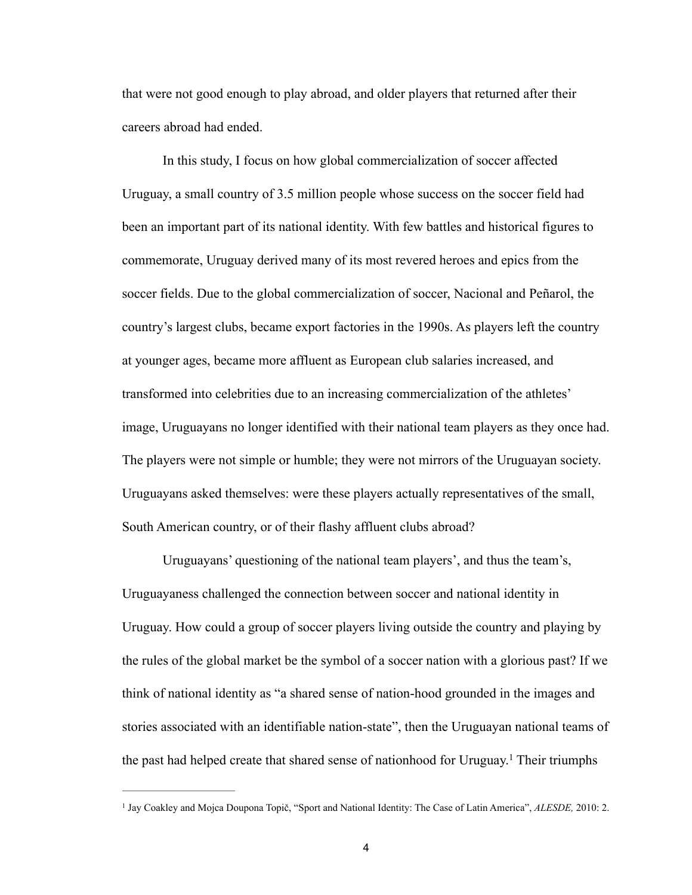that were not good enough to play abroad, and older players that returned after their careers abroad had ended.

 In this study, I focus on how global commercialization of soccer affected Uruguay, a small country of 3.5 million people whose success on the soccer field had been an important part of its national identity. With few battles and historical figures to commemorate, Uruguay derived many of its most revered heroes and epics from the soccer fields. Due to the global commercialization of soccer, Nacional and Peñarol, the country's largest clubs, became export factories in the 1990s. As players left the country at younger ages, became more affluent as European club salaries increased, and transformed into celebrities due to an increasing commercialization of the athletes' image, Uruguayans no longer identified with their national team players as they once had. The players were not simple or humble; they were not mirrors of the Uruguayan society. Uruguayans asked themselves: were these players actually representatives of the small, South American country, or of their flashy affluent clubs abroad?

 Uruguayans' questioning of the national team players', and thus the team's, Uruguayaness challenged the connection between soccer and national identity in Uruguay. How could a group of soccer players living outside the country and playing by the rules of the global market be the symbol of a soccer nation with a glorious past? If we think of national identity as "a shared sense of nation-hood grounded in the images and stories associated with an identifiable nation-state", then the Uruguayan national teams of the past had helped create that shared sense of nationhood for Uruguay.<sup>1</sup> Their triumphs

<sup>&</sup>lt;sup>1</sup> Jay Coakley and Mojca Doupona Topič, "Sport and National Identity: The Case of Latin America", *ALESDE*, 2010: 2.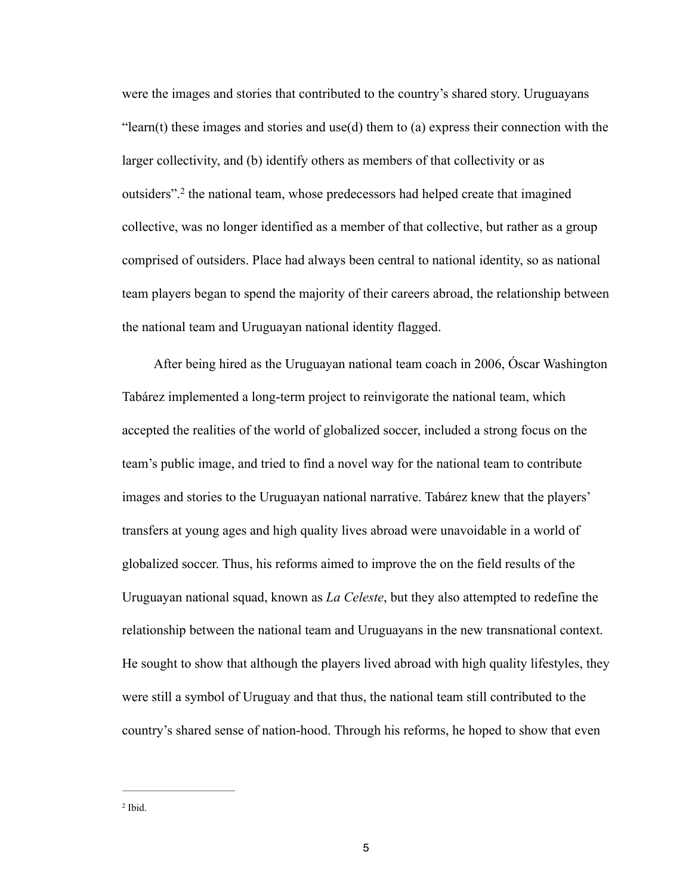were the images and stories that contributed to the country's shared story. Uruguayans "learn(t) these images and stories and use(d) them to (a) express their connection with the larger collectivity, and (b) identify others as members of that collectivity or as outsiders".<sup>2</sup> the national team, whose predecessors had helped create that imagined collective, was no longer identified as a member of that collective, but rather as a group comprised of outsiders. Place had always been central to national identity, so as national team players began to spend the majority of their careers abroad, the relationship between the national team and Uruguayan national identity flagged.

 After being hired as the Uruguayan national team coach in 2006, Óscar Washington Tabárez implemented a long-term project to reinvigorate the national team, which accepted the realities of the world of globalized soccer, included a strong focus on the team's public image, and tried to find a novel way for the national team to contribute images and stories to the Uruguayan national narrative. Tabárez knew that the players' transfers at young ages and high quality lives abroad were unavoidable in a world of globalized soccer. Thus, his reforms aimed to improve the on the field results of the Uruguayan national squad, known as *La Celeste*, but they also attempted to redefine the relationship between the national team and Uruguayans in the new transnational context. He sought to show that although the players lived abroad with high quality lifestyles, they were still a symbol of Uruguay and that thus, the national team still contributed to the country's shared sense of nation-hood. Through his reforms, he hoped to show that even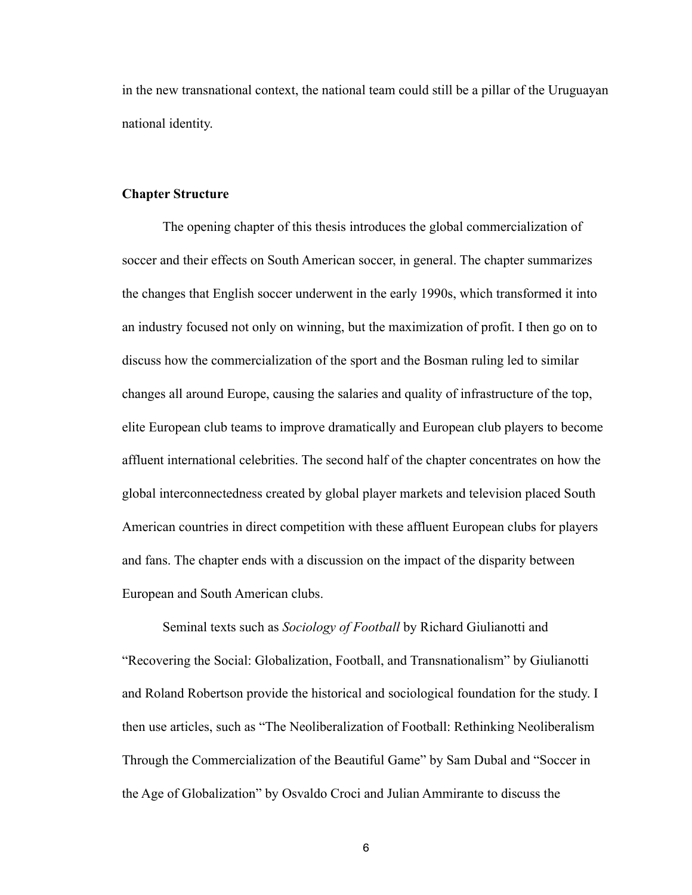in the new transnational context, the national team could still be a pillar of the Uruguayan national identity.

#### **Chapter Structure**

 The opening chapter of this thesis introduces the global commercialization of soccer and their effects on South American soccer, in general. The chapter summarizes the changes that English soccer underwent in the early 1990s, which transformed it into an industry focused not only on winning, but the maximization of profit. I then go on to discuss how the commercialization of the sport and the Bosman ruling led to similar changes all around Europe, causing the salaries and quality of infrastructure of the top, elite European club teams to improve dramatically and European club players to become affluent international celebrities. The second half of the chapter concentrates on how the global interconnectedness created by global player markets and television placed South American countries in direct competition with these affluent European clubs for players and fans. The chapter ends with a discussion on the impact of the disparity between European and South American clubs.

 Seminal texts such as *Sociology of Football* by Richard Giulianotti and "Recovering the Social: Globalization, Football, and Transnationalism" by Giulianotti and Roland Robertson provide the historical and sociological foundation for the study. I then use articles, such as "The Neoliberalization of Football: Rethinking Neoliberalism Through the Commercialization of the Beautiful Game" by Sam Dubal and "Soccer in the Age of Globalization" by Osvaldo Croci and Julian Ammirante to discuss the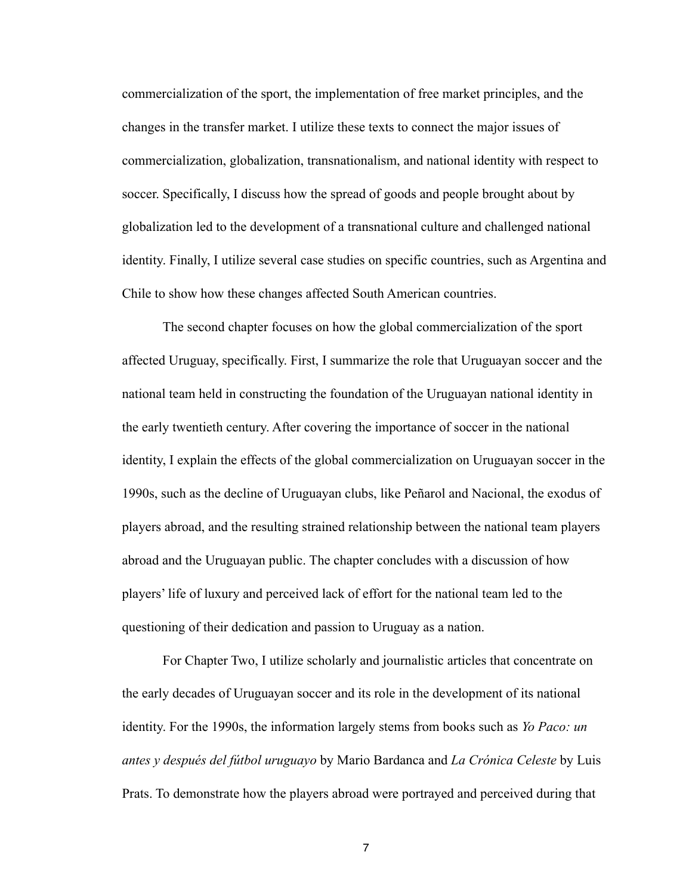commercialization of the sport, the implementation of free market principles, and the changes in the transfer market. I utilize these texts to connect the major issues of commercialization, globalization, transnationalism, and national identity with respect to soccer. Specifically, I discuss how the spread of goods and people brought about by globalization led to the development of a transnational culture and challenged national identity. Finally, I utilize several case studies on specific countries, such as Argentina and Chile to show how these changes affected South American countries.

 The second chapter focuses on how the global commercialization of the sport affected Uruguay, specifically. First, I summarize the role that Uruguayan soccer and the national team held in constructing the foundation of the Uruguayan national identity in the early twentieth century. After covering the importance of soccer in the national identity, I explain the effects of the global commercialization on Uruguayan soccer in the 1990s, such as the decline of Uruguayan clubs, like Peñarol and Nacional, the exodus of players abroad, and the resulting strained relationship between the national team players abroad and the Uruguayan public. The chapter concludes with a discussion of how players' life of luxury and perceived lack of effort for the national team led to the questioning of their dedication and passion to Uruguay as a nation.

 For Chapter Two, I utilize scholarly and journalistic articles that concentrate on the early decades of Uruguayan soccer and its role in the development of its national identity. For the 1990s, the information largely stems from books such as *Yo Paco: un antes y después del fútbol uruguayo* by Mario Bardanca and *La Crónica Celeste* by Luis Prats. To demonstrate how the players abroad were portrayed and perceived during that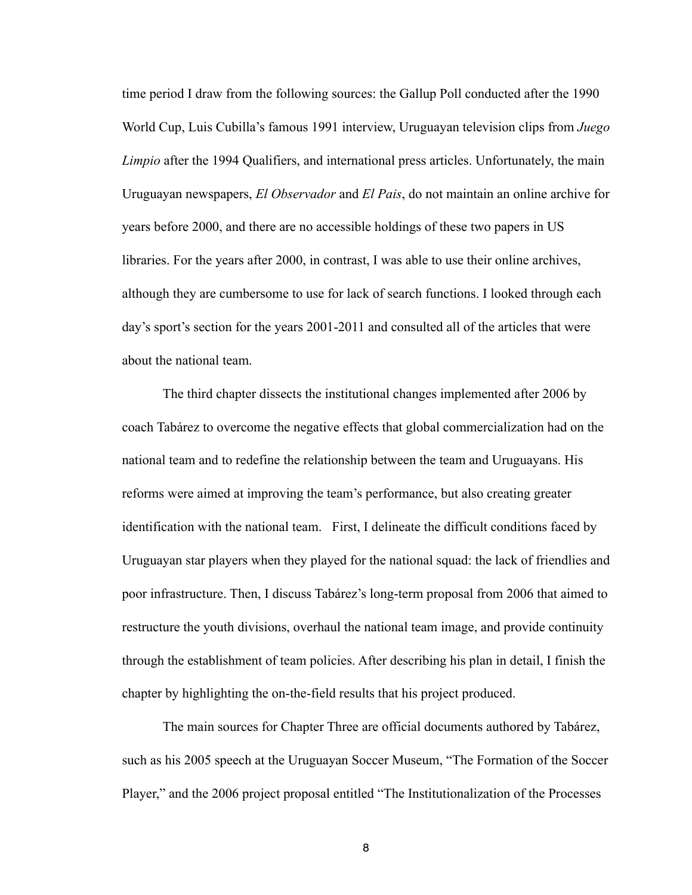time period I draw from the following sources: the Gallup Poll conducted after the 1990 World Cup, Luis Cubilla's famous 1991 interview, Uruguayan television clips from *Juego Limpio* after the 1994 Qualifiers, and international press articles. Unfortunately, the main Uruguayan newspapers, *El Observador* and *El Pais*, do not maintain an online archive for years before 2000, and there are no accessible holdings of these two papers in US libraries. For the years after 2000, in contrast, I was able to use their online archives, although they are cumbersome to use for lack of search functions. I looked through each day's sport's section for the years 2001-2011 and consulted all of the articles that were about the national team.

 The third chapter dissects the institutional changes implemented after 2006 by coach Tabárez to overcome the negative effects that global commercialization had on the national team and to redefine the relationship between the team and Uruguayans. His reforms were aimed at improving the team's performance, but also creating greater identification with the national team. First, I delineate the difficult conditions faced by Uruguayan star players when they played for the national squad: the lack of friendlies and poor infrastructure. Then, I discuss Tabárez's long-term proposal from 2006 that aimed to restructure the youth divisions, overhaul the national team image, and provide continuity through the establishment of team policies. After describing his plan in detail, I finish the chapter by highlighting the on-the-field results that his project produced.

 The main sources for Chapter Three are official documents authored by Tabárez, such as his 2005 speech at the Uruguayan Soccer Museum, "The Formation of the Soccer Player," and the 2006 project proposal entitled "The Institutionalization of the Processes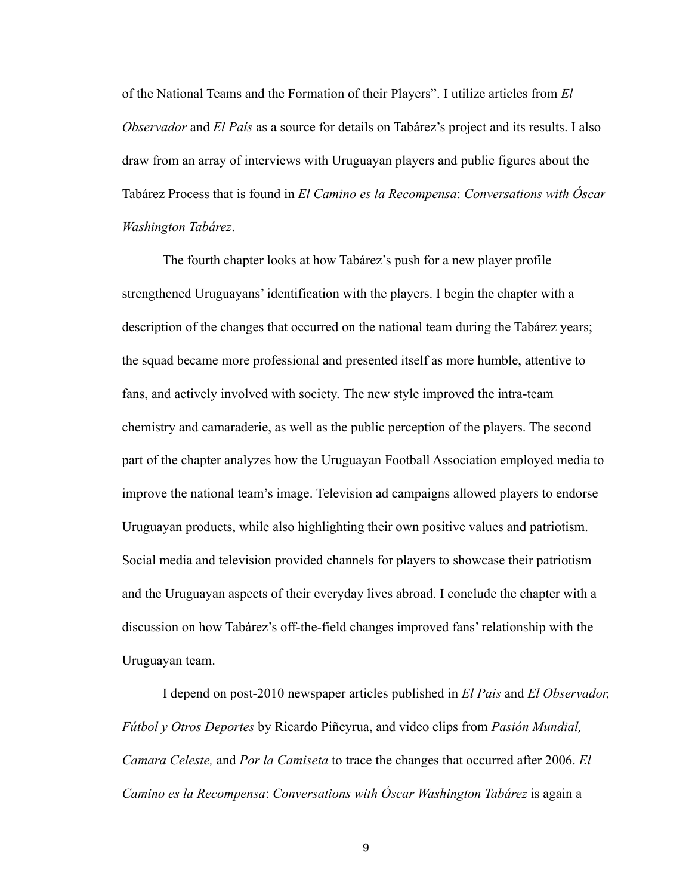of the National Teams and the Formation of their Players". I utilize articles from *El Observador* and *El País* as a source for details on Tabárez's project and its results. I also draw from an array of interviews with Uruguayan players and public figures about the Tabárez Process that is found in *El Camino es la Recompensa*: *Conversations with Óscar Washington Tabárez*.

 The fourth chapter looks at how Tabárez's push for a new player profile strengthened Uruguayans' identification with the players. I begin the chapter with a description of the changes that occurred on the national team during the Tabárez years; the squad became more professional and presented itself as more humble, attentive to fans, and actively involved with society. The new style improved the intra-team chemistry and camaraderie, as well as the public perception of the players. The second part of the chapter analyzes how the Uruguayan Football Association employed media to improve the national team's image. Television ad campaigns allowed players to endorse Uruguayan products, while also highlighting their own positive values and patriotism. Social media and television provided channels for players to showcase their patriotism and the Uruguayan aspects of their everyday lives abroad. I conclude the chapter with a discussion on how Tabárez's off-the-field changes improved fans' relationship with the Uruguayan team.

 I depend on post-2010 newspaper articles published in *El Pais* and *El Observador, Fútbol y Otros Deportes* by Ricardo Piñeyrua, and video clips from *Pasión Mundial, Camara Celeste,* and *Por la Camiseta* to trace the changes that occurred after 2006. *El Camino es la Recompensa*: *Conversations with Óscar Washington Tabárez* is again a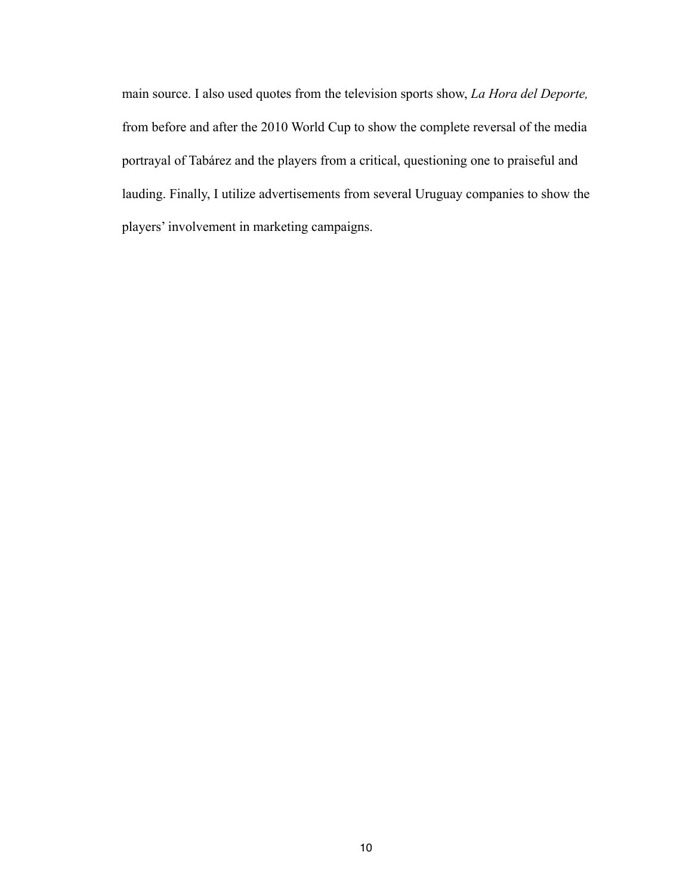main source. I also used quotes from the television sports show, *La Hora del Deporte,*  from before and after the 2010 World Cup to show the complete reversal of the media portrayal of Tabárez and the players from a critical, questioning one to praiseful and lauding. Finally, I utilize advertisements from several Uruguay companies to show the players' involvement in marketing campaigns.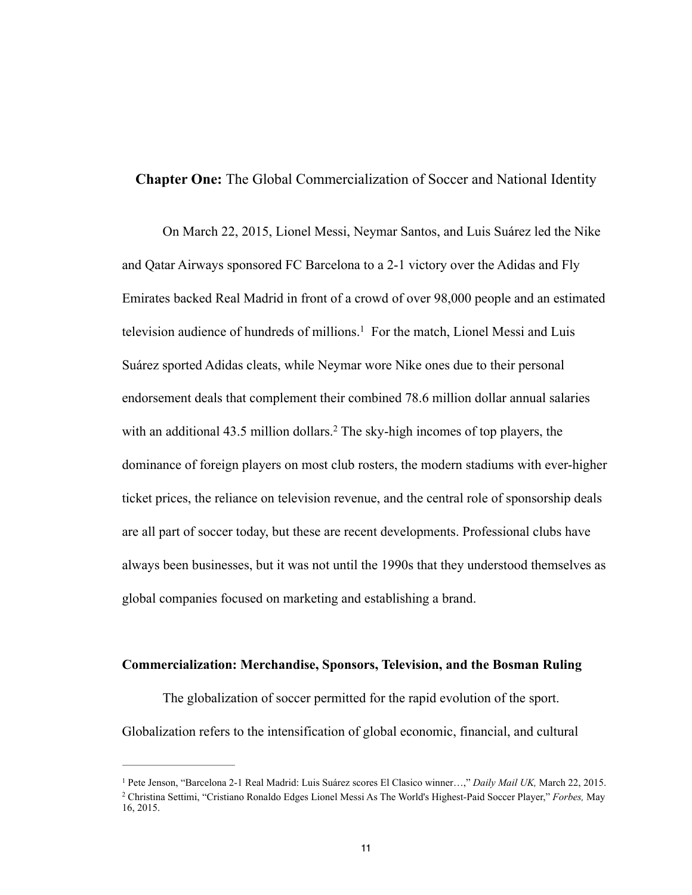#### **Chapter One:** The Global Commercialization of Soccer and National Identity

On March 22, 2015, Lionel Messi, Neymar Santos, and Luis Suárez led the Nike and Qatar Airways sponsored FC Barcelona to a 2-1 victory over the Adidas and Fly Emirates backed Real Madrid in front of a crowd of over 98,000 people and an estimated television audience of hundreds of millions.<sup>1</sup> For the match, Lionel Messi and Luis Suárez sported Adidas cleats, while Neymar wore Nike ones due to their personal endorsement deals that complement their combined 78.6 million dollar annual salaries with an additional  $43.5$  million dollars.<sup>2</sup> The sky-high incomes of top players, the dominance of foreign players on most club rosters, the modern stadiums with ever-higher ticket prices, the reliance on television revenue, and the central role of sponsorship deals are all part of soccer today, but these are recent developments. Professional clubs have always been businesses, but it was not until the 1990s that they understood themselves as global companies focused on marketing and establishing a brand.

#### **Commercialization: Merchandise, Sponsors, Television, and the Bosman Ruling**

 The globalization of soccer permitted for the rapid evolution of the sport. Globalization refers to the intensification of global economic, financial, and cultural

<sup>&</sup>lt;sup>1</sup> Pete Jenson, "Barcelona 2-1 Real Madrid: Luis Suárez scores El Clasico winner...," *Daily Mail UK*, March 22, 2015. Christina Settimi, "Cristiano Ronaldo Edges Lionel Messi As The World's Highest-Paid Soccer Player," *Forbes,* May 2 16, 2015.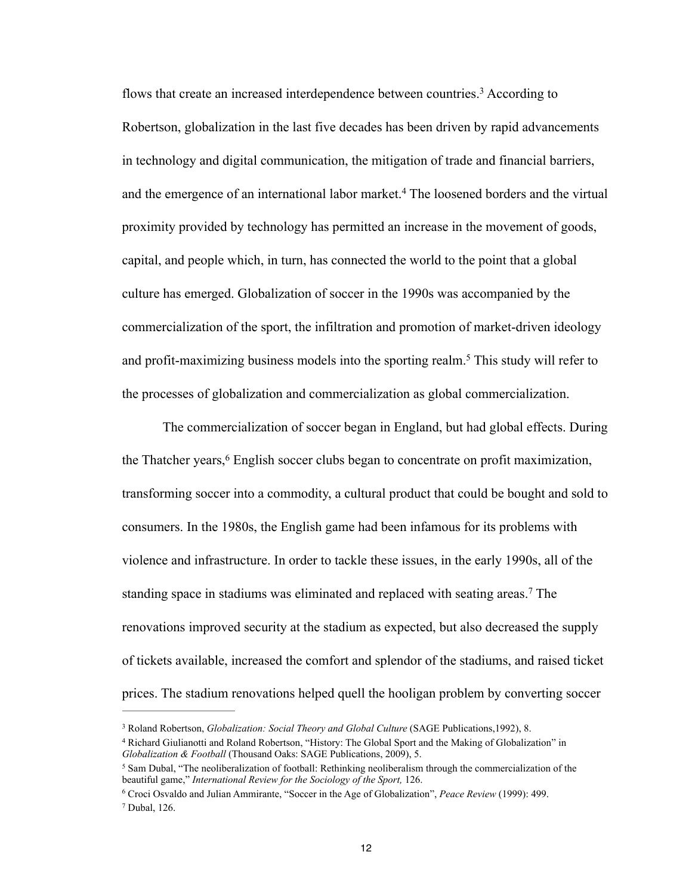flows that create an increased interdependence between countries.<sup>3</sup> According to Robertson, globalization in the last five decades has been driven by rapid advancements in technology and digital communication, the mitigation of trade and financial barriers, and the emergence of an international labor market.<sup>4</sup> The loosened borders and the virtual proximity provided by technology has permitted an increase in the movement of goods, capital, and people which, in turn, has connected the world to the point that a global culture has emerged. Globalization of soccer in the 1990s was accompanied by the commercialization of the sport, the infiltration and promotion of market-driven ideology and profit-maximizing business models into the sporting realm.<sup>5</sup> This study will refer to the processes of globalization and commercialization as global commercialization.

 The commercialization of soccer began in England, but had global effects. During the Thatcher years,<sup>6</sup> English soccer clubs began to concentrate on profit maximization, transforming soccer into a commodity, a cultural product that could be bought and sold to consumers. In the 1980s, the English game had been infamous for its problems with violence and infrastructure. In order to tackle these issues, in the early 1990s, all of the standing space in stadiums was eliminated and replaced with seating areas.<sup>7</sup> The renovations improved security at the stadium as expected, but also decreased the supply of tickets available, increased the comfort and splendor of the stadiums, and raised ticket prices. The stadium renovations helped quell the hooligan problem by converting soccer

<sup>&</sup>lt;sup>3</sup> Roland Robertson, *Globalization: Social Theory and Global Culture* (SAGE Publications, 1992), 8.

<sup>&</sup>lt;sup>4</sup> Richard Giulianotti and Roland Robertson, "History: The Global Sport and the Making of Globalization" in *Globalization & Football* (Thousand Oaks: SAGE Publications, 2009), 5.

<sup>&</sup>lt;sup>5</sup> Sam Dubal. "The neoliberalization of football: Rethinking neoliberalism through the commercialization of the beautiful game," *International Review for the Sociology of the Sport,* 126.

Croci Osvaldo and Julian Ammirante, "Soccer in the Age of Globalization", *Peace Review* (1999): 499. 6 <sup>7</sup> Dubal, 126.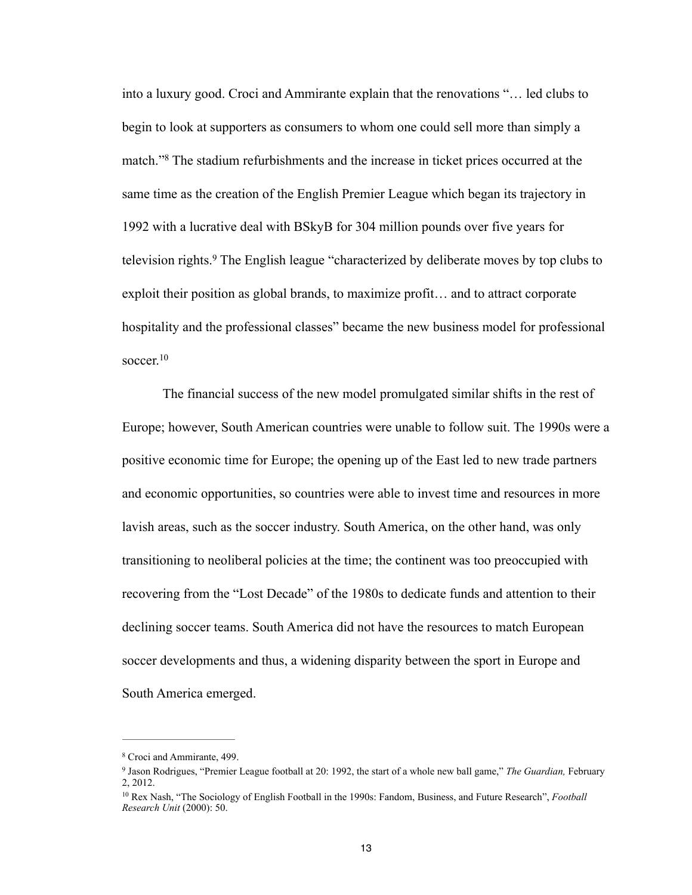into a luxury good. Croci and Ammirante explain that the renovations "… led clubs to begin to look at supporters as consumers to whom one could sell more than simply a match."<sup>8</sup> The stadium refurbishments and the increase in ticket prices occurred at the same time as the creation of the English Premier League which began its trajectory in 1992 with a lucrative deal with BSkyB for 304 million pounds over five years for television rights.<sup>9</sup> The English league "characterized by deliberate moves by top clubs to exploit their position as global brands, to maximize profit… and to attract corporate hospitality and the professional classes" became the new business model for professional soccer. $10$ 

 The financial success of the new model promulgated similar shifts in the rest of Europe; however, South American countries were unable to follow suit. The 1990s were a positive economic time for Europe; the opening up of the East led to new trade partners and economic opportunities, so countries were able to invest time and resources in more lavish areas, such as the soccer industry. South America, on the other hand, was only transitioning to neoliberal policies at the time; the continent was too preoccupied with recovering from the "Lost Decade" of the 1980s to dedicate funds and attention to their declining soccer teams. South America did not have the resources to match European soccer developments and thus, a widening disparity between the sport in Europe and South America emerged.

<sup>&</sup>lt;sup>8</sup> Croci and Ammirante, 499.

<sup>&</sup>lt;sup>9</sup> Jason Rodrigues, "Premier League football at 20: 1992, the start of a whole new ball game," *The Guardian*, February 2, 2012.

<sup>&</sup>lt;sup>10</sup> Rex Nash, "The Sociology of English Football in the 1990s: Fandom, Business, and Future Research", *Football Research Unit* (2000): 50.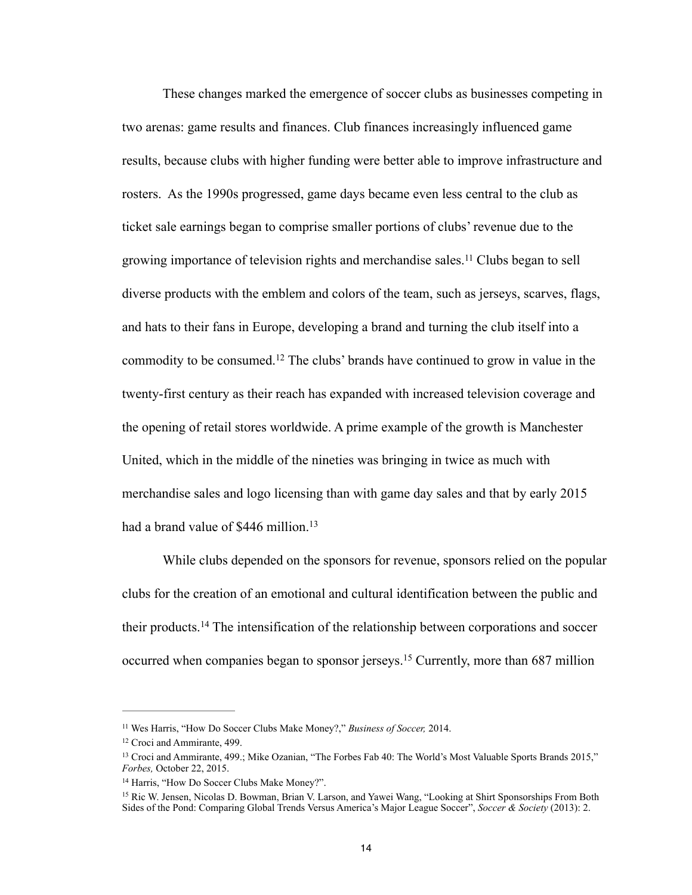These changes marked the emergence of soccer clubs as businesses competing in two arenas: game results and finances. Club finances increasingly influenced game results, because clubs with higher funding were better able to improve infrastructure and rosters. As the 1990s progressed, game days became even less central to the club as ticket sale earnings began to comprise smaller portions of clubs' revenue due to the growing importance of television rights and merchandise sales.<sup>11</sup> Clubs began to sell diverse products with the emblem and colors of the team, such as jerseys, scarves, flags, and hats to their fans in Europe, developing a brand and turning the club itself into a commodity to be consumed.<sup>12</sup> The clubs' brands have continued to grow in value in the twenty-first century as their reach has expanded with increased television coverage and the opening of retail stores worldwide. A prime example of the growth is Manchester United, which in the middle of the nineties was bringing in twice as much with merchandise sales and logo licensing than with game day sales and that by early 2015 had a brand value of \$446 million.<sup>13</sup>

 While clubs depended on the sponsors for revenue, sponsors relied on the popular clubs for the creation of an emotional and cultural identification between the public and their products.<sup>14</sup> The intensification of the relationship between corporations and soccer occurred when companies began to sponsor jerseys.<sup>15</sup> Currently, more than 687 million

<sup>&</sup>lt;sup>11</sup> Wes Harris, "How Do Soccer Clubs Make Money?," *Business of Soccer*, 2014.

 $12$  Croci and Ammirante, 499.

<sup>&</sup>lt;sup>13</sup> Croci and Ammirante, 499.; Mike Ozanian, "The Forbes Fab 40: The World's Most Valuable Sports Brands 2015," *Forbes,* October 22, 2015.

<sup>&</sup>lt;sup>14</sup> Harris, "How Do Soccer Clubs Make Money?".

<sup>&</sup>lt;sup>15</sup> Ric W. Jensen, Nicolas D. Bowman, Brian V. Larson, and Yawei Wang, "Looking at Shirt Sponsorships From Both Sides of the Pond: Comparing Global Trends Versus America's Major League Soccer", *Soccer & Society* (2013): 2.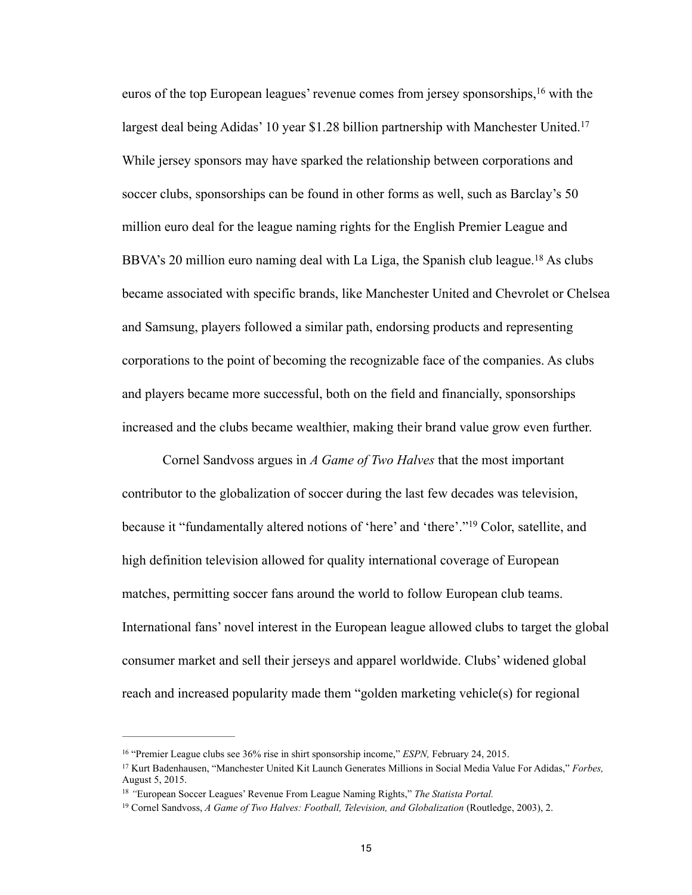euros of the top European leagues' revenue comes from jersey sponsorships,  $16$  with the largest deal being Adidas' 10 year \$1.28 billion partnership with Manchester United.<sup>17</sup> While jersey sponsors may have sparked the relationship between corporations and soccer clubs, sponsorships can be found in other forms as well, such as Barclay's 50 million euro deal for the league naming rights for the English Premier League and BBVA's 20 million euro naming deal with La Liga, the Spanish club league.<sup>18</sup> As clubs became associated with specific brands, like Manchester United and Chevrolet or Chelsea and Samsung, players followed a similar path, endorsing products and representing corporations to the point of becoming the recognizable face of the companies. As clubs and players became more successful, both on the field and financially, sponsorships increased and the clubs became wealthier, making their brand value grow even further.

 Cornel Sandvoss argues in *A Game of Two Halves* that the most important contributor to the globalization of soccer during the last few decades was television, because it "fundamentally altered notions of 'here' and 'there'."<sup>19</sup> Color, satellite, and high definition television allowed for quality international coverage of European matches, permitting soccer fans around the world to follow European club teams. International fans' novel interest in the European league allowed clubs to target the global consumer market and sell their jerseys and apparel worldwide. Clubs' widened global reach and increased popularity made them "golden marketing vehicle(s) for regional

<sup>&</sup>lt;sup>16</sup> "Premier League clubs see 36% rise in shirt sponsorship income," *ESPN*, February 24, 2015.

<sup>&</sup>lt;sup>17</sup> Kurt Badenhausen, "Manchester United Kit Launch Generates Millions in Social Media Value For Adidas," *Forbes*, August 5, 2015.

<sup>&</sup>lt;sup>18</sup> "European Soccer Leagues' Revenue From League Naming Rights," *The Statista Portal.* 

<sup>&</sup>lt;sup>19</sup> Cornel Sandvoss, *A Game of Two Halves: Football, Television, and Globalization* (Routledge, 2003), 2.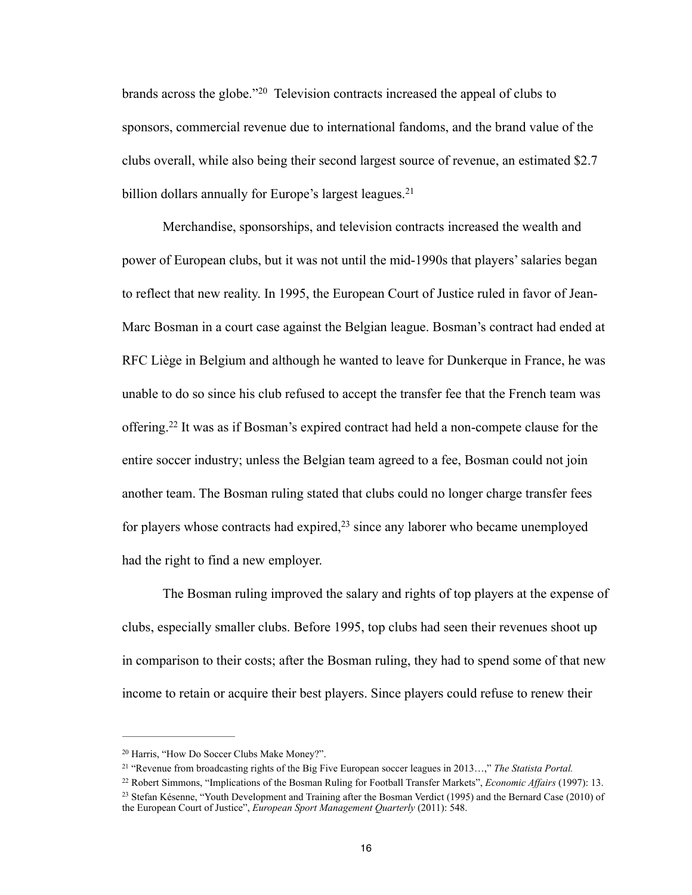brands across the globe."<sup>20</sup> Television contracts increased the appeal of clubs to sponsors, commercial revenue due to international fandoms, and the brand value of the clubs overall, while also being their second largest source of revenue, an estimated \$2.7 billion dollars annually for Europe's largest leagues.<sup>21</sup>

 Merchandise, sponsorships, and television contracts increased the wealth and power of European clubs, but it was not until the mid-1990s that players' salaries began to reflect that new reality. In 1995, the European Court of Justice ruled in favor of Jean-Marc Bosman in a court case against the Belgian league. Bosman's contract had ended at RFC Liège in Belgium and although he wanted to leave for Dunkerque in France, he was unable to do so since his club refused to accept the transfer fee that the French team was offering.<sup>22</sup> It was as if Bosman's expired contract had held a non-compete clause for the entire soccer industry; unless the Belgian team agreed to a fee, Bosman could not join another team. The Bosman ruling stated that clubs could no longer charge transfer fees for players whose contracts had expired, $2<sup>3</sup>$  since any laborer who became unemployed had the right to find a new employer.

 The Bosman ruling improved the salary and rights of top players at the expense of clubs, especially smaller clubs. Before 1995, top clubs had seen their revenues shoot up in comparison to their costs; after the Bosman ruling, they had to spend some of that new income to retain or acquire their best players. Since players could refuse to renew their

<sup>&</sup>lt;sup>20</sup> Harris, "How Do Soccer Clubs Make Money?".

<sup>&</sup>lt;sup>21</sup> "Revenue from broadcasting rights of the Big Five European soccer leagues in 2013...," *The Statista Portal.* 

Robert Simmons, "Implications of the Bosman Ruling for Football Transfer Markets", *Economic Affairs* (1997): 13. <sup>22</sup> <sup>23</sup> Stefan Késenne, "Youth Development and Training after the Bosman Verdict (1995) and the Bernard Case (2010) of the European Court of Justice", *European Sport Management Quarterly* (2011): 548.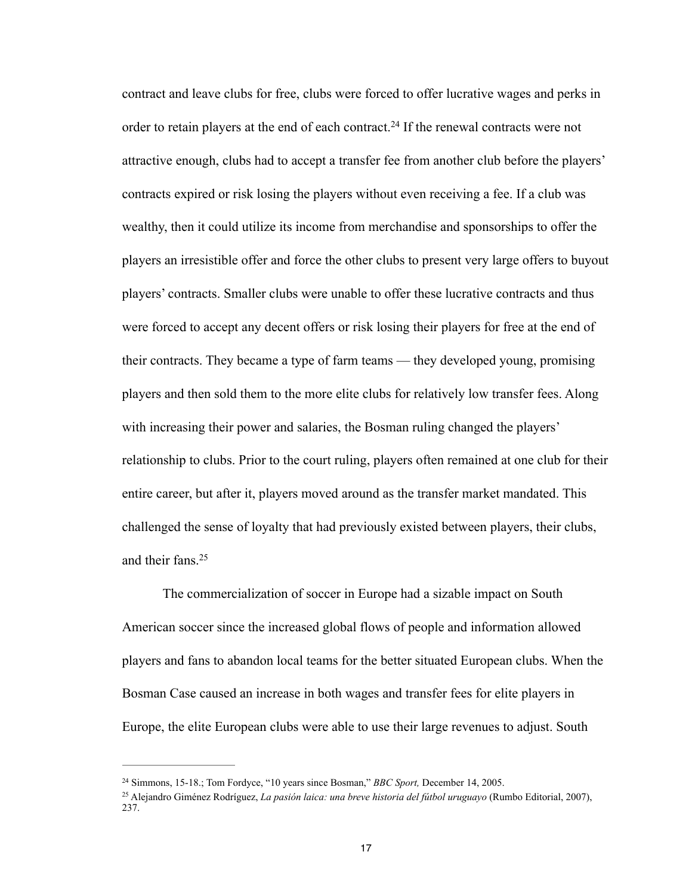contract and leave clubs for free, clubs were forced to offer lucrative wages and perks in order to retain players at the end of each contract.<sup>24</sup> If the renewal contracts were not attractive enough, clubs had to accept a transfer fee from another club before the players' contracts expired or risk losing the players without even receiving a fee. If a club was wealthy, then it could utilize its income from merchandise and sponsorships to offer the players an irresistible offer and force the other clubs to present very large offers to buyout players' contracts. Smaller clubs were unable to offer these lucrative contracts and thus were forced to accept any decent offers or risk losing their players for free at the end of their contracts. They became a type of farm teams — they developed young, promising players and then sold them to the more elite clubs for relatively low transfer fees. Along with increasing their power and salaries, the Bosman ruling changed the players' relationship to clubs. Prior to the court ruling, players often remained at one club for their entire career, but after it, players moved around as the transfer market mandated. This challenged the sense of loyalty that had previously existed between players, their clubs, and their fans.25

 The commercialization of soccer in Europe had a sizable impact on South American soccer since the increased global flows of people and information allowed players and fans to abandon local teams for the better situated European clubs. When the Bosman Case caused an increase in both wages and transfer fees for elite players in Europe, the elite European clubs were able to use their large revenues to adjust. South

<sup>&</sup>lt;sup>24</sup> Simmons, 15-18.; Tom Fordyce, "10 years since Bosman," *BBC Sport*, December 14, 2005.

Alejandro Giménez Rodríguez, *La pasión laica: una breve historia del fútbol uruguayo* (Rumbo Editorial, 2007), 25 237.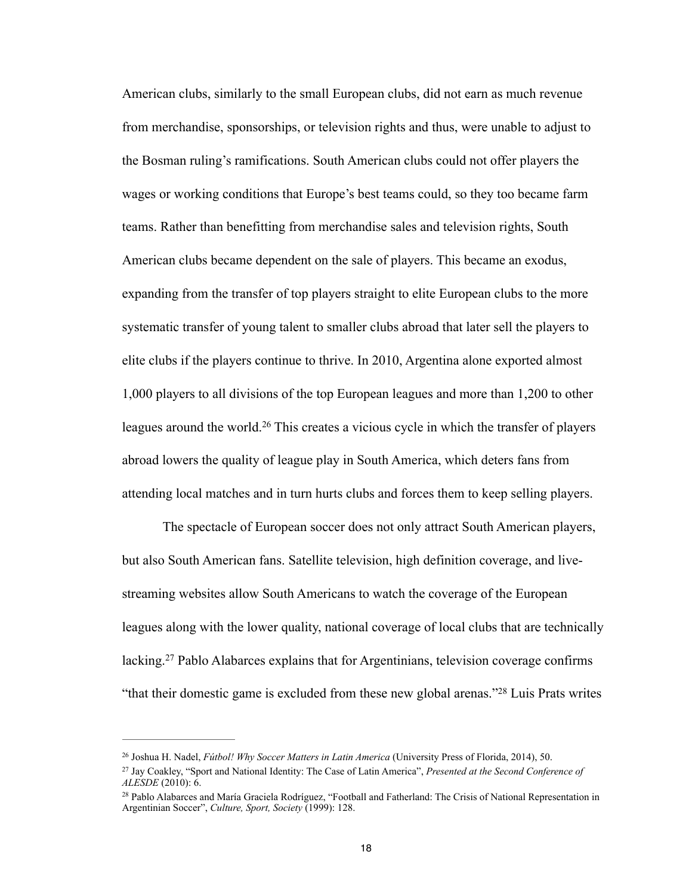American clubs, similarly to the small European clubs, did not earn as much revenue from merchandise, sponsorships, or television rights and thus, were unable to adjust to the Bosman ruling's ramifications. South American clubs could not offer players the wages or working conditions that Europe's best teams could, so they too became farm teams. Rather than benefitting from merchandise sales and television rights, South American clubs became dependent on the sale of players. This became an exodus, expanding from the transfer of top players straight to elite European clubs to the more systematic transfer of young talent to smaller clubs abroad that later sell the players to elite clubs if the players continue to thrive. In 2010, Argentina alone exported almost 1,000 players to all divisions of the top European leagues and more than 1,200 to other leagues around the world.<sup>26</sup> This creates a vicious cycle in which the transfer of players abroad lowers the quality of league play in South America, which deters fans from attending local matches and in turn hurts clubs and forces them to keep selling players.

 The spectacle of European soccer does not only attract South American players, but also South American fans. Satellite television, high definition coverage, and livestreaming websites allow South Americans to watch the coverage of the European leagues along with the lower quality, national coverage of local clubs that are technically lacking.<sup>27</sup> Pablo Alabarces explains that for Argentinians, television coverage confirms "that their domestic game is excluded from these new global arenas." $^{28}$  Luis Prats writes

<sup>&</sup>lt;sup>26</sup> Joshua H. Nadel, *Fútbol! Why Soccer Matters in Latin America* (University Press of Florida, 2014), 50.

<sup>&</sup>lt;sup>27</sup> Jay Coakley, "Sport and National Identity: The Case of Latin America", *Presented at the Second Conference of ALESDE* (2010): 6.

<sup>&</sup>lt;sup>28</sup> Pablo Alabarces and María Graciela Rodríguez, "Football and Fatherland: The Crisis of National Representation in Argentinian Soccer", *Culture, Sport, Society* (1999): 128.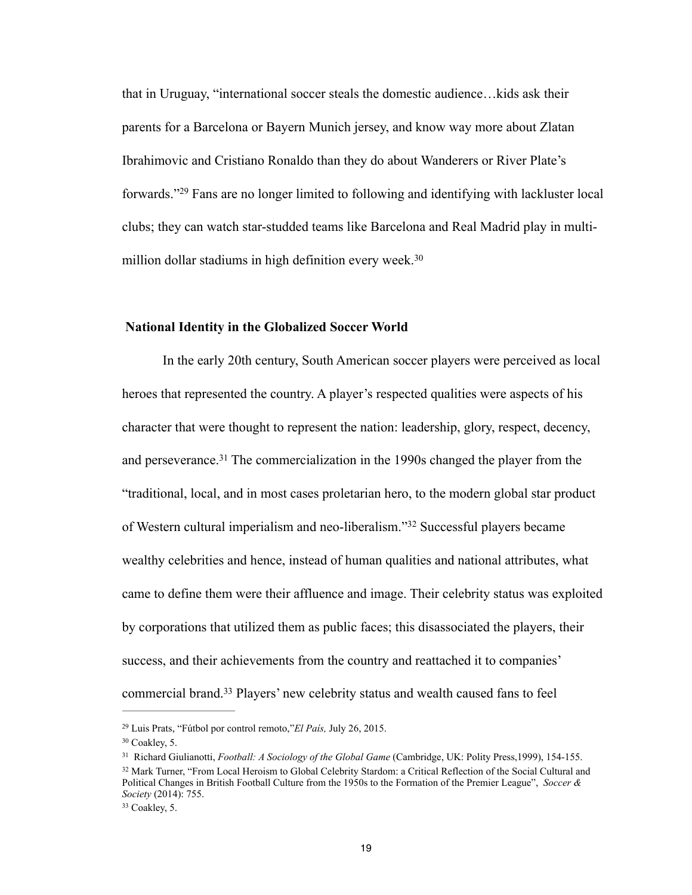that in Uruguay, "international soccer steals the domestic audience…kids ask their parents for a Barcelona or Bayern Munich jersey, and know way more about Zlatan Ibrahimovic and Cristiano Ronaldo than they do about Wanderers or River Plate's forwards."<sup>29</sup> Fans are no longer limited to following and identifying with lackluster local clubs; they can watch star-studded teams like Barcelona and Real Madrid play in multimillion dollar stadiums in high definition every week.<sup>30</sup>

#### **National Identity in the Globalized Soccer World**

 In the early 20th century, South American soccer players were perceived as local heroes that represented the country. A player's respected qualities were aspects of his character that were thought to represent the nation: leadership, glory, respect, decency, and perseverance.<sup>31</sup> The commercialization in the 1990s changed the player from the "traditional, local, and in most cases proletarian hero, to the modern global star product of Western cultural imperialism and neo-liberalism."<sup>32</sup> Successful players became wealthy celebrities and hence, instead of human qualities and national attributes, what came to define them were their affluence and image. Their celebrity status was exploited by corporations that utilized them as public faces; this disassociated the players, their success, and their achievements from the country and reattached it to companies' commercial brand.<sup>33</sup> Players' new celebrity status and wealth caused fans to feel

 $33$  Coakley, 5.

Luis Prats, "Fútbol por control remoto,"*El País,* July 26, 2015. <sup>29</sup>

 $30$  Coakley, 5.

<sup>&</sup>lt;sup>31</sup> Richard Giulianotti, *Football: A Sociology of the Global Game* (Cambridge, UK: Polity Press,1999), 154-155. <sup>32</sup> Mark Turner, "From Local Heroism to Global Celebrity Stardom: a Critical Reflection of the Social Cultural and Political Changes in British Football Culture from the 1950s to the Formation of the Premier League", *Soccer & Society* (2014): 755.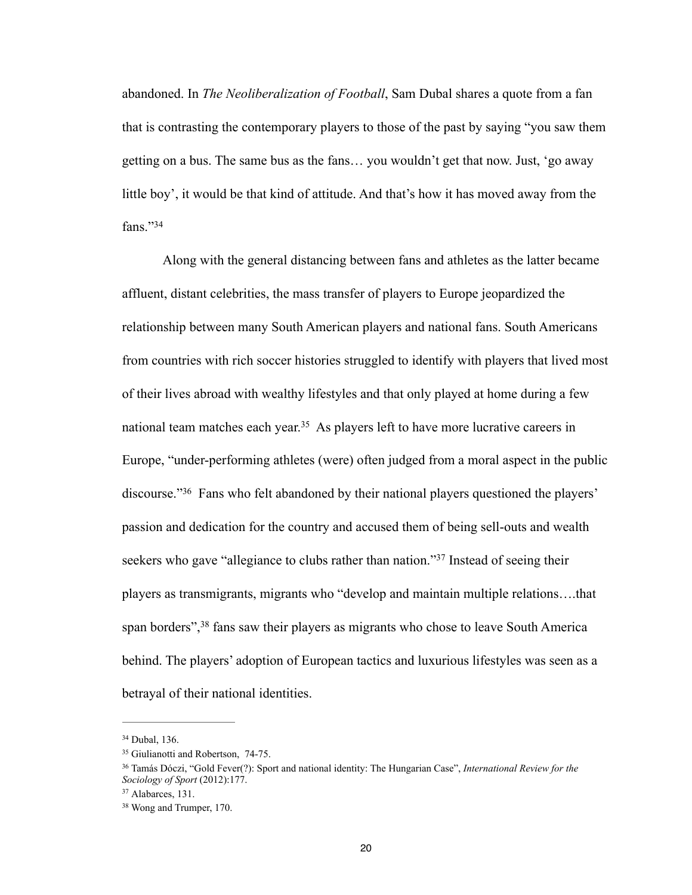abandoned. In *The Neoliberalization of Football*, Sam Dubal shares a quote from a fan that is contrasting the contemporary players to those of the past by saying "you saw them getting on a bus. The same bus as the fans… you wouldn't get that now. Just, 'go away little boy', it would be that kind of attitude. And that's how it has moved away from the fans $"34"$ 

 Along with the general distancing between fans and athletes as the latter became affluent, distant celebrities, the mass transfer of players to Europe jeopardized the relationship between many South American players and national fans. South Americans from countries with rich soccer histories struggled to identify with players that lived most of their lives abroad with wealthy lifestyles and that only played at home during a few national team matches each year.<sup>35</sup> As players left to have more lucrative careers in Europe, "under-performing athletes (were) often judged from a moral aspect in the public discourse."<sup>36</sup> Fans who felt abandoned by their national players questioned the players' passion and dedication for the country and accused them of being sell-outs and wealth seekers who gave "allegiance to clubs rather than nation."<sup>37</sup> Instead of seeing their players as transmigrants, migrants who "develop and maintain multiple relations….that span borders",<sup>38</sup> fans saw their players as migrants who chose to leave South America behind. The players' adoption of European tactics and luxurious lifestyles was seen as a betrayal of their national identities.

<sup>&</sup>lt;sup>34</sup> Dubal, 136.

<sup>&</sup>lt;sup>35</sup> Giulianotti and Robertson, 74-75.

Tamás Dóczi, "Gold Fever(?): Sport and national identity: The Hungarian Case", *International Review for the* <sup>36</sup> *Sociology of Sport* (2012):177.

 $37$  Alabarces, 131.

<sup>&</sup>lt;sup>38</sup> Wong and Trumper, 170.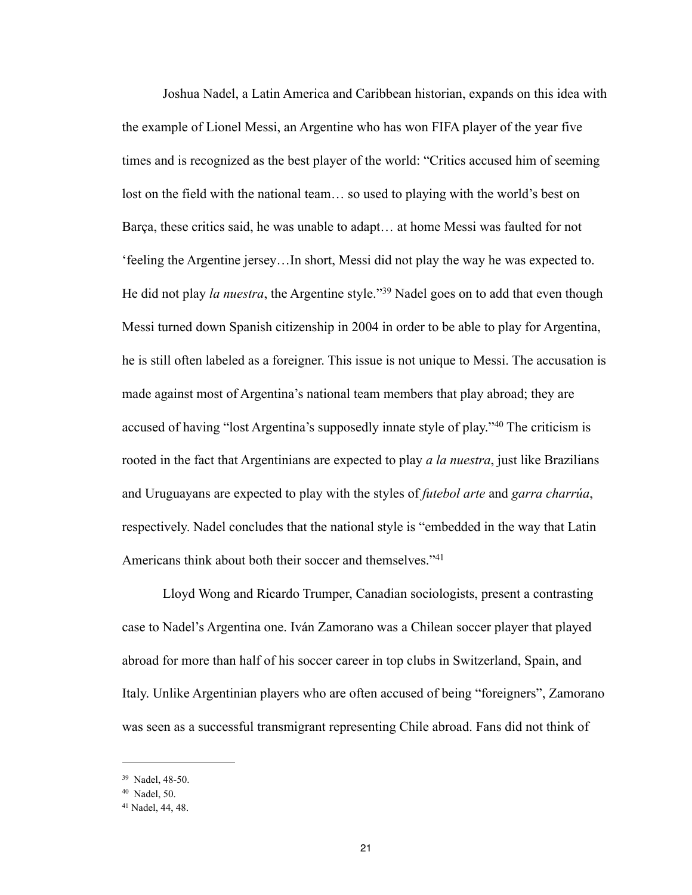Joshua Nadel, a Latin America and Caribbean historian, expands on this idea with the example of Lionel Messi, an Argentine who has won FIFA player of the year five times and is recognized as the best player of the world: "Critics accused him of seeming lost on the field with the national team… so used to playing with the world's best on Barça, these critics said, he was unable to adapt… at home Messi was faulted for not 'feeling the Argentine jersey…In short, Messi did not play the way he was expected to. He did not play *la nuestra*, the Argentine style."<sup>39</sup> Nadel goes on to add that even though Messi turned down Spanish citizenship in 2004 in order to be able to play for Argentina, he is still often labeled as a foreigner. This issue is not unique to Messi. The accusation is made against most of Argentina's national team members that play abroad; they are accused of having "lost Argentina's supposedly innate style of play." $40$  The criticism is rooted in the fact that Argentinians are expected to play *a la nuestra*, just like Brazilians and Uruguayans are expected to play with the styles of *futebol arte* and *garra charrúa*, respectively. Nadel concludes that the national style is "embedded in the way that Latin Americans think about both their soccer and themselves."<sup>41</sup>

 Lloyd Wong and Ricardo Trumper, Canadian sociologists, present a contrasting case to Nadel's Argentina one. Iván Zamorano was a Chilean soccer player that played abroad for more than half of his soccer career in top clubs in Switzerland, Spain, and Italy. Unlike Argentinian players who are often accused of being "foreigners", Zamorano was seen as a successful transmigrant representing Chile abroad. Fans did not think of

<sup>&</sup>lt;sup>39</sup> Nadel, 48-50.

<sup>&</sup>lt;sup>40</sup> Nadel, 50.

<sup>&</sup>lt;sup>41</sup> Nadel, 44, 48.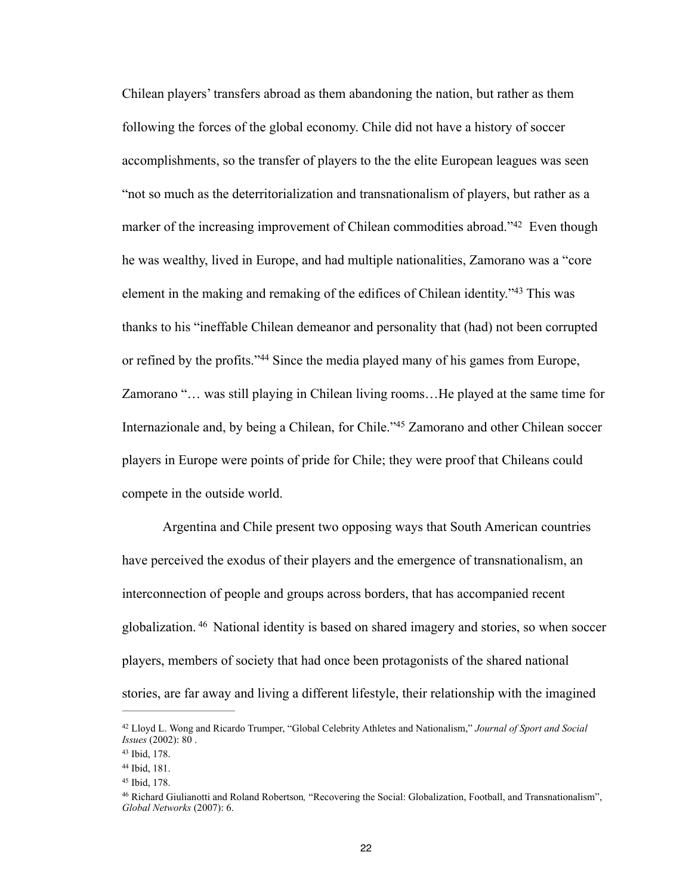Chilean players' transfers abroad as them abandoning the nation, but rather as them following the forces of the global economy. Chile did not have a history of soccer accomplishments, so the transfer of players to the the elite European leagues was seen "not so much as the deterritorialization and transnationalism of players, but rather as a marker of the increasing improvement of Chilean commodities abroad."<sup>42</sup> Even though he was wealthy, lived in Europe, and had multiple nationalities, Zamorano was a "core element in the making and remaking of the edifices of Chilean identity.<sup>43</sup> This was thanks to his "ineffable Chilean demeanor and personality that (had) not been corrupted or refined by the profits."<sup>44</sup> Since the media played many of his games from Europe, Zamorano "… was still playing in Chilean living rooms…He played at the same time for Internazionale and, by being a Chilean, for Chile."<sup>45</sup> Zamorano and other Chilean soccer players in Europe were points of pride for Chile; they were proof that Chileans could compete in the outside world.

 Argentina and Chile present two opposing ways that South American countries have perceived the exodus of their players and the emergence of transnationalism, an interconnection of people and groups across borders, that has accompanied recent globalization. <sup>46</sup> National identity is based on shared imagery and stories, so when soccer players, members of society that had once been protagonists of the shared national stories, are far away and living a different lifestyle, their relationship with the imagined

Lloyd L. Wong and Ricardo Trumper, "Global Celebrity Athletes and Nationalism," *Journal of Sport and Social* <sup>42</sup> *Issues* (2002): 80 .

<sup>43</sup> Ibid, 178.

<sup>44</sup> Ibid, 181.

<sup>&</sup>lt;sup>45</sup> Ibid, 178.

<sup>&</sup>lt;sup>46</sup> Richard Giulianotti and Roland Robertson, "Recovering the Social: Globalization, Football, and Transnationalism", *Global Networks* (2007): 6.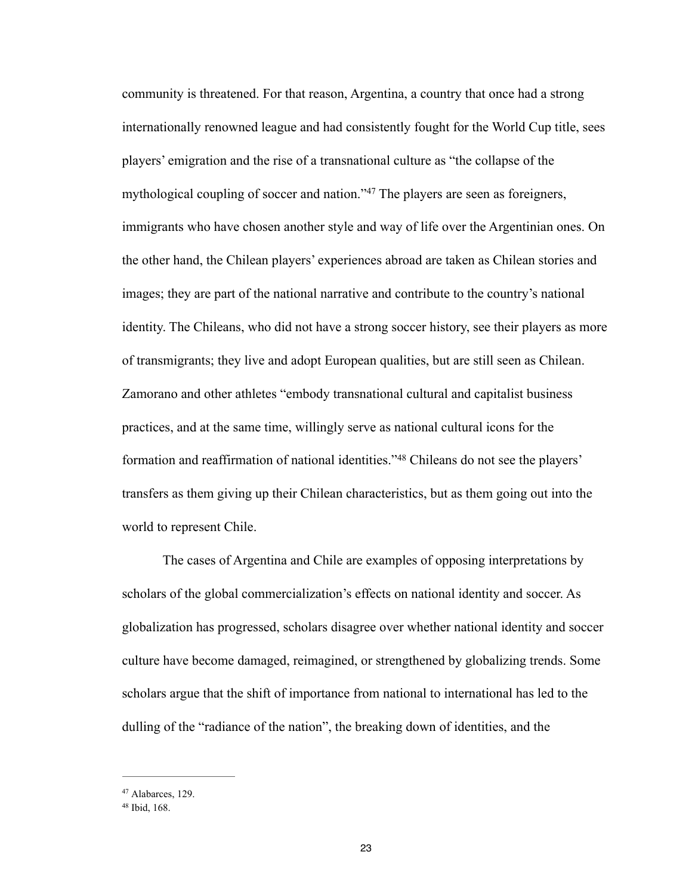community is threatened. For that reason, Argentina, a country that once had a strong internationally renowned league and had consistently fought for the World Cup title, sees players' emigration and the rise of a transnational culture as "the collapse of the mythological coupling of soccer and nation."<sup>47</sup> The players are seen as foreigners, immigrants who have chosen another style and way of life over the Argentinian ones. On the other hand, the Chilean players' experiences abroad are taken as Chilean stories and images; they are part of the national narrative and contribute to the country's national identity. The Chileans, who did not have a strong soccer history, see their players as more of transmigrants; they live and adopt European qualities, but are still seen as Chilean. Zamorano and other athletes "embody transnational cultural and capitalist business practices, and at the same time, willingly serve as national cultural icons for the formation and reaffirmation of national identities."<sup>48</sup> Chileans do not see the players' transfers as them giving up their Chilean characteristics, but as them going out into the world to represent Chile.

 The cases of Argentina and Chile are examples of opposing interpretations by scholars of the global commercialization's effects on national identity and soccer. As globalization has progressed, scholars disagree over whether national identity and soccer culture have become damaged, reimagined, or strengthened by globalizing trends. Some scholars argue that the shift of importance from national to international has led to the dulling of the "radiance of the nation", the breaking down of identities, and the

<sup>&</sup>lt;sup>47</sup> Alabarces, 129.

 $48$  Ibid,  $168$ .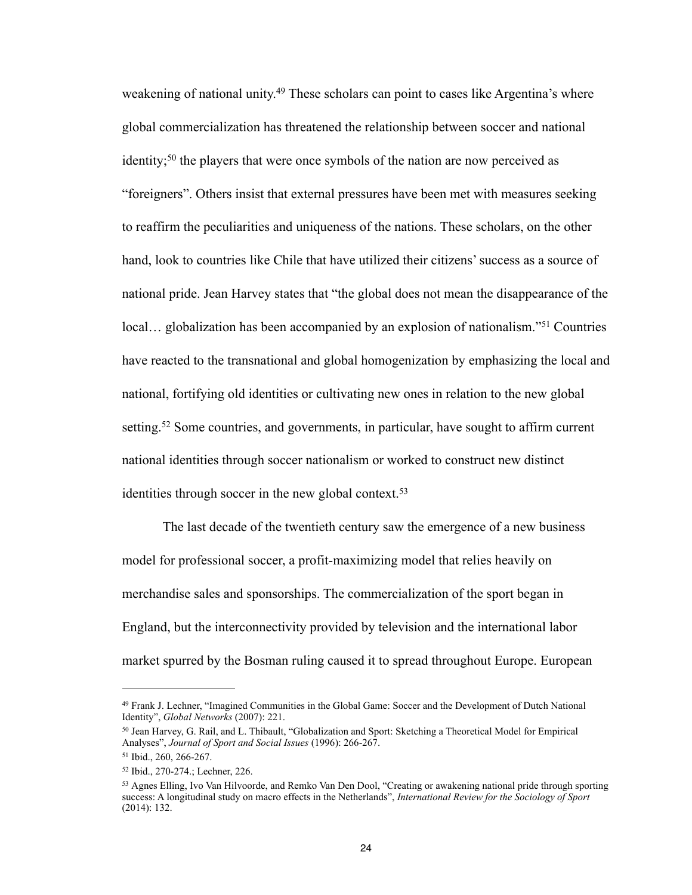weakening of national unity.<sup>49</sup> These scholars can point to cases like Argentina's where global commercialization has threatened the relationship between soccer and national identity;<sup>50</sup> the players that were once symbols of the nation are now perceived as "foreigners". Others insist that external pressures have been met with measures seeking to reaffirm the peculiarities and uniqueness of the nations. These scholars, on the other hand, look to countries like Chile that have utilized their citizens' success as a source of national pride. Jean Harvey states that "the global does not mean the disappearance of the local... globalization has been accompanied by an explosion of nationalism."<sup>51</sup> Countries have reacted to the transnational and global homogenization by emphasizing the local and national, fortifying old identities or cultivating new ones in relation to the new global setting.<sup>52</sup> Some countries, and governments, in particular, have sought to affirm current national identities through soccer nationalism or worked to construct new distinct identities through soccer in the new global context.<sup>53</sup>

 The last decade of the twentieth century saw the emergence of a new business model for professional soccer, a profit-maximizing model that relies heavily on merchandise sales and sponsorships. The commercialization of the sport began in England, but the interconnectivity provided by television and the international labor market spurred by the Bosman ruling caused it to spread throughout Europe. European

Frank J. Lechner, "Imagined Communities in the Global Game: Soccer and the Development of Dutch National 49 Identity", *Global Networks* (2007): 221.

<sup>&</sup>lt;sup>50</sup> Jean Harvey, G. Rail, and L. Thibault, "Globalization and Sport: Sketching a Theoretical Model for Empirical Analyses", *Journal of Sport and Social Issues* (1996): 266-267.

<sup>&</sup>lt;sup>51</sup> Ibid., 260, 266-267.

<sup>52</sup> Ibid., 270-274.; Lechner, 226.

<sup>&</sup>lt;sup>53</sup> Agnes Elling, Ivo Van Hilvoorde, and Remko Van Den Dool, "Creating or awakening national pride through sporting success: A longitudinal study on macro effects in the Netherlands", *International Review for the Sociology of Sport*  (2014): 132.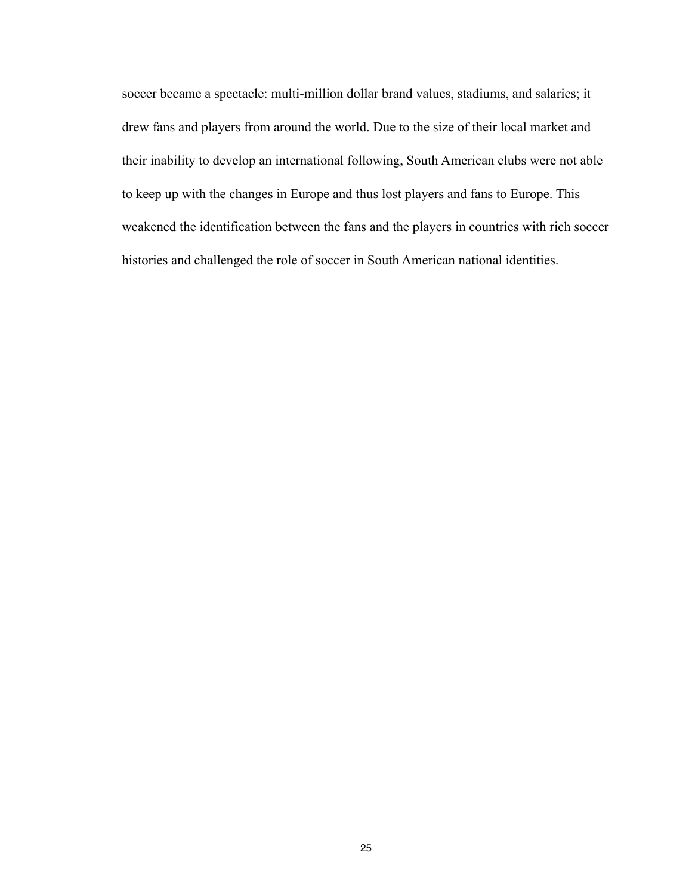soccer became a spectacle: multi-million dollar brand values, stadiums, and salaries; it drew fans and players from around the world. Due to the size of their local market and their inability to develop an international following, South American clubs were not able to keep up with the changes in Europe and thus lost players and fans to Europe. This weakened the identification between the fans and the players in countries with rich soccer histories and challenged the role of soccer in South American national identities.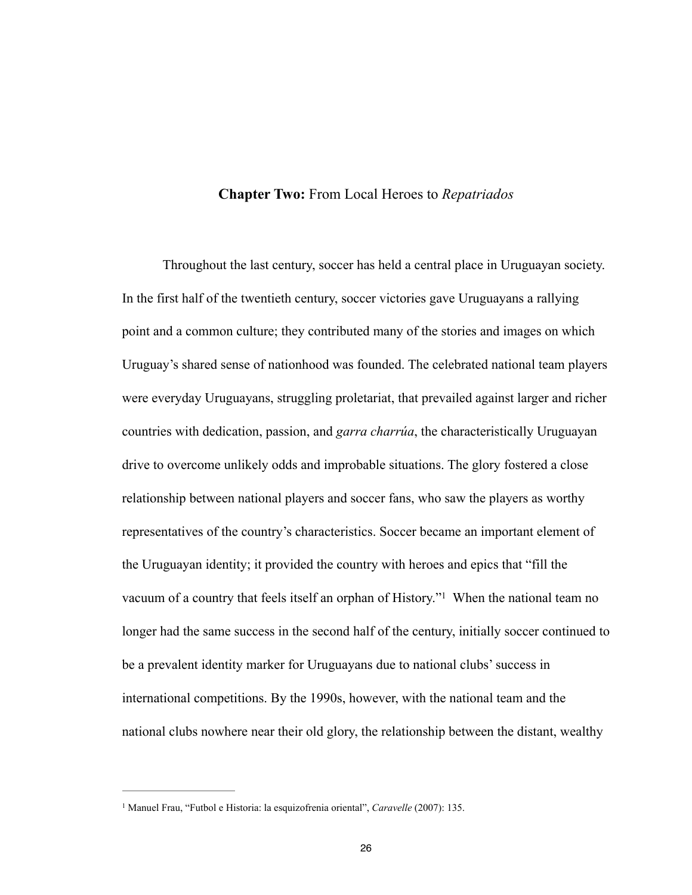#### **Chapter Two:** From Local Heroes to *Repatriados*

 Throughout the last century, soccer has held a central place in Uruguayan society. In the first half of the twentieth century, soccer victories gave Uruguayans a rallying point and a common culture; they contributed many of the stories and images on which Uruguay's shared sense of nationhood was founded. The celebrated national team players were everyday Uruguayans, struggling proletariat, that prevailed against larger and richer countries with dedication, passion, and *garra charrúa*, the characteristically Uruguayan drive to overcome unlikely odds and improbable situations. The glory fostered a close relationship between national players and soccer fans, who saw the players as worthy representatives of the country's characteristics. Soccer became an important element of the Uruguayan identity; it provided the country with heroes and epics that "fill the vacuum of a country that feels itself an orphan of History."<sup>1</sup> When the national team no longer had the same success in the second half of the century, initially soccer continued to be a prevalent identity marker for Uruguayans due to national clubs' success in international competitions. By the 1990s, however, with the national team and the national clubs nowhere near their old glory, the relationship between the distant, wealthy

<sup>&</sup>lt;sup>1</sup> Manuel Frau, "Futbol e Historia: la esquizofrenia oriental", *Caravelle* (2007): 135.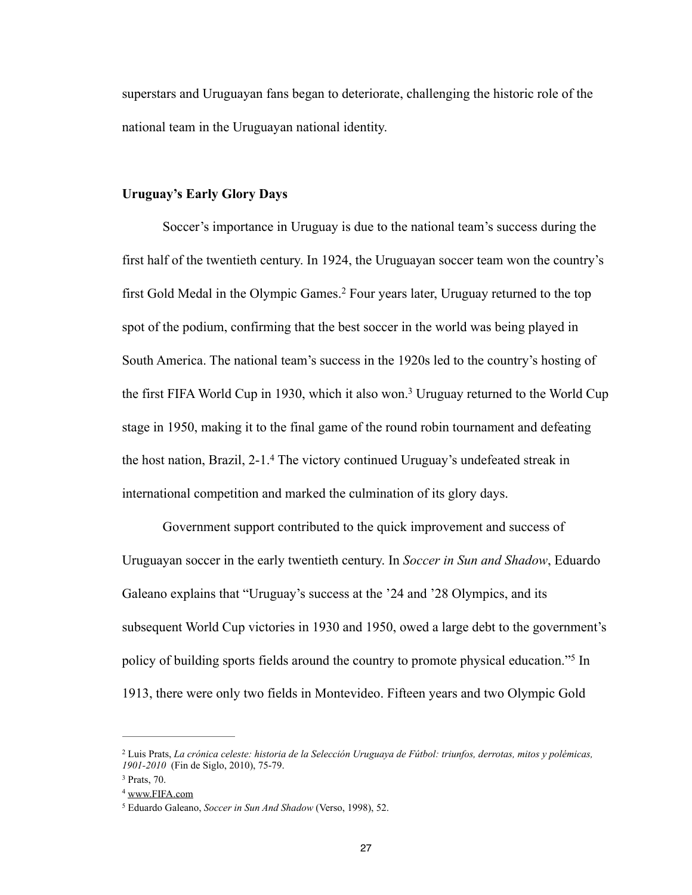superstars and Uruguayan fans began to deteriorate, challenging the historic role of the national team in the Uruguayan national identity.

#### **Uruguay's Early Glory Days**

 Soccer's importance in Uruguay is due to the national team's success during the first half of the twentieth century. In 1924, the Uruguayan soccer team won the country's first Gold Medal in the Olympic Games.<sup>2</sup> Four years later, Uruguay returned to the top spot of the podium, confirming that the best soccer in the world was being played in South America. The national team's success in the 1920s led to the country's hosting of the first FIFA World Cup in 1930, which it also won.<sup>3</sup> Uruguay returned to the World Cup stage in 1950, making it to the final game of the round robin tournament and defeating the host nation, Brazil,  $2-1.4$  The victory continued Uruguay's undefeated streak in international competition and marked the culmination of its glory days.

 Government support contributed to the quick improvement and success of Uruguayan soccer in the early twentieth century. In *Soccer in Sun and Shadow*, Eduardo Galeano explains that "Uruguay's success at the '24 and '28 Olympics, and its subsequent World Cup victories in 1930 and 1950, owed a large debt to the government's policy of building sports fields around the country to promote physical education."<sup>5</sup> In 1913, there were only two fields in Montevideo. Fifteen years and two Olympic Gold

Luis Prats, *La crónica celeste: historia de la Selección Uruguaya de Fútbol: triunfos, derrotas, mitos y polémicas,* <sup>2</sup> *1901-2010* (Fin de Siglo, 2010), 75-79.

 $3$  Prats, 70.

<sup>4</sup> [www.FIFA.com](http://www.FIFA.com)

<sup>&</sup>lt;sup>5</sup> Eduardo Galeano, *Soccer in Sun And Shadow* (Verso, 1998), 52.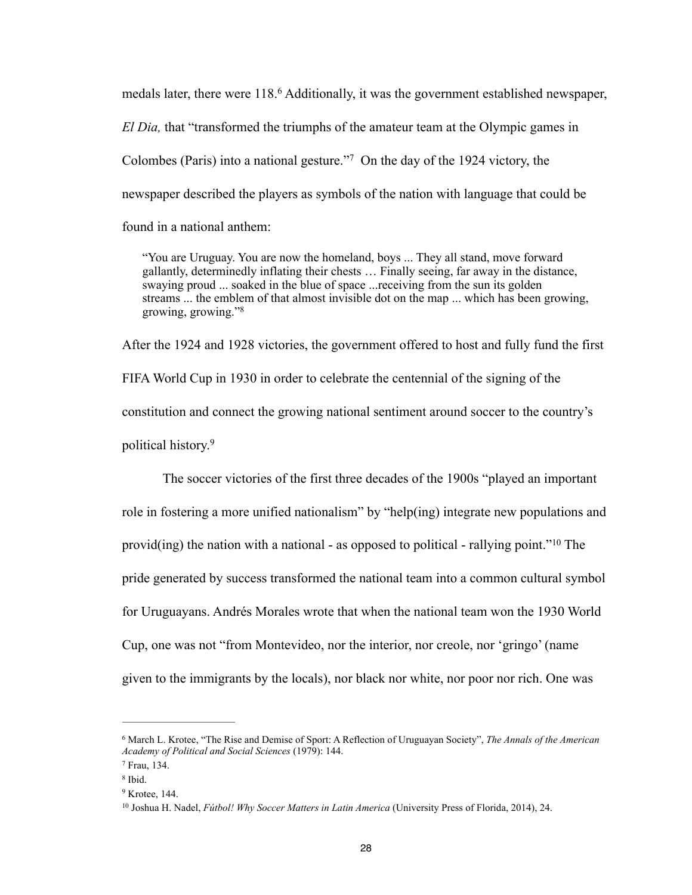medals later, there were 118.<sup>6</sup> Additionally, it was the government established newspaper, *El Dia,* that "transformed the triumphs of the amateur team at the Olympic games in Colombes (Paris) into a national gesture."<sup>7</sup> On the day of the 1924 victory, the newspaper described the players as symbols of the nation with language that could be found in a national anthem:

"You are Uruguay. You are now the homeland, boys ... They all stand, move forward gallantly, determinedly inflating their chests … Finally seeing, far away in the distance, swaying proud ... soaked in the blue of space ...receiving from the sun its golden streams ... the emblem of that almost invisible dot on the map ... which has been growing, growing, growing."<sup>8</sup>

After the 1924 and 1928 victories, the government offered to host and fully fund the first FIFA World Cup in 1930 in order to celebrate the centennial of the signing of the constitution and connect the growing national sentiment around soccer to the country's political history.9

 The soccer victories of the first three decades of the 1900s "played an important role in fostering a more unified nationalism" by "help(ing) integrate new populations and provid(ing) the nation with a national - as opposed to political - rallying point."<sup>10</sup> The pride generated by success transformed the national team into a common cultural symbol for Uruguayans. Andrés Morales wrote that when the national team won the 1930 World Cup, one was not "from Montevideo, nor the interior, nor creole, nor 'gringo' (name given to the immigrants by the locals), nor black nor white, nor poor nor rich. One was

<sup>&</sup>lt;sup>6</sup> March L. Krotee, "The Rise and Demise of Sport: A Reflection of Uruguayan Society", *The Annals of the American Academy of Political and Social Sciences* (1979): 144.

Frau, 134. <sup>7</sup>

<sup>&</sup>lt;sup>8</sup> Ibid.

 $9$  Krotee, 144.

<sup>&</sup>lt;sup>10</sup> Joshua H. Nadel, *Fútbol! Why Soccer Matters in Latin America* (University Press of Florida, 2014), 24.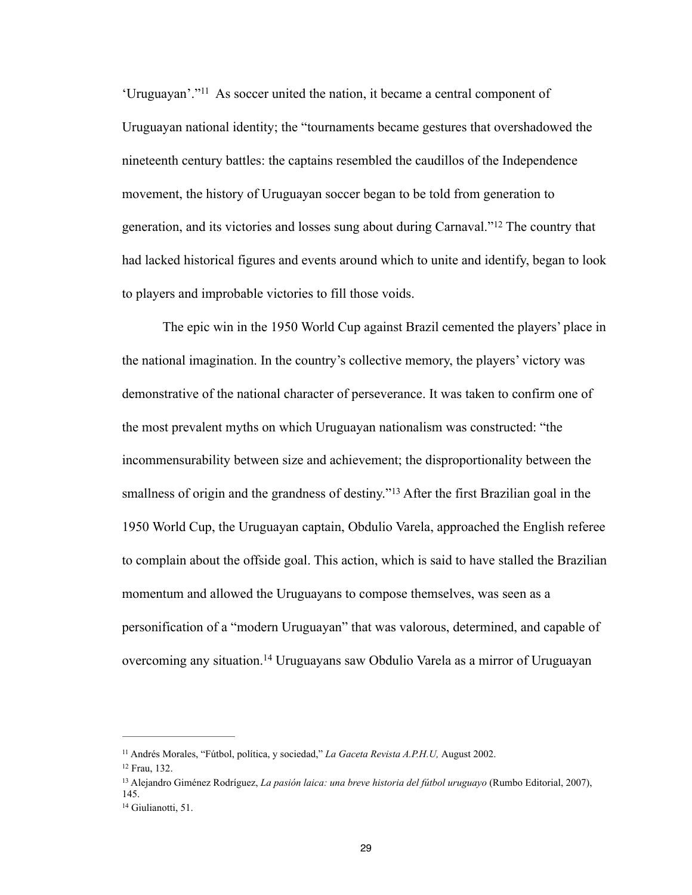'Uruguayan'."<sup>11</sup> As soccer united the nation, it became a central component of Uruguayan national identity; the "tournaments became gestures that overshadowed the nineteenth century battles: the captains resembled the caudillos of the Independence movement, the history of Uruguayan soccer began to be told from generation to generation, and its victories and losses sung about during Carnaval."<sup>12</sup> The country that had lacked historical figures and events around which to unite and identify, began to look to players and improbable victories to fill those voids.

 The epic win in the 1950 World Cup against Brazil cemented the players' place in the national imagination. In the country's collective memory, the players' victory was demonstrative of the national character of perseverance. It was taken to confirm one of the most prevalent myths on which Uruguayan nationalism was constructed: "the incommensurability between size and achievement; the disproportionality between the smallness of origin and the grandness of destiny."<sup>13</sup> After the first Brazilian goal in the 1950 World Cup, the Uruguayan captain, Obdulio Varela, approached the English referee to complain about the offside goal. This action, which is said to have stalled the Brazilian momentum and allowed the Uruguayans to compose themselves, was seen as a personification of a "modern Uruguayan" that was valorous, determined, and capable of overcoming any situation.<sup>14</sup> Uruguayans saw Obdulio Varela as a mirror of Uruguayan

<sup>&</sup>lt;sup>11</sup> Andrés Morales, "Fútbol, política, y sociedad," *La Gaceta Revista A.P.H.U*, August 2002.

<sup>&</sup>lt;sup>12</sup> Frau, 132.

Alejandro Giménez Rodríguez, *La pasión laica: una breve historia del fútbol uruguayo* (Rumbo Editorial, 2007), 13 145.

<sup>&</sup>lt;sup>14</sup> Giulianotti, 51.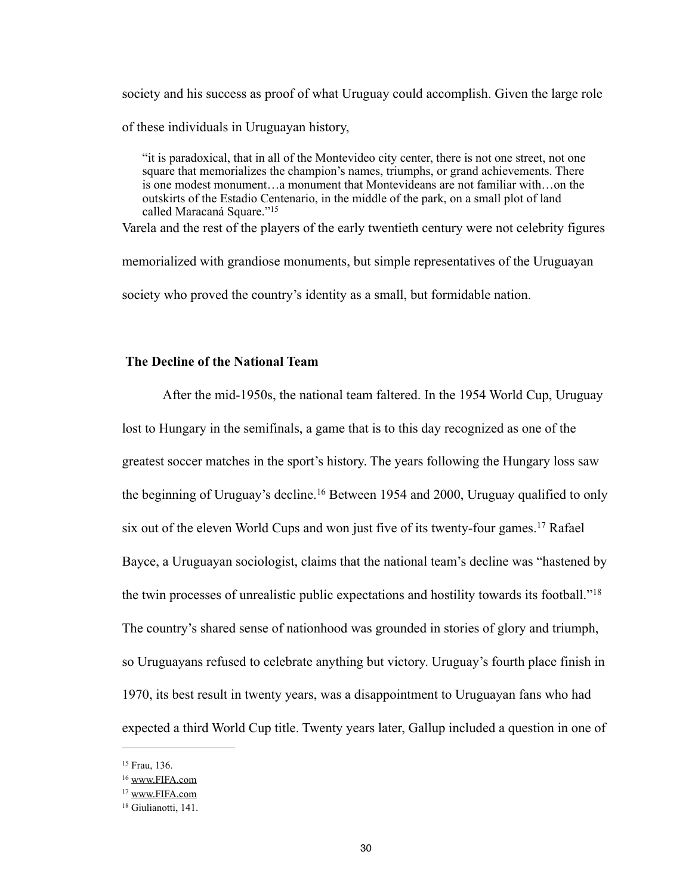society and his success as proof of what Uruguay could accomplish. Given the large role of these individuals in Uruguayan history,

"it is paradoxical, that in all of the Montevideo city center, there is not one street, not one square that memorializes the champion's names, triumphs, or grand achievements. There is one modest monument…a monument that Montevideans are not familiar with…on the outskirts of the Estadio Centenario, in the middle of the park, on a small plot of land called Maracaná Square."15

Varela and the rest of the players of the early twentieth century were not celebrity figures

memorialized with grandiose monuments, but simple representatives of the Uruguayan society who proved the country's identity as a small, but formidable nation.

#### **The Decline of the National Team**

 After the mid-1950s, the national team faltered. In the 1954 World Cup, Uruguay lost to Hungary in the semifinals, a game that is to this day recognized as one of the greatest soccer matches in the sport's history. The years following the Hungary loss saw the beginning of Uruguay's decline.<sup>16</sup> Between 1954 and 2000, Uruguay qualified to only six out of the eleven World Cups and won just five of its twenty-four games.<sup>17</sup> Rafael Bayce, a Uruguayan sociologist, claims that the national team's decline was "hastened by the twin processes of unrealistic public expectations and hostility towards its football."18 The country's shared sense of nationhood was grounded in stories of glory and triumph, so Uruguayans refused to celebrate anything but victory. Uruguay's fourth place finish in 1970, its best result in twenty years, was a disappointment to Uruguayan fans who had expected a third World Cup title. Twenty years later, Gallup included a question in one of

<sup>&</sup>lt;sup>15</sup> Frau, 136.

<sup>16</sup> [www.FIFA.com](http://www.FIFA.com)

<sup>17</sup> [www.FIFA.com](http://www.FIFA.com)

<sup>&</sup>lt;sup>18</sup> Giulianotti, 141.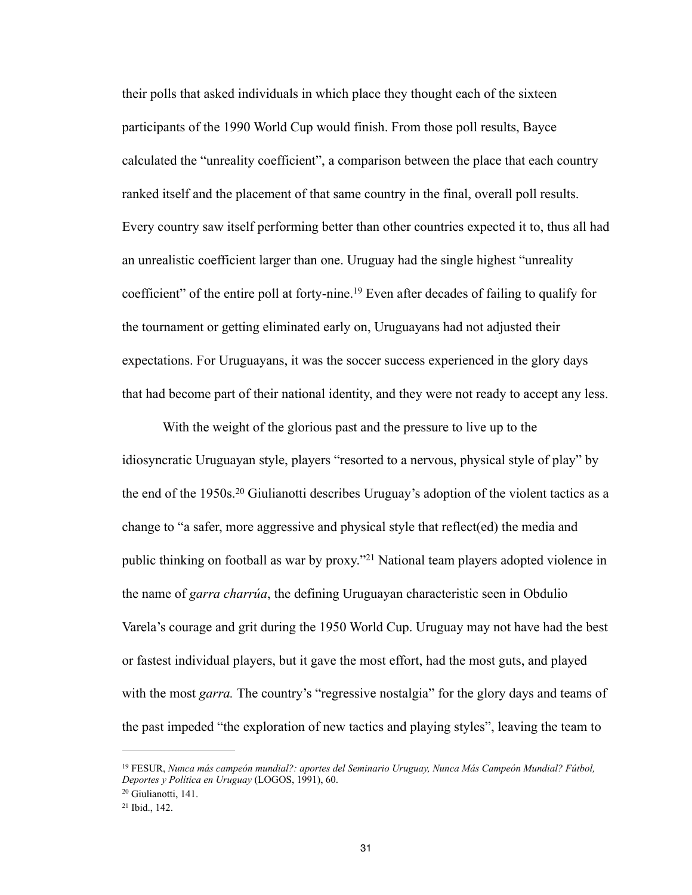their polls that asked individuals in which place they thought each of the sixteen participants of the 1990 World Cup would finish. From those poll results, Bayce calculated the "unreality coefficient", a comparison between the place that each country ranked itself and the placement of that same country in the final, overall poll results. Every country saw itself performing better than other countries expected it to, thus all had an unrealistic coefficient larger than one. Uruguay had the single highest "unreality coefficient" of the entire poll at forty-nine.<sup>19</sup> Even after decades of failing to qualify for the tournament or getting eliminated early on, Uruguayans had not adjusted their expectations. For Uruguayans, it was the soccer success experienced in the glory days that had become part of their national identity, and they were not ready to accept any less.

 With the weight of the glorious past and the pressure to live up to the idiosyncratic Uruguayan style, players "resorted to a nervous, physical style of play" by the end of the 1950s.<sup>20</sup> Giulianotti describes Uruguay's adoption of the violent tactics as a change to "a safer, more aggressive and physical style that reflect(ed) the media and public thinking on football as war by proxy."<sup>21</sup> National team players adopted violence in the name of *garra charrúa*, the defining Uruguayan characteristic seen in Obdulio Varela's courage and grit during the 1950 World Cup. Uruguay may not have had the best or fastest individual players, but it gave the most effort, had the most guts, and played with the most *garra*. The country's "regressive nostalgia" for the glory days and teams of the past impeded "the exploration of new tactics and playing styles", leaving the team to

FESUR, *Nunca más campeón mundial?: aportes del Seminario Uruguay, Nunca Más Campeón Mundial? Fútbol,* <sup>19</sup> *Deportes y Política en Uruguay* (LOGOS, 1991), 60.

<sup>&</sup>lt;sup>20</sup> Giulianotti, 141.

 $21$  Ibid.,  $142$ .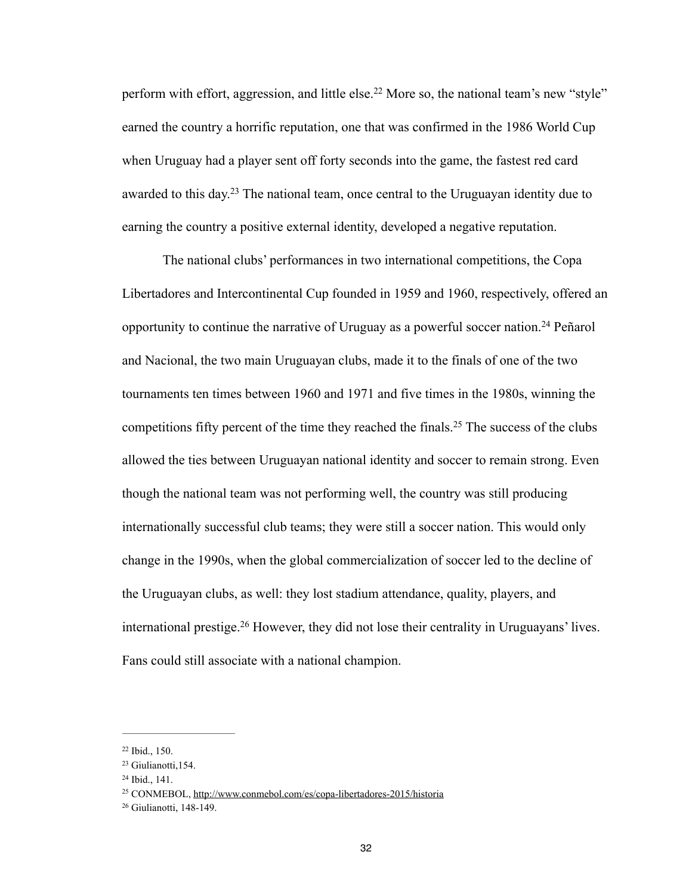perform with effort, aggression, and little else.<sup>22</sup> More so, the national team's new "style" earned the country a horrific reputation, one that was confirmed in the 1986 World Cup when Uruguay had a player sent off forty seconds into the game, the fastest red card awarded to this day.<sup>23</sup> The national team, once central to the Uruguayan identity due to earning the country a positive external identity, developed a negative reputation.

 The national clubs' performances in two international competitions, the Copa Libertadores and Intercontinental Cup founded in 1959 and 1960, respectively, offered an opportunity to continue the narrative of Uruguay as a powerful soccer nation.<sup>24</sup> Peñarol and Nacional, the two main Uruguayan clubs, made it to the finals of one of the two tournaments ten times between 1960 and 1971 and five times in the 1980s, winning the competitions fifty percent of the time they reached the finals.<sup>25</sup> The success of the clubs allowed the ties between Uruguayan national identity and soccer to remain strong. Even though the national team was not performing well, the country was still producing internationally successful club teams; they were still a soccer nation. This would only change in the 1990s, when the global commercialization of soccer led to the decline of the Uruguayan clubs, as well: they lost stadium attendance, quality, players, and international prestige.<sup>26</sup> However, they did not lose their centrality in Uruguayans' lives. Fans could still associate with a national champion.

 $22$  Ibid., 150.

<sup>&</sup>lt;sup>23</sup> Giulianotti, 154.

 $24$  Ibid., 141.

<sup>&</sup>lt;sup>25</sup> CONMEBOL,<http://www.conmebol.com/es/copa-libertadores-2015/historia>

<sup>&</sup>lt;sup>26</sup> Giulianotti, 148-149.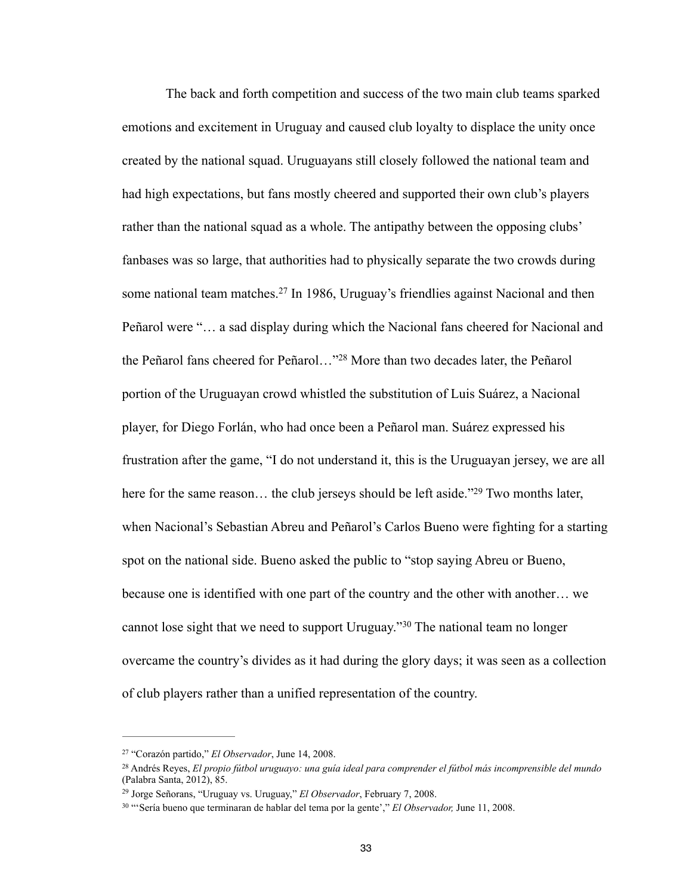The back and forth competition and success of the two main club teams sparked emotions and excitement in Uruguay and caused club loyalty to displace the unity once created by the national squad. Uruguayans still closely followed the national team and had high expectations, but fans mostly cheered and supported their own club's players rather than the national squad as a whole. The antipathy between the opposing clubs' fanbases was so large, that authorities had to physically separate the two crowds during some national team matches.<sup>27</sup> In 1986, Uruguay's friendlies against Nacional and then Peñarol were "… a sad display during which the Nacional fans cheered for Nacional and the Peñarol fans cheered for Peñarol…"<sup>28</sup> More than two decades later, the Peñarol portion of the Uruguayan crowd whistled the substitution of Luis Suárez, a Nacional player, for Diego Forlán, who had once been a Peñarol man. Suárez expressed his frustration after the game, "I do not understand it, this is the Uruguayan jersey, we are all here for the same reason... the club jerseys should be left aside."<sup>29</sup> Two months later, when Nacional's Sebastian Abreu and Peñarol's Carlos Bueno were fighting for a starting spot on the national side. Bueno asked the public to "stop saying Abreu or Bueno, because one is identified with one part of the country and the other with another… we cannot lose sight that we need to support Uruguay." <sup>30</sup> The national team no longer overcame the country's divides as it had during the glory days; it was seen as a collection of club players rather than a unified representation of the country.

<sup>&</sup>lt;sup>27</sup> "Corazón partido," *El Observador*, June 14, 2008.

Andrés Reyes, *El propio fútbol uruguayo: una guía ideal para comprender el fútbol más incomprensible del mundo* <sup>28</sup> (Palabra Santa, 2012), 85.

<sup>&</sup>lt;sup>29</sup> Jorge Señorans, "Uruguay vs. Uruguay," *El Observador*, February 7, 2008.

<sup>&</sup>lt;sup>30</sup> "'Sería bueno que terminaran de hablar del tema por la gente'," *El Observador*, June 11, 2008.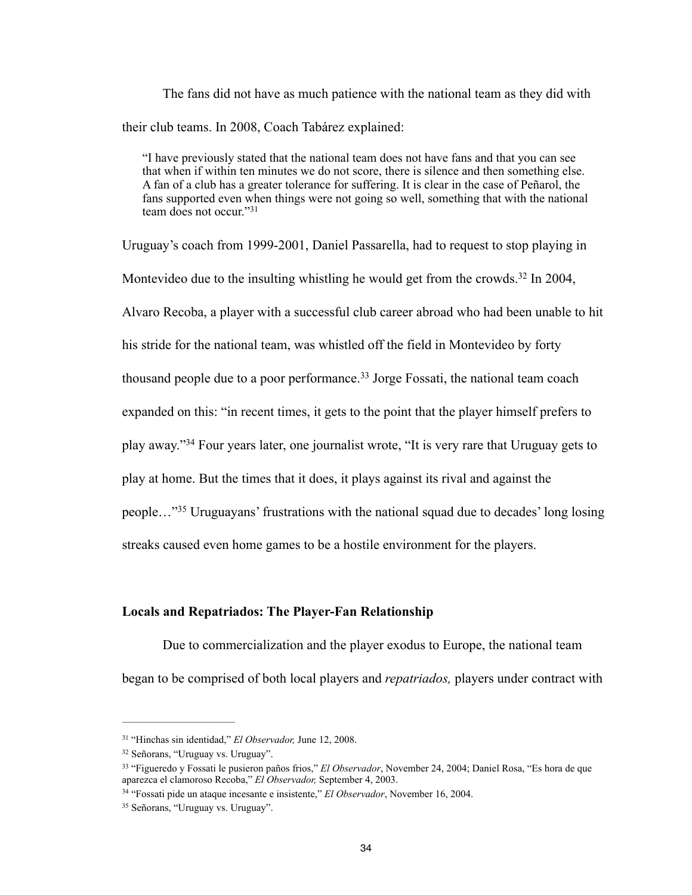The fans did not have as much patience with the national team as they did with their club teams. In 2008, Coach Tabárez explained:

"I have previously stated that the national team does not have fans and that you can see that when if within ten minutes we do not score, there is silence and then something else. A fan of a club has a greater tolerance for suffering. It is clear in the case of Peñarol, the fans supported even when things were not going so well, something that with the national team does not occur."31

Uruguay's coach from 1999-2001, Daniel Passarella, had to request to stop playing in Montevideo due to the insulting whistling he would get from the crowds.<sup>32</sup> In 2004, Alvaro Recoba, a player with a successful club career abroad who had been unable to hit his stride for the national team, was whistled off the field in Montevideo by forty thousand people due to a poor performance.<sup>33</sup> Jorge Fossati, the national team coach expanded on this: "in recent times, it gets to the point that the player himself prefers to play away."<sup>34</sup> Four years later, one journalist wrote, "It is very rare that Uruguay gets to play at home. But the times that it does, it plays against its rival and against the people..."<sup>35</sup> Uruguayans' frustrations with the national squad due to decades' long losing streaks caused even home games to be a hostile environment for the players.

### **Locals and Repatriados: The Player-Fan Relationship**

 Due to commercialization and the player exodus to Europe, the national team began to be comprised of both local players and *repatriados,* players under contract with

<sup>&</sup>lt;sup>31</sup> "Hinchas sin identidad," *El Observador*, June 12, 2008.

<sup>&</sup>lt;sup>32</sup> Señorans, "Uruguay vs. Uruguay".

<sup>&</sup>lt;sup>33</sup> "Figueredo y Fossati le pusieron paños frios," *El Observador*, November 24, 2004; Daniel Rosa, "Es hora de que aparezca el clamoroso Recoba," *El Observador,* September 4, 2003.

<sup>&</sup>lt;sup>34</sup> "Fossati pide un ataque incesante e insistente," *El Observador*, November 16, 2004.

<sup>&</sup>lt;sup>35</sup> Señorans, "Uruguay vs. Uruguay".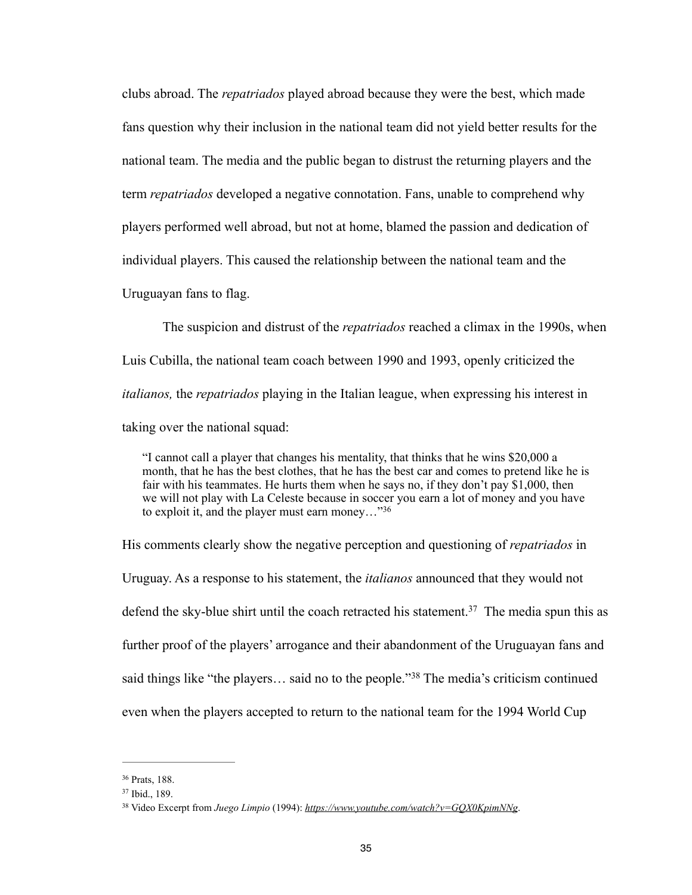clubs abroad. The *repatriados* played abroad because they were the best, which made fans question why their inclusion in the national team did not yield better results for the national team. The media and the public began to distrust the returning players and the term *repatriados* developed a negative connotation. Fans, unable to comprehend why players performed well abroad, but not at home, blamed the passion and dedication of individual players. This caused the relationship between the national team and the Uruguayan fans to flag.

 The suspicion and distrust of the *repatriados* reached a climax in the 1990s, when Luis Cubilla, the national team coach between 1990 and 1993, openly criticized the *italianos,* the *repatriados* playing in the Italian league, when expressing his interest in taking over the national squad:

"I cannot call a player that changes his mentality, that thinks that he wins \$20,000 a month, that he has the best clothes, that he has the best car and comes to pretend like he is fair with his teammates. He hurts them when he says no, if they don't pay \$1,000, then we will not play with La Celeste because in soccer you earn a lot of money and you have to exploit it, and the player must earn money…"36

His comments clearly show the negative perception and questioning of *repatriados* in Uruguay. As a response to his statement, the *italianos* announced that they would not defend the sky-blue shirt until the coach retracted his statement.<sup>37</sup> The media spun this as further proof of the players' arrogance and their abandonment of the Uruguayan fans and said things like "the players... said no to the people."<sup>38</sup> The media's criticism continued even when the players accepted to return to the national team for the 1994 World Cup

<sup>&</sup>lt;sup>36</sup> Prats, 188.

<sup>&</sup>lt;sup>37</sup> Ibid., 189.

<sup>&</sup>lt;sup>38</sup> Video Excerpt from *Juego Limpio* (1994): *<https://www.youtube.com/watch?v=GQX0KpimNNg>.*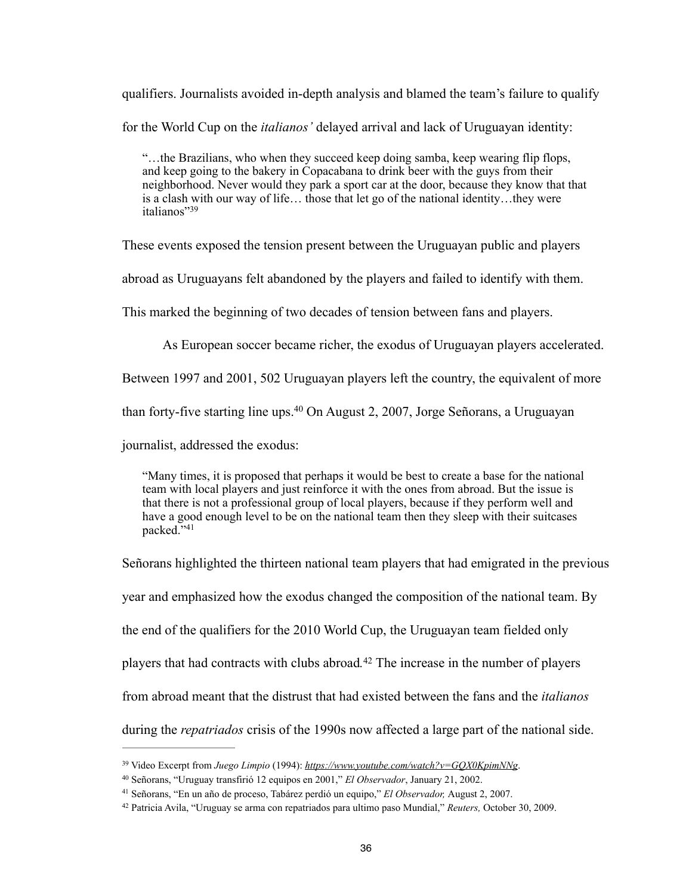qualifiers. Journalists avoided in-depth analysis and blamed the team's failure to qualify

for the World Cup on the *italianos'* delayed arrival and lack of Uruguayan identity:

"…the Brazilians, who when they succeed keep doing samba, keep wearing flip flops, and keep going to the bakery in Copacabana to drink beer with the guys from their neighborhood. Never would they park a sport car at the door, because they know that that is a clash with our way of life… those that let go of the national identity…they were italianos"39

These events exposed the tension present between the Uruguayan public and players

abroad as Uruguayans felt abandoned by the players and failed to identify with them.

This marked the beginning of two decades of tension between fans and players.

As European soccer became richer, the exodus of Uruguayan players accelerated.

Between 1997 and 2001, 502 Uruguayan players left the country, the equivalent of more

than forty-five starting line ups.<sup>40</sup> On August 2, 2007, Jorge Señorans, a Uruguayan

journalist, addressed the exodus:

"Many times, it is proposed that perhaps it would be best to create a base for the national team with local players and just reinforce it with the ones from abroad. But the issue is that there is not a professional group of local players, because if they perform well and have a good enough level to be on the national team then they sleep with their suitcases packed."41

Señorans highlighted the thirteen national team players that had emigrated in the previous

year and emphasized how the exodus changed the composition of the national team. By

the end of the qualifiers for the 2010 World Cup, the Uruguayan team fielded only

players that had contracts with clubs abroad.<sup>42</sup> The increase in the number of players

from abroad meant that the distrust that had existed between the fans and the *italianos* 

during the *repatriados* crisis of the 1990s now affected a large part of the national side.

<sup>&</sup>lt;sup>39</sup> Video Excerpt from *Juego Limpio* (1994): *<https://www.youtube.com/watch?v=GQX0KpimNNg>.* 

Señorans, "Uruguay transfirió 12 equipos en 2001," *El Observador*, January 21, 2002. 40

<sup>&</sup>lt;sup>41</sup> Señorans, "En un año de proceso, Tabárez perdió un equipo," El Observador, August 2, 2007.

Patricia Avila, "Uruguay se arma con repatriados para ultimo paso Mundial," *Reuters,* October 30, 2009. <sup>42</sup>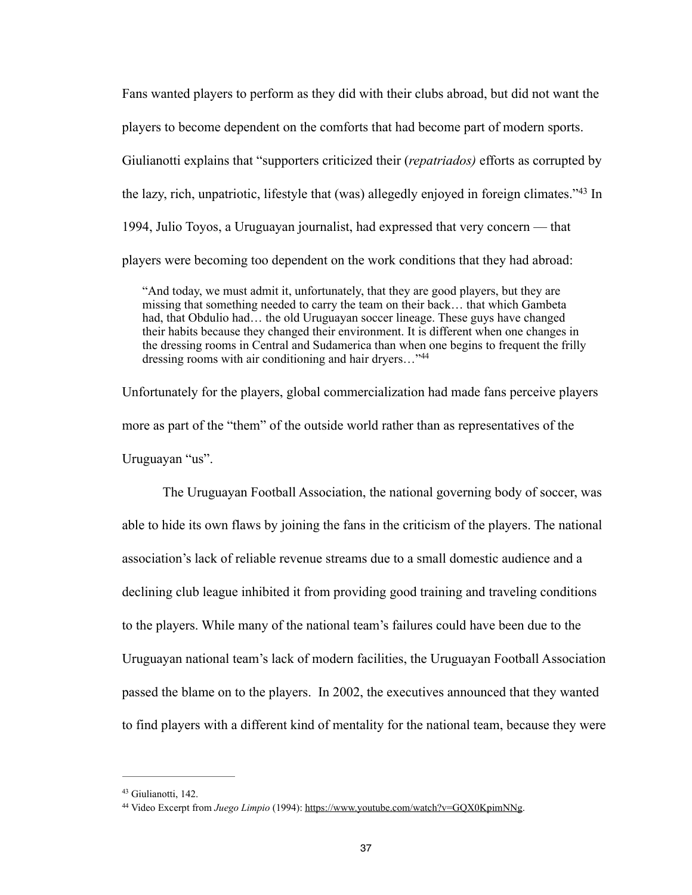Fans wanted players to perform as they did with their clubs abroad, but did not want the players to become dependent on the comforts that had become part of modern sports. Giulianotti explains that "supporters criticized their (*repatriados)* efforts as corrupted by the lazy, rich, unpatriotic, lifestyle that (was) allegedly enjoyed in foreign climates.<sup> $343$ </sup> In 1994, Julio Toyos, a Uruguayan journalist, had expressed that very concern — that players were becoming too dependent on the work conditions that they had abroad:

"And today, we must admit it, unfortunately, that they are good players, but they are missing that something needed to carry the team on their back… that which Gambeta had, that Obdulio had... the old Uruguayan soccer lineage. These guys have changed their habits because they changed their environment. It is different when one changes in the dressing rooms in Central and Sudamerica than when one begins to frequent the frilly dressing rooms with air conditioning and hair dryers…"44

Unfortunately for the players, global commercialization had made fans perceive players more as part of the "them" of the outside world rather than as representatives of the Uruguayan "us".

 The Uruguayan Football Association, the national governing body of soccer, was able to hide its own flaws by joining the fans in the criticism of the players. The national association's lack of reliable revenue streams due to a small domestic audience and a declining club league inhibited it from providing good training and traveling conditions to the players. While many of the national team's failures could have been due to the Uruguayan national team's lack of modern facilities, the Uruguayan Football Association passed the blame on to the players. In 2002, the executives announced that they wanted to find players with a different kind of mentality for the national team, because they were

<sup>&</sup>lt;sup>43</sup> Giulianotti, 142.

<sup>&</sup>lt;sup>44</sup> Video Excerpt from *Juego Limpio* (1994):<https://www.youtube.com/watch?v=GQX0KpimNNg>.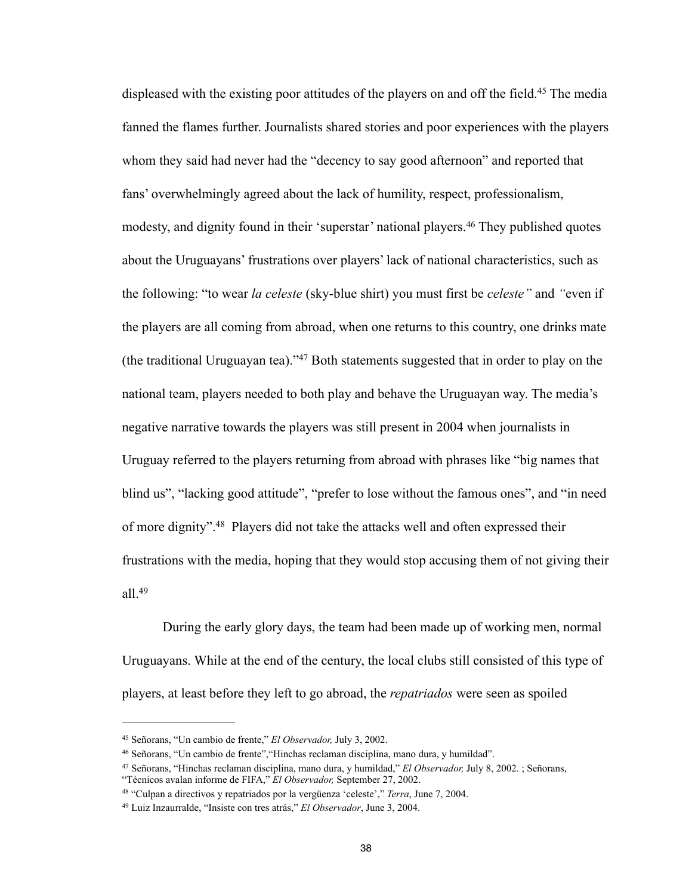displeased with the existing poor attitudes of the players on and off the field.<sup>45</sup> The media fanned the flames further. Journalists shared stories and poor experiences with the players whom they said had never had the "decency to say good afternoon" and reported that fans' overwhelmingly agreed about the lack of humility, respect, professionalism, modesty, and dignity found in their 'superstar' national players.<sup>46</sup> They published quotes about the Uruguayans' frustrations over players' lack of national characteristics, such as the following: "to wear *la celeste* (sky-blue shirt) you must first be *celeste"* and *"*even if the players are all coming from abroad, when one returns to this country, one drinks mate (the traditional Uruguayan tea)." $47$  Both statements suggested that in order to play on the national team, players needed to both play and behave the Uruguayan way. The media's negative narrative towards the players was still present in 2004 when journalists in Uruguay referred to the players returning from abroad with phrases like "big names that blind us", "lacking good attitude", "prefer to lose without the famous ones", and "in need of more dignity".<sup>48</sup> Players did not take the attacks well and often expressed their frustrations with the media, hoping that they would stop accusing them of not giving their all.49

 During the early glory days, the team had been made up of working men, normal Uruguayans. While at the end of the century, the local clubs still consisted of this type of players, at least before they left to go abroad, the *repatriados* were seen as spoiled

<sup>&</sup>lt;sup>45</sup> Señorans, "Un cambio de frente," *El Observador*, July 3, 2002.

Señorans, "Un cambio de frente","Hinchas reclaman disciplina, mano dura, y humildad". <sup>46</sup>

Señorans, "Hinchas reclaman disciplina, mano dura, y humildad," *El Observador,* July 8, 2002. ; Señorans, 47

<sup>&</sup>quot;Técnicos avalan informe de FIFA," *El Observador,* September 27, 2002.

<sup>&</sup>lt;sup>48</sup> "Culpan a directivos y repatriados por la vergüenza 'celeste'," *Terra*, June 7, 2004.

Luiz Inzaurralde, "Insiste con tres atrás," *El Observador*, June 3, 2004. 49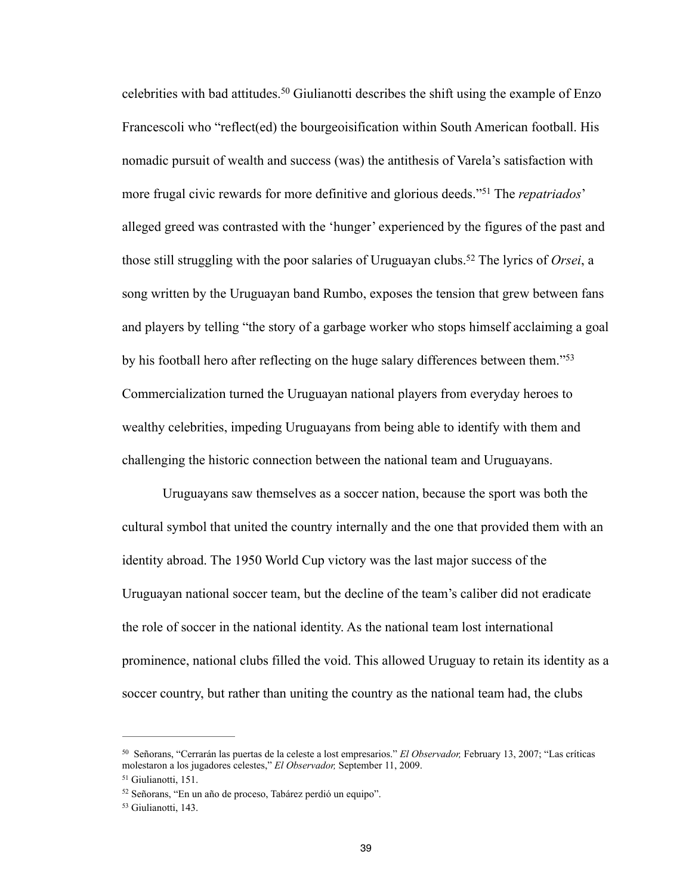celebrities with bad attitudes.<sup>50</sup> Giulianotti describes the shift using the example of Enzo Francescoli who "reflect(ed) the bourgeoisification within South American football. His nomadic pursuit of wealth and success (was) the antithesis of Varela's satisfaction with more frugal civic rewards for more definitive and glorious deeds.<sup>"51</sup> The *repatriados*' alleged greed was contrasted with the 'hunger' experienced by the figures of the past and those still struggling with the poor salaries of Uruguayan clubs.<sup>52</sup> The lyrics of *Orsei*, a song written by the Uruguayan band Rumbo, exposes the tension that grew between fans and players by telling "the story of a garbage worker who stops himself acclaiming a goal by his football hero after reflecting on the huge salary differences between them."53 Commercialization turned the Uruguayan national players from everyday heroes to wealthy celebrities, impeding Uruguayans from being able to identify with them and challenging the historic connection between the national team and Uruguayans.

 Uruguayans saw themselves as a soccer nation, because the sport was both the cultural symbol that united the country internally and the one that provided them with an identity abroad. The 1950 World Cup victory was the last major success of the Uruguayan national soccer team, but the decline of the team's caliber did not eradicate the role of soccer in the national identity. As the national team lost international prominence, national clubs filled the void. This allowed Uruguay to retain its identity as a soccer country, but rather than uniting the country as the national team had, the clubs

Señorans, "Cerrarán las puertas de la celeste a lost empresarios." *El Observador,* February 13, 2007; "Las críticas 50 molestaron a los jugadores celestes," *El Observador,* September 11, 2009.

 $51$  Giulianotti, 151.

<sup>&</sup>lt;sup>52</sup> Señorans, "En un año de proceso, Tabárez perdió un equipo".

<sup>53</sup> Giulianotti, 143.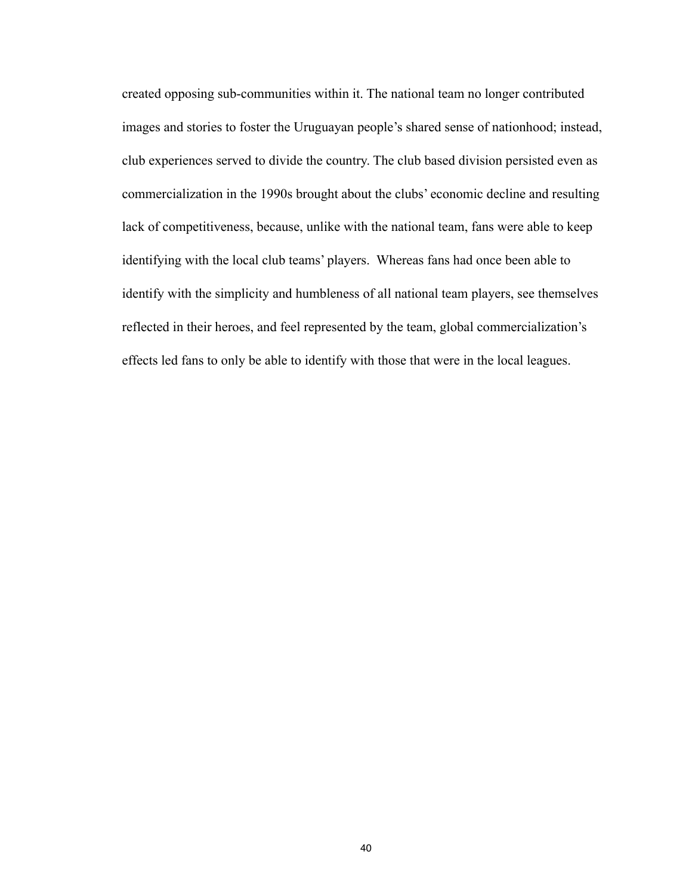created opposing sub-communities within it. The national team no longer contributed images and stories to foster the Uruguayan people's shared sense of nationhood; instead, club experiences served to divide the country. The club based division persisted even as commercialization in the 1990s brought about the clubs' economic decline and resulting lack of competitiveness, because, unlike with the national team, fans were able to keep identifying with the local club teams' players. Whereas fans had once been able to identify with the simplicity and humbleness of all national team players, see themselves reflected in their heroes, and feel represented by the team, global commercialization's effects led fans to only be able to identify with those that were in the local leagues.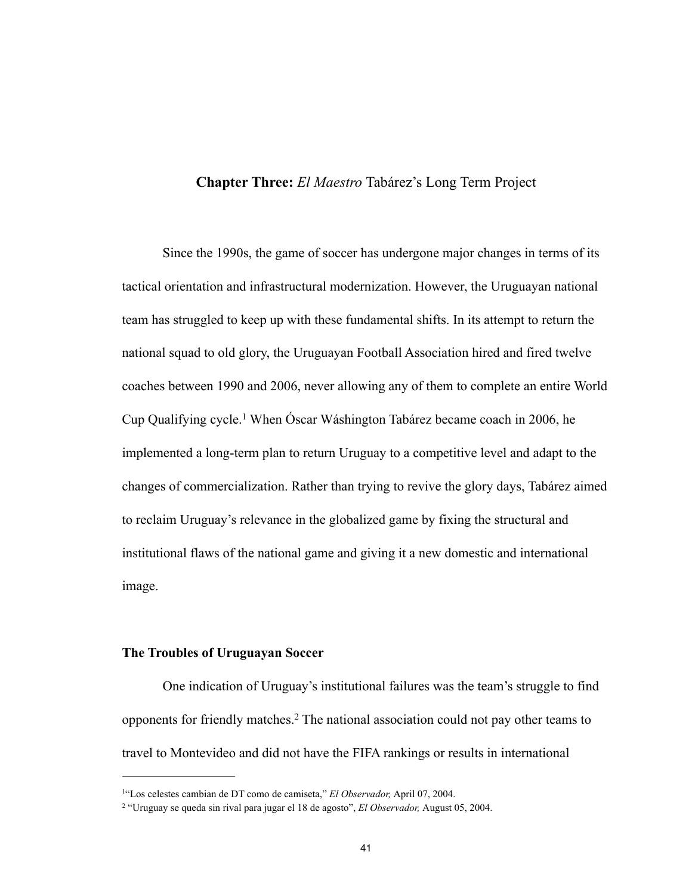# **Chapter Three:** *El Maestro* Tabárez's Long Term Project

Since the 1990s, the game of soccer has undergone major changes in terms of its tactical orientation and infrastructural modernization. However, the Uruguayan national team has struggled to keep up with these fundamental shifts. In its attempt to return the national squad to old glory, the Uruguayan Football Association hired and fired twelve coaches between 1990 and 2006, never allowing any of them to complete an entire World Cup Qualifying cycle.<sup>1</sup> When Óscar Wáshington Tabárez became coach in 2006, he implemented a long-term plan to return Uruguay to a competitive level and adapt to the changes of commercialization. Rather than trying to revive the glory days, Tabárez aimed to reclaim Uruguay's relevance in the globalized game by fixing the structural and institutional flaws of the national game and giving it a new domestic and international image.

# **The Troubles of Uruguayan Soccer**

 One indication of Uruguay's institutional failures was the team's struggle to find opponents for friendly matches.<sup>2</sup> The national association could not pay other teams to travel to Montevideo and did not have the FIFA rankings or results in international

<sup>&</sup>lt;sup>1"</sup>Los celestes cambian de DT como de camiseta," El Observador, April 07, 2004.

<sup>&</sup>lt;sup>2</sup> "Uruguay se queda sin rival para jugar el 18 de agosto", *El Observador*, August 05, 2004.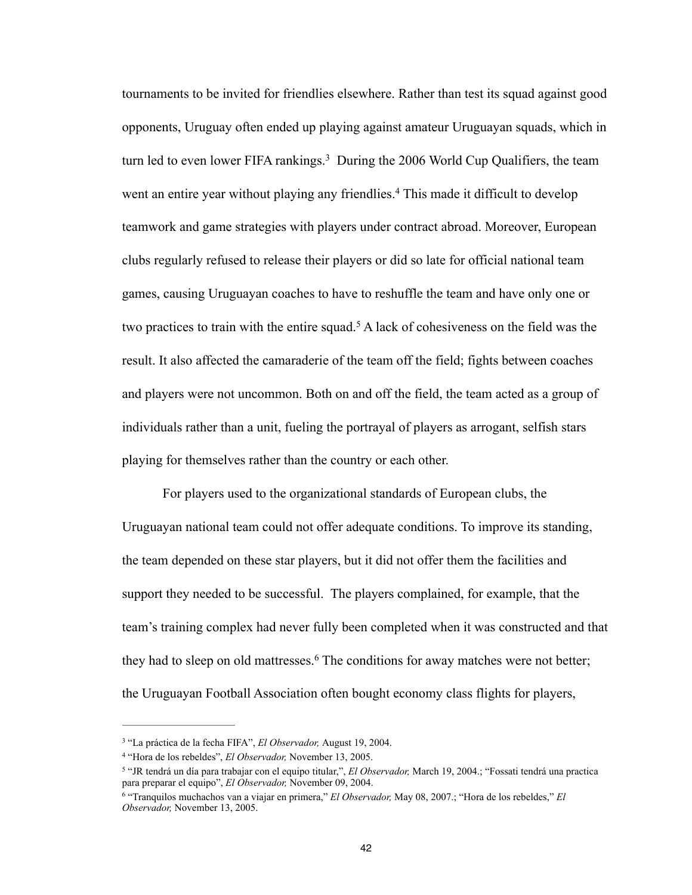tournaments to be invited for friendlies elsewhere. Rather than test its squad against good opponents, Uruguay often ended up playing against amateur Uruguayan squads, which in turn led to even lower FIFA rankings.<sup>3</sup> During the 2006 World Cup Qualifiers, the team went an entire year without playing any friendlies.<sup>4</sup> This made it difficult to develop teamwork and game strategies with players under contract abroad. Moreover, European clubs regularly refused to release their players or did so late for official national team games, causing Uruguayan coaches to have to reshuffle the team and have only one or two practices to train with the entire squad.<sup>5</sup> A lack of cohesiveness on the field was the result. It also affected the camaraderie of the team off the field; fights between coaches and players were not uncommon. Both on and off the field, the team acted as a group of individuals rather than a unit, fueling the portrayal of players as arrogant, selfish stars playing for themselves rather than the country or each other.

 For players used to the organizational standards of European clubs, the Uruguayan national team could not offer adequate conditions. To improve its standing, the team depended on these star players, but it did not offer them the facilities and support they needed to be successful. The players complained, for example, that the team's training complex had never fully been completed when it was constructed and that they had to sleep on old mattresses.<sup>6</sup> The conditions for away matches were not better; the Uruguayan Football Association often bought economy class flights for players,

<sup>&</sup>lt;sup>3</sup> "La práctica de la fecha FIFA", *El Observador*, August 19, 2004.

<sup>&</sup>lt;sup>4</sup> "Hora de los rebeldes", *El Observador*, November 13, 2005.

<sup>&</sup>lt;sup>5</sup> "JR tendrá un día para trabajar con el equipo titular,", *El Observador*, March 19, 2004.; "Fossati tendrá una practica para preparar el equipo", *El Observador*, November 09, 2004.

<sup>&</sup>lt;sup>6</sup> "Tranquilos muchachos van a viajar en primera," *El Observador*, May 08, 2007.; "Hora de los rebeldes," *El Observador,* November 13, 2005.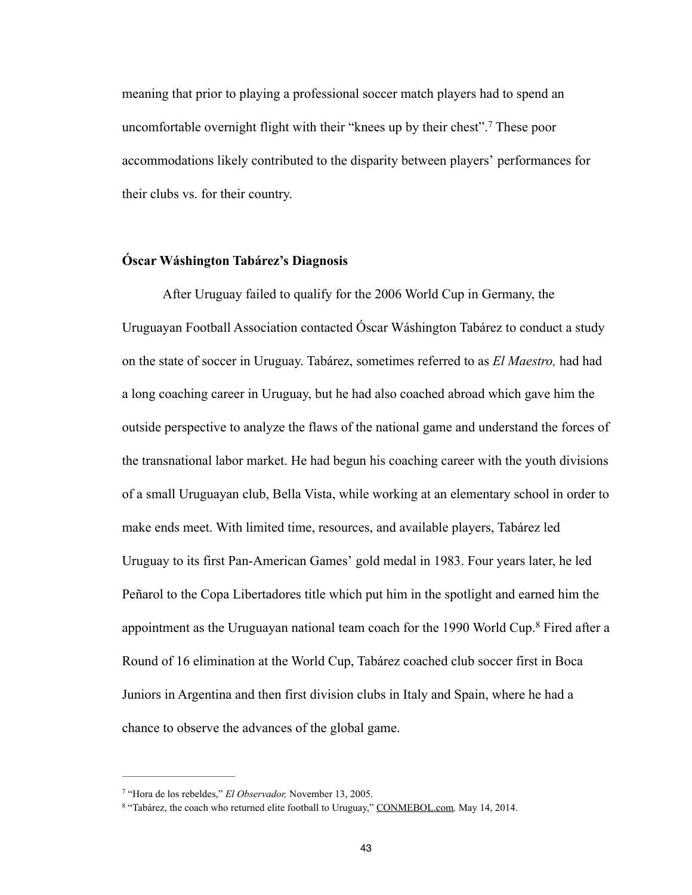meaning that prior to playing a professional soccer match players had to spend an uncomfortable overnight flight with their "knees up by their chest".<sup>7</sup> These poor accommodations likely contributed to the disparity between players' performances for their clubs vs. for their country.

# **Óscar Wáshington Tabárez's Diagnosis**

 After Uruguay failed to qualify for the 2006 World Cup in Germany, the Uruguayan Football Association contacted Óscar Wáshington Tabárez to conduct a study on the state of soccer in Uruguay. Tabárez, sometimes referred to as *El Maestro,* had had a long coaching career in Uruguay, but he had also coached abroad which gave him the outside perspective to analyze the flaws of the national game and understand the forces of the transnational labor market. He had begun his coaching career with the youth divisions of a small Uruguayan club, Bella Vista, while working at an elementary school in order to make ends meet. With limited time, resources, and available players, Tabárez led Uruguay to its first Pan-American Games' gold medal in 1983. Four years later, he led Peñarol to the Copa Libertadores title which put him in the spotlight and earned him the appointment as the Uruguayan national team coach for the 1990 World Cup.<sup>8</sup> Fired after a Round of 16 elimination at the World Cup, Tabárez coached club soccer first in Boca Juniors in Argentina and then first division clubs in Italy and Spain, where he had a chance to observe the advances of the global game.

<sup>&</sup>lt;sup>7</sup> "Hora de los rebeldes," *El Observador*, November 13, 2005.

<sup>&</sup>lt;sup>8</sup> "Tabárez, the coach who returned elite football to Uruguay," [CONMEBOL.com](http://conmebol.com), May 14, 2014.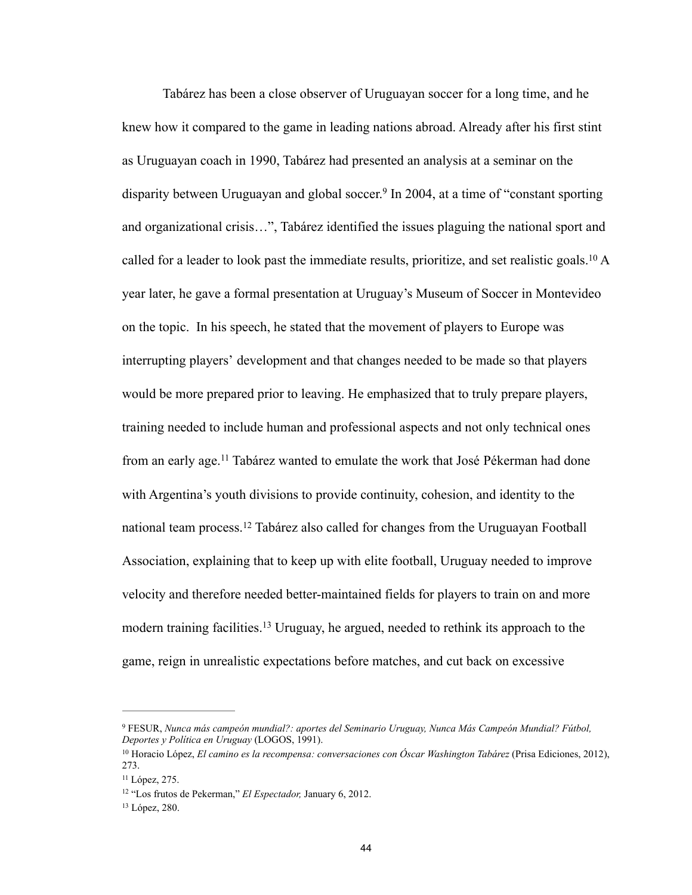Tabárez has been a close observer of Uruguayan soccer for a long time, and he knew how it compared to the game in leading nations abroad. Already after his first stint as Uruguayan coach in 1990, Tabárez had presented an analysis at a seminar on the disparity between Uruguayan and global soccer.<sup>9</sup> In 2004, at a time of "constant sporting and organizational crisis…", Tabárez identified the issues plaguing the national sport and called for a leader to look past the immediate results, prioritize, and set realistic goals. <sup>10</sup> A year later, he gave a formal presentation at Uruguay's Museum of Soccer in Montevideo on the topic. In his speech, he stated that the movement of players to Europe was interrupting players' development and that changes needed to be made so that players would be more prepared prior to leaving. He emphasized that to truly prepare players, training needed to include human and professional aspects and not only technical ones from an early age.<sup>11</sup> Tabárez wanted to emulate the work that José Pékerman had done with Argentina's youth divisions to provide continuity, cohesion, and identity to the national team process.<sup>12</sup> Tabárez also called for changes from the Uruguayan Football Association, explaining that to keep up with elite football, Uruguay needed to improve velocity and therefore needed better-maintained fields for players to train on and more modern training facilities.<sup>13</sup> Uruguay, he argued, needed to rethink its approach to the game, reign in unrealistic expectations before matches, and cut back on excessive

FESUR, *Nunca más campeón mundial?: aportes del Seminario Uruguay, Nunca Más Campeón Mundial? Fútbol,* <sup>9</sup> *Deportes y Política en Uruguay* (LOGOS, 1991).

<sup>&</sup>lt;sup>10</sup> Horacio López, *El camino es la recompensa: conversaciones con Óscar Washington Tabárez* (Prisa Ediciones, 2012), 273.

 $11$  López, 275.

<sup>&</sup>lt;sup>12</sup> "Los frutos de Pekerman," *El Espectador*, January 6, 2012.

<sup>&</sup>lt;sup>13</sup> López, 280.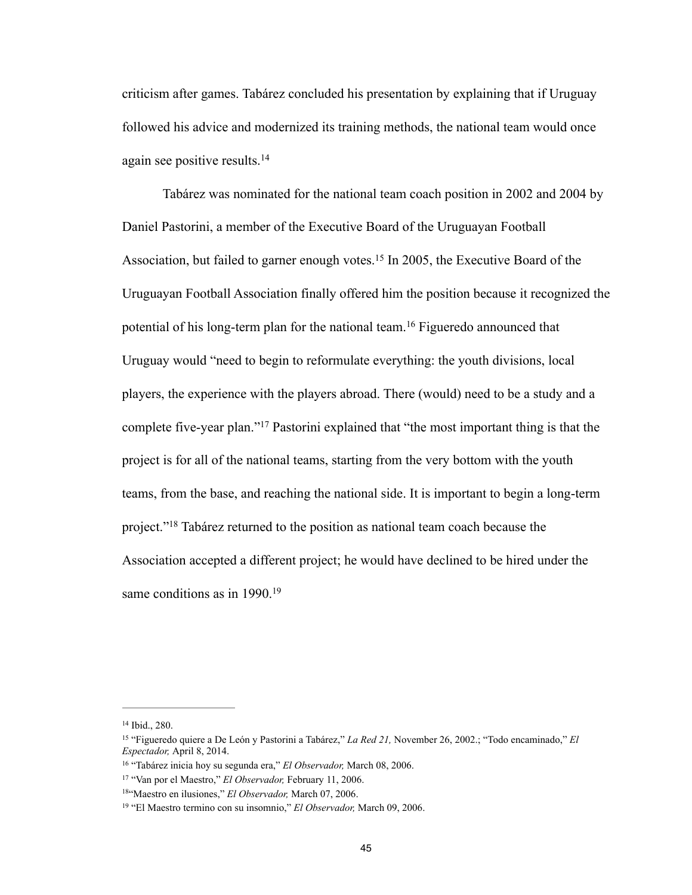criticism after games. Tabárez concluded his presentation by explaining that if Uruguay followed his advice and modernized its training methods, the national team would once again see positive results.14

 Tabárez was nominated for the national team coach position in 2002 and 2004 by Daniel Pastorini, a member of the Executive Board of the Uruguayan Football Association, but failed to garner enough votes.<sup>15</sup> In 2005, the Executive Board of the Uruguayan Football Association finally offered him the position because it recognized the potential of his long-term plan for the national team.<sup>16</sup> Figueredo announced that Uruguay would "need to begin to reformulate everything: the youth divisions, local players, the experience with the players abroad. There (would) need to be a study and a complete five-year plan."<sup>17</sup> Pastorini explained that "the most important thing is that the project is for all of the national teams, starting from the very bottom with the youth teams, from the base, and reaching the national side. It is important to begin a long-term project."<sup>18</sup> Tabárez returned to the position as national team coach because the Association accepted a different project; he would have declined to be hired under the same conditions as in 1990.<sup>19</sup>

<sup>&</sup>lt;sup>14</sup> Ibid., 280.

<sup>&</sup>lt;sup>15</sup> "Figueredo quiere a De León y Pastorini a Tabárez," *La Red 21*, November 26, 2002.; "Todo encaminado," *El Espectador,* April 8, 2014.

<sup>&</sup>lt;sup>16</sup> "Tabárez inicia hoy su segunda era," El Observador, March 08, 2006.

<sup>&</sup>lt;sup>17</sup> "Van por el Maestro," *El Observador*, February 11, 2006.

<sup>&</sup>lt;sup>18"</sup>Maestro en ilusiones," *El Observador*, March 07, 2006.

<sup>&</sup>lt;sup>19</sup> "El Maestro termino con su insomnio," *El Observador*, March 09, 2006.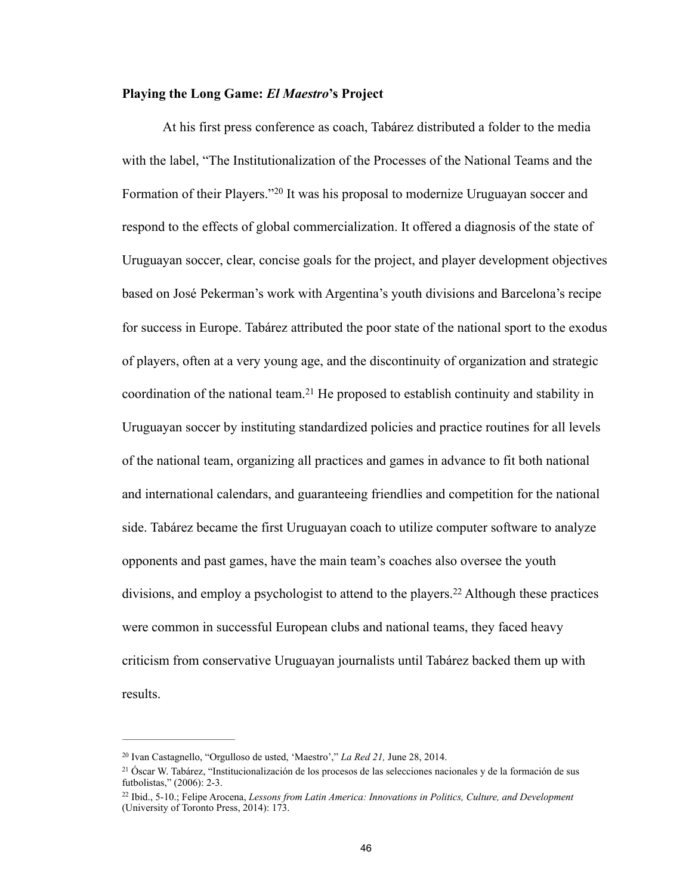## **Playing the Long Game:** *El Maestro***'s Project**

 At his first press conference as coach, Tabárez distributed a folder to the media with the label, "The Institutionalization of the Processes of the National Teams and the Formation of their Players."<sup>20</sup> It was his proposal to modernize Uruguayan soccer and respond to the effects of global commercialization. It offered a diagnosis of the state of Uruguayan soccer, clear, concise goals for the project, and player development objectives based on José Pekerman's work with Argentina's youth divisions and Barcelona's recipe for success in Europe. Tabárez attributed the poor state of the national sport to the exodus of players, often at a very young age, and the discontinuity of organization and strategic coordination of the national team.<sup>21</sup> He proposed to establish continuity and stability in Uruguayan soccer by instituting standardized policies and practice routines for all levels of the national team, organizing all practices and games in advance to fit both national and international calendars, and guaranteeing friendlies and competition for the national side. Tabárez became the first Uruguayan coach to utilize computer software to analyze opponents and past games, have the main team's coaches also oversee the youth divisions, and employ a psychologist to attend to the players.<sup>22</sup> Although these practices were common in successful European clubs and national teams, they faced heavy criticism from conservative Uruguayan journalists until Tabárez backed them up with results.

<sup>&</sup>lt;sup>20</sup> Ivan Castagnello, "Orgulloso de usted, 'Maestro'," *La Red 21*, June 28, 2014.

Óscar W. Tabárez, "Institucionalización de los procesos de las selecciones nacionales y de la formación de sus 21 futbolistas," (2006): 2-3.

<sup>&</sup>lt;sup>22</sup> Ibid., 5-10.; Felipe Arocena, *Lessons from Latin America: Innovations in Politics, Culture, and Development* (University of Toronto Press, 2014): 173.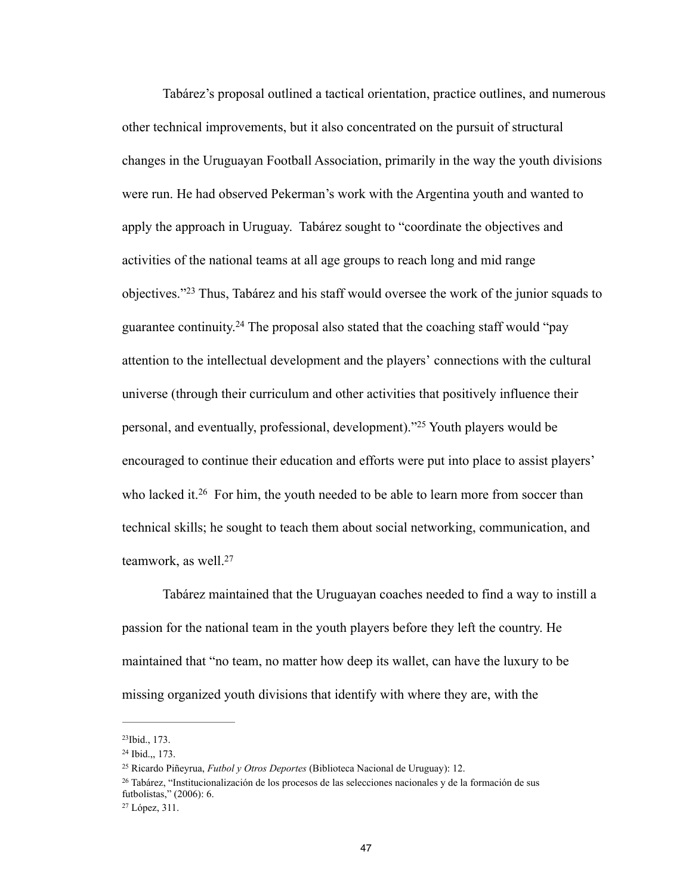Tabárez's proposal outlined a tactical orientation, practice outlines, and numerous other technical improvements, but it also concentrated on the pursuit of structural changes in the Uruguayan Football Association, primarily in the way the youth divisions were run. He had observed Pekerman's work with the Argentina youth and wanted to apply the approach in Uruguay. Tabárez sought to "coordinate the objectives and activities of the national teams at all age groups to reach long and mid range objectives."<sup>23</sup> Thus, Tabárez and his staff would oversee the work of the junior squads to guarantee continuity.<sup>24</sup> The proposal also stated that the coaching staff would "pay attention to the intellectual development and the players' connections with the cultural universe (through their curriculum and other activities that positively influence their personal, and eventually, professional, development).<sup>225</sup> Youth players would be encouraged to continue their education and efforts were put into place to assist players' who lacked it.<sup>26</sup> For him, the youth needed to be able to learn more from soccer than technical skills; he sought to teach them about social networking, communication, and teamwork, as well.27

 Tabárez maintained that the Uruguayan coaches needed to find a way to instill a passion for the national team in the youth players before they left the country. He maintained that "no team, no matter how deep its wallet, can have the luxury to be missing organized youth divisions that identify with where they are, with the

 $23$ Ibid., 173.

 $24$  Ibid.,, 173.

<sup>&</sup>lt;sup>25</sup> Ricardo Piñeyrua, *Futbol y Otros Deportes* (Biblioteca Nacional de Uruguay): 12.

 $26$  Tabárez, "Institucionalización de los procesos de las selecciones nacionales y de la formación de sus futbolistas," (2006): 6.

<sup>&</sup>lt;sup>27</sup> López, 311.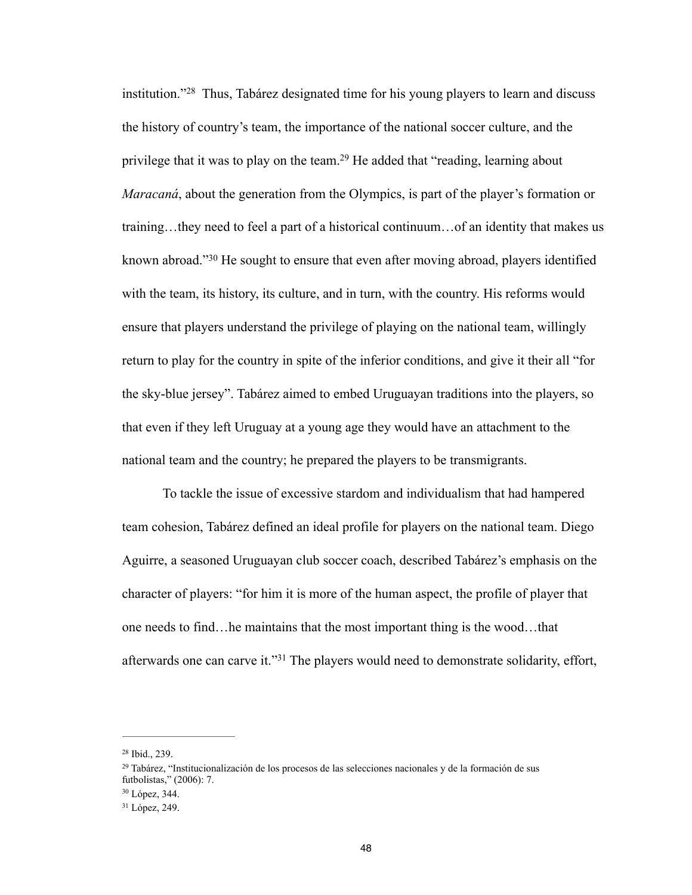institution."<sup> $28$ </sup> Thus, Tabárez designated time for his young players to learn and discuss the history of country's team, the importance of the national soccer culture, and the privilege that it was to play on the team.<sup>29</sup> He added that "reading, learning about *Maracaná*, about the generation from the Olympics, is part of the player's formation or training…they need to feel a part of a historical continuum…of an identity that makes us known abroad."<sup>30</sup> He sought to ensure that even after moving abroad, players identified with the team, its history, its culture, and in turn, with the country. His reforms would ensure that players understand the privilege of playing on the national team, willingly return to play for the country in spite of the inferior conditions, and give it their all "for the sky-blue jersey". Tabárez aimed to embed Uruguayan traditions into the players, so that even if they left Uruguay at a young age they would have an attachment to the national team and the country; he prepared the players to be transmigrants.

 To tackle the issue of excessive stardom and individualism that had hampered team cohesion, Tabárez defined an ideal profile for players on the national team. Diego Aguirre, a seasoned Uruguayan club soccer coach, described Tabárez's emphasis on the character of players: "for him it is more of the human aspect, the profile of player that one needs to find…he maintains that the most important thing is the wood…that afterwards one can carve it."<sup>31</sup> The players would need to demonstrate solidarity, effort,

<sup>&</sup>lt;sup>28</sup> Ibid., 239.

 $^{29}$  Tabárez, "Institucionalización de los procesos de las selecciones nacionales y de la formación de sus futbolistas," (2006): 7.

<sup>&</sup>lt;sup>30</sup> López, 344.

<sup>&</sup>lt;sup>31</sup> López, 249.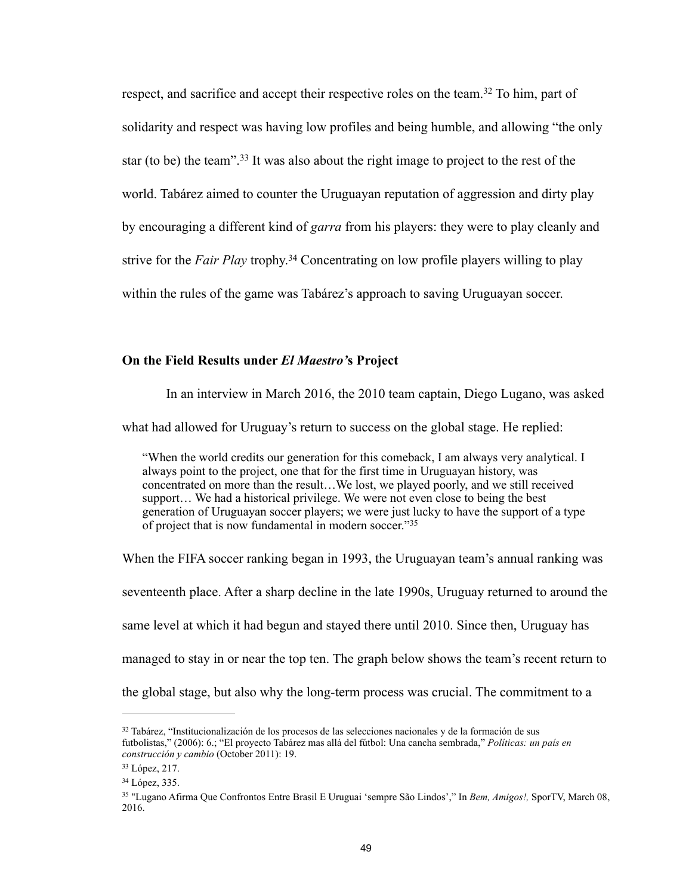respect, and sacrifice and accept their respective roles on the team.<sup>32</sup> To him, part of solidarity and respect was having low profiles and being humble, and allowing "the only star (to be) the team".<sup>33</sup> It was also about the right image to project to the rest of the world. Tabárez aimed to counter the Uruguayan reputation of aggression and dirty play by encouraging a different kind of *garra* from his players: they were to play cleanly and strive for the *Fair Play* trophy.<sup>34</sup> Concentrating on low profile players willing to play within the rules of the game was Tabárez's approach to saving Uruguayan soccer.

### **On the Field Results under** *El Maestro'***s Project**

In an interview in March 2016, the 2010 team captain, Diego Lugano, was asked

what had allowed for Uruguay's return to success on the global stage. He replied:

"When the world credits our generation for this comeback, I am always very analytical. I always point to the project, one that for the first time in Uruguayan history, was concentrated on more than the result…We lost, we played poorly, and we still received support… We had a historical privilege. We were not even close to being the best generation of Uruguayan soccer players; we were just lucky to have the support of a type of project that is now fundamental in modern soccer."35

When the FIFA soccer ranking began in 1993, the Uruguayan team's annual ranking was seventeenth place. After a sharp decline in the late 1990s, Uruguay returned to around the same level at which it had begun and stayed there until 2010. Since then, Uruguay has managed to stay in or near the top ten. The graph below shows the team's recent return to the global stage, but also why the long-term process was crucial. The commitment to a

 $32$  Tabárez, "Institucionalización de los procesos de las selecciones nacionales y de la formación de sus futbolistas," (2006): 6.; "El proyecto Tabárez mas allá del fútbol: Una cancha sembrada," *Políticas: un país en construcción y cambio* (October 2011): 19.

<sup>&</sup>lt;sup>33</sup> López, 217.

<sup>&</sup>lt;sup>34</sup> López, 335.

 <sup>&</sup>quot;Lugano Afirma Que Confrontos Entre Brasil E Uruguai 'sempre São Lindos'," In *Bem, Amigos!,* SporTV, March 08, 35 2016.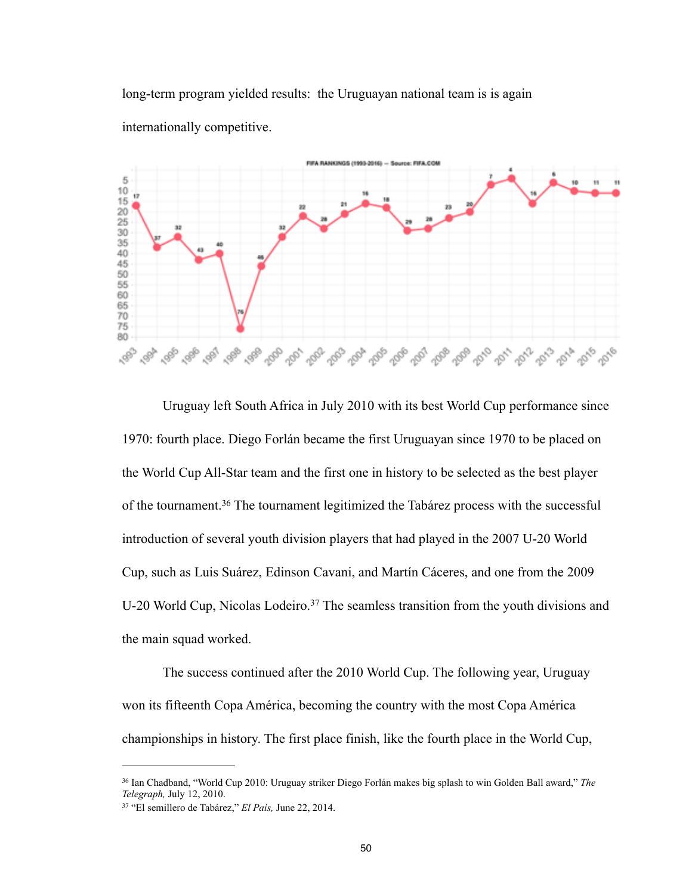long-term program yielded results: the Uruguayan national team is is again internationally competitive.



 Uruguay left South Africa in July 2010 with its best World Cup performance since 1970: fourth place. Diego Forlán became the first Uruguayan since 1970 to be placed on the World Cup All-Star team and the first one in history to be selected as the best player of the tournament.<sup>36</sup> The tournament legitimized the Tabárez process with the successful introduction of several youth division players that had played in the 2007 U-20 World Cup, such as Luis Suárez, Edinson Cavani, and Martín Cáceres, and one from the 2009 U-20 World Cup, Nicolas Lodeiro.<sup>37</sup> The seamless transition from the youth divisions and the main squad worked.

 The success continued after the 2010 World Cup. The following year, Uruguay won its fifteenth Copa América, becoming the country with the most Copa América championships in history. The first place finish, like the fourth place in the World Cup,

<sup>&</sup>lt;sup>36</sup> Ian Chadband, "World Cup 2010: Uruguay striker Diego Forlán makes big splash to win Golden Ball award," The *Telegraph,* July 12, 2010.

<sup>&</sup>lt;sup>37</sup> "El semillero de Tabárez," *El País*, June 22, 2014.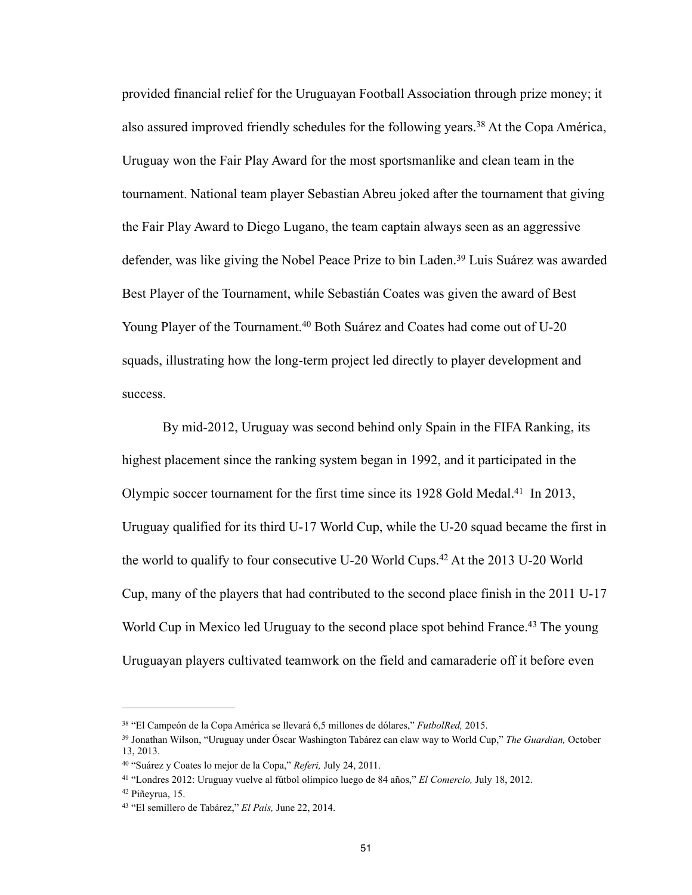provided financial relief for the Uruguayan Football Association through prize money; it also assured improved friendly schedules for the following years.<sup>38</sup> At the Copa América, Uruguay won the Fair Play Award for the most sportsmanlike and clean team in the tournament. National team player Sebastian Abreu joked after the tournament that giving the Fair Play Award to Diego Lugano, the team captain always seen as an aggressive defender, was like giving the Nobel Peace Prize to bin Laden.<sup>39</sup> Luis Suárez was awarded Best Player of the Tournament, while Sebastián Coates was given the award of Best Young Player of the Tournament.<sup>40</sup> Both Suárez and Coates had come out of U-20 squads, illustrating how the long-term project led directly to player development and success.

 By mid-2012, Uruguay was second behind only Spain in the FIFA Ranking, its highest placement since the ranking system began in 1992, and it participated in the Olympic soccer tournament for the first time since its 1928 Gold Medal.<sup>41</sup> In 2013, Uruguay qualified for its third U-17 World Cup, while the U-20 squad became the first in the world to qualify to four consecutive U-20 World Cups.<sup>42</sup> At the 2013 U-20 World Cup, many of the players that had contributed to the second place finish in the 2011 U-17 World Cup in Mexico led Uruguay to the second place spot behind France.<sup>43</sup> The young Uruguayan players cultivated teamwork on the field and camaraderie off it before even

 <sup>&</sup>quot;El Campeón de la Copa América se llevará 6,5 millones de dólares," *FutbolRed,* 2015. <sup>38</sup>

<sup>&</sup>lt;sup>39</sup> Jonathan Wilson, "Uruguay under Óscar Washington Tabárez can claw way to World Cup," *The Guardian*, October 13, 2013.

<sup>&</sup>lt;sup>40</sup> "Suárez y Coates lo mejor de la Copa," *Referi*, July 24, 2011.

 <sup>&</sup>quot;Londres 2012: Uruguay vuelve al fútbol olímpico luego de 84 años," *El Comercio,* July 18, 2012. 41

Piñeyrua, 15. 42

<sup>&</sup>lt;sup>43</sup> "El semillero de Tabárez," *El País*, June 22, 2014.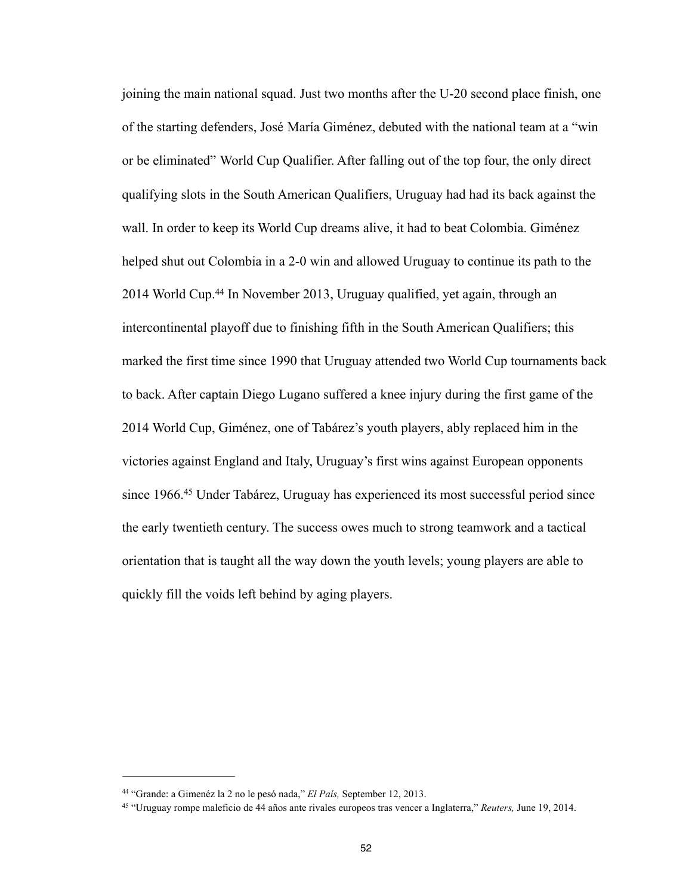joining the main national squad. Just two months after the U-20 second place finish, one of the starting defenders, José María Giménez, debuted with the national team at a "win or be eliminated" World Cup Qualifier. After falling out of the top four, the only direct qualifying slots in the South American Qualifiers, Uruguay had had its back against the wall. In order to keep its World Cup dreams alive, it had to beat Colombia. Giménez helped shut out Colombia in a 2-0 win and allowed Uruguay to continue its path to the 2014 World Cup.<sup>44</sup> In November 2013, Uruguay qualified, yet again, through an intercontinental playoff due to finishing fifth in the South American Qualifiers; this marked the first time since 1990 that Uruguay attended two World Cup tournaments back to back. After captain Diego Lugano suffered a knee injury during the first game of the 2014 World Cup, Giménez, one of Tabárez's youth players, ably replaced him in the victories against England and Italy, Uruguay's first wins against European opponents since 1966.<sup>45</sup> Under Tabárez, Uruguay has experienced its most successful period since the early twentieth century. The success owes much to strong teamwork and a tactical orientation that is taught all the way down the youth levels; young players are able to quickly fill the voids left behind by aging players.

<sup>&</sup>lt;sup>44</sup> "Grande: a Gimenéz la 2 no le pesó nada," *El País*, September 12, 2013.

 <sup>&</sup>quot;Uruguay rompe maleficio de 44 años ante rivales europeos tras vencer a Inglaterra," *Reuters,* June 19, 2014. 45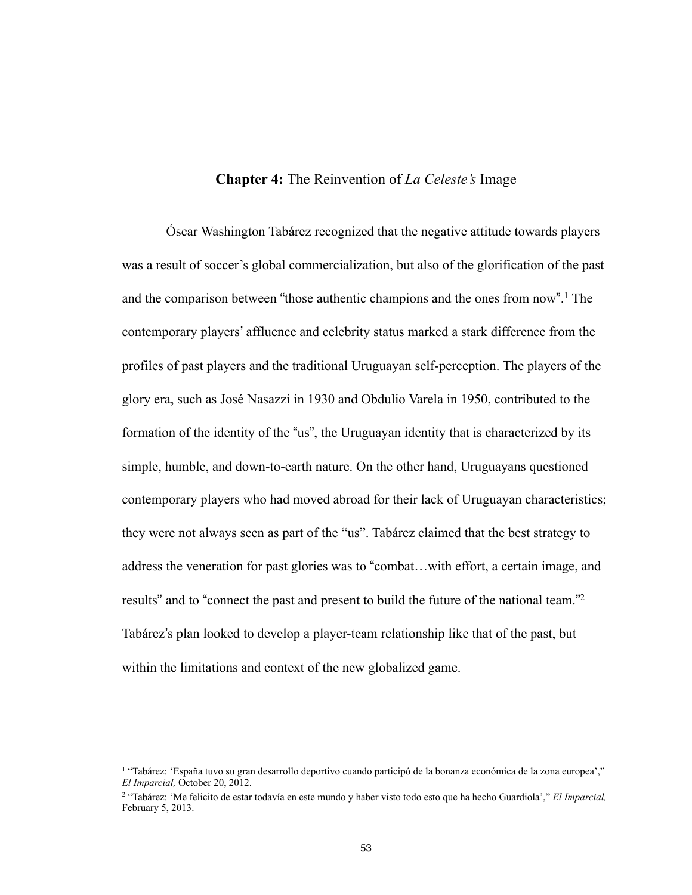## **Chapter 4:** The Reinvention of *La Celeste's* Image

Óscar Washington Tabárez recognized that the negative attitude towards players was a result of soccer's global commercialization, but also of the glorification of the past and the comparison between "those authentic champions and the ones from now".<sup>1</sup> The contemporary players' affluence and celebrity status marked a stark difference from the profiles of past players and the traditional Uruguayan self-perception. The players of the glory era, such as José Nasazzi in 1930 and Obdulio Varela in 1950, contributed to the formation of the identity of the "us", the Uruguayan identity that is characterized by its simple, humble, and down-to-earth nature. On the other hand, Uruguayans questioned contemporary players who had moved abroad for their lack of Uruguayan characteristics; they were not always seen as part of the "us". Tabárez claimed that the best strategy to address the veneration for past glories was to "combat…with effort, a certain image, and results" and to "connect the past and present to build the future of the national team."<sup>2</sup> Tabárez's plan looked to develop a player-team relationship like that of the past, but within the limitations and context of the new globalized game.

<sup>&</sup>lt;sup>1</sup> "Tabárez: 'España tuvo su gran desarrollo deportivo cuando participó de la bonanza económica de la zona europea'," *El Imparcial,* October 20, 2012.

 <sup>&</sup>quot;Tabárez: 'Me felicito de estar todavía en este mundo y haber visto todo esto que ha hecho Guardiola'," *El Imparcial,* <sup>2</sup> February 5, 2013.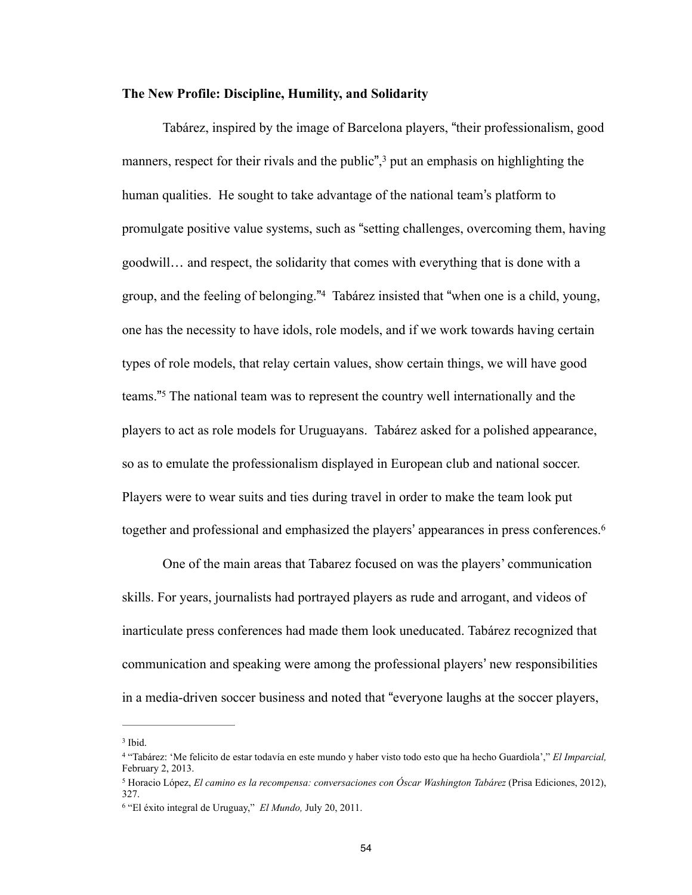#### **The New Profile: Discipline, Humility, and Solidarity**

 Tabárez, inspired by the image of Barcelona players, "their professionalism, good manners, respect for their rivals and the public", $3$  put an emphasis on highlighting the human qualities. He sought to take advantage of the national team's platform to promulgate positive value systems, such as "setting challenges, overcoming them, having goodwill… and respect, the solidarity that comes with everything that is done with a group, and the feeling of belonging."<sup>4</sup> Tabárez insisted that "when one is a child, young, one has the necessity to have idols, role models, and if we work towards having certain types of role models, that relay certain values, show certain things, we will have good teams."<sup>5</sup> The national team was to represent the country well internationally and the players to act as role models for Uruguayans. Tabárez asked for a polished appearance, so as to emulate the professionalism displayed in European club and national soccer. Players were to wear suits and ties during travel in order to make the team look put together and professional and emphasized the players' appearances in press conferences.6

 One of the main areas that Tabarez focused on was the players' communication skills. For years, journalists had portrayed players as rude and arrogant, and videos of inarticulate press conferences had made them look uneducated. Tabárez recognized that communication and speaking were among the professional players' new responsibilities in a media-driven soccer business and noted that "everyone laughs at the soccer players,

 $3$  Ibid.

 <sup>&</sup>quot;Tabárez: 'Me felicito de estar todavía en este mundo y haber visto todo esto que ha hecho Guardiola'," *El Imparcial,* <sup>4</sup> February 2, 2013.

<sup>&</sup>lt;sup>5</sup> Horacio López, *El camino es la recompensa: conversaciones con Óscar Washington Tabárez* (Prisa Ediciones, 2012), 327.

<sup>&</sup>lt;sup>6</sup> "El éxito integral de Uruguay," *El Mundo*, July 20, 2011.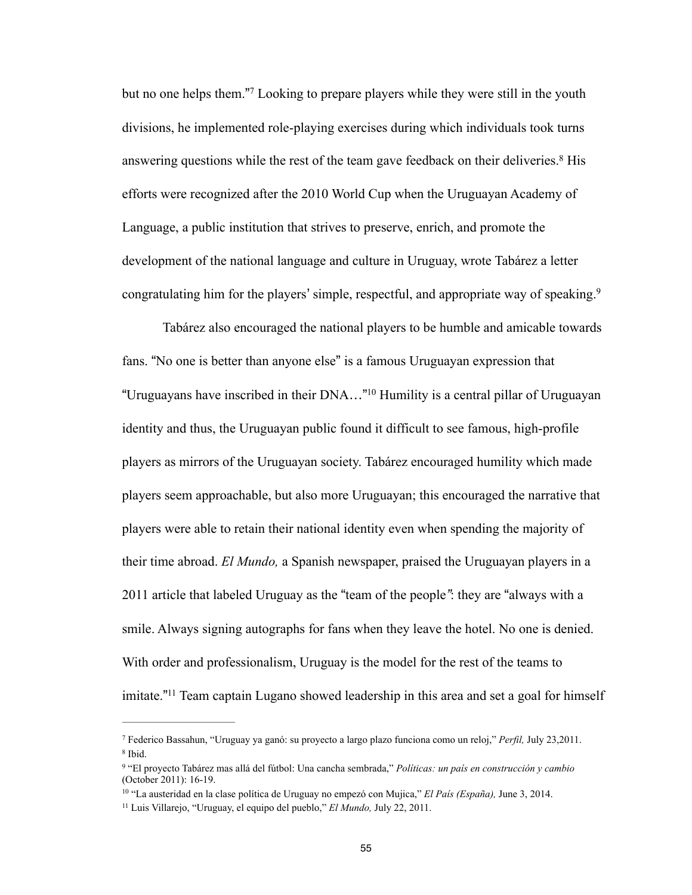but no one helps them."<sup>7</sup> Looking to prepare players while they were still in the youth divisions, he implemented role-playing exercises during which individuals took turns answering questions while the rest of the team gave feedback on their deliveries.<sup>8</sup> His efforts were recognized after the 2010 World Cup when the Uruguayan Academy of Language, a public institution that strives to preserve, enrich, and promote the development of the national language and culture in Uruguay, wrote Tabárez a letter congratulating him for the players' simple, respectful, and appropriate way of speaking.<sup>9</sup>

 Tabárez also encouraged the national players to be humble and amicable towards fans. "No one is better than anyone else" is a famous Uruguayan expression that "Uruguayans have inscribed in their DNA..."<sup>10</sup> Humility is a central pillar of Uruguayan identity and thus, the Uruguayan public found it difficult to see famous, high-profile players as mirrors of the Uruguayan society. Tabárez encouraged humility which made players seem approachable, but also more Uruguayan; this encouraged the narrative that players were able to retain their national identity even when spending the majority of their time abroad. *El Mundo,* a Spanish newspaper, praised the Uruguayan players in a 2011 article that labeled Uruguay as the "team of the people*"*: they are "always with a smile. Always signing autographs for fans when they leave the hotel. No one is denied. With order and professionalism, Uruguay is the model for the rest of the teams to imitate."<sup>11</sup> Team captain Lugano showed leadership in this area and set a goal for himself

Federico Bassahun, "Uruguay ya ganó: su proyecto a largo plazo funciona como un reloj," *Perfil,* July 23,2011. <sup>7</sup> <sup>8</sup> Ibid.

 <sup>&</sup>quot;El proyecto Tabárez mas allá del fútbol: Una cancha sembrada," *Políticas: un país en construcción y cambio* <sup>9</sup> (October 2011): 16-19.

<sup>&</sup>lt;sup>10</sup> "La austeridad en la clase política de Uruguay no empezó con Mujica," *El País (España)*, June 3, 2014.

<sup>&</sup>lt;sup>11</sup> Luis Villarejo, "Uruguay, el equipo del pueblo," *El Mundo*, July 22, 2011.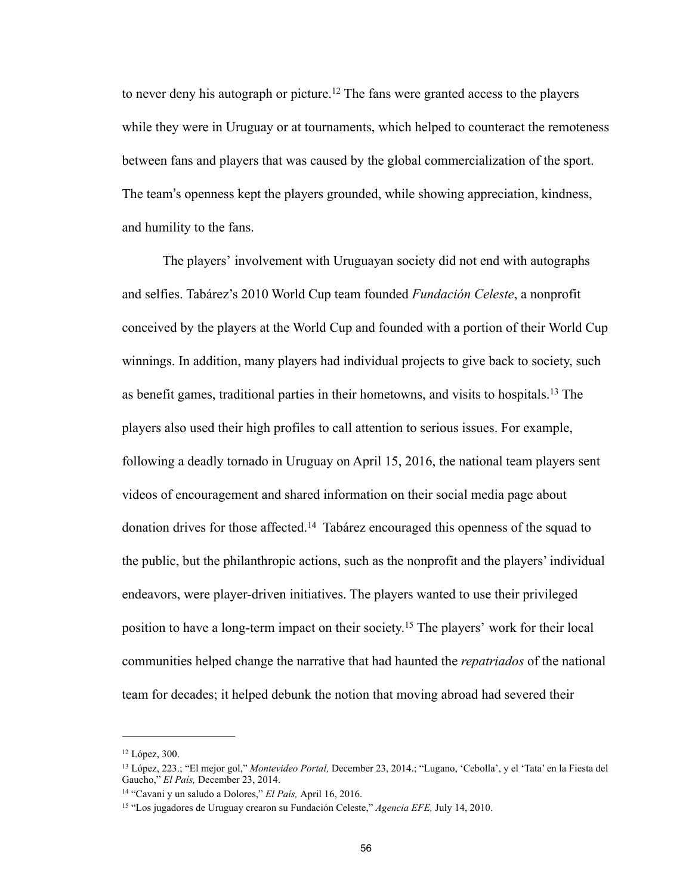to never deny his autograph or picture.<sup>12</sup> The fans were granted access to the players while they were in Uruguay or at tournaments, which helped to counteract the remoteness between fans and players that was caused by the global commercialization of the sport. The team's openness kept the players grounded, while showing appreciation, kindness, and humility to the fans.

 The players' involvement with Uruguayan society did not end with autographs and selfies. Tabárez's 2010 World Cup team founded *Fundación Celeste*, a nonprofit conceived by the players at the World Cup and founded with a portion of their World Cup winnings. In addition, many players had individual projects to give back to society, such as benefit games, traditional parties in their hometowns, and visits to hospitals.<sup>13</sup> The players also used their high profiles to call attention to serious issues. For example, following a deadly tornado in Uruguay on April 15, 2016, the national team players sent videos of encouragement and shared information on their social media page about donation drives for those affected.<sup>14</sup> Tabárez encouraged this openness of the squad to the public, but the philanthropic actions, such as the nonprofit and the players' individual endeavors, were player-driven initiatives. The players wanted to use their privileged position to have a long-term impact on their society.<sup>15</sup> The players' work for their local communities helped change the narrative that had haunted the *repatriados* of the national team for decades; it helped debunk the notion that moving abroad had severed their

<sup>&</sup>lt;sup>12</sup> López, 300.

<sup>&</sup>lt;sup>13</sup> López, 223.; "El mejor gol," *Montevideo Portal*, December 23, 2014.; "Lugano, 'Cebolla', y el 'Tata' en la Fiesta del Gaucho," *El País,* December 23, 2014.

<sup>&</sup>lt;sup>14</sup> "Cavani y un saludo a Dolores," *El País*, April 16, 2016.

<sup>&</sup>lt;sup>15</sup> "Los jugadores de Uruguay crearon su Fundación Celeste," *Agencia EFE*, July 14, 2010.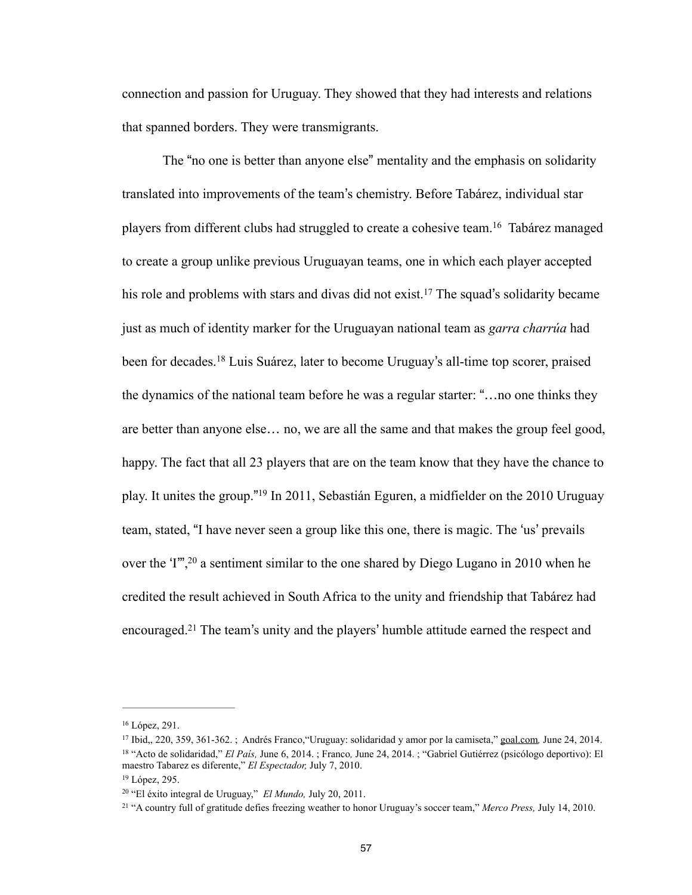connection and passion for Uruguay. They showed that they had interests and relations that spanned borders. They were transmigrants.

 The "no one is better than anyone else" mentality and the emphasis on solidarity translated into improvements of the team's chemistry. Before Tabárez, individual star players from different clubs had struggled to create a cohesive team.<sup>16</sup> Tabárez managed to create a group unlike previous Uruguayan teams, one in which each player accepted his role and problems with stars and divas did not exist.<sup>17</sup> The squad's solidarity became just as much of identity marker for the Uruguayan national team as *garra charrúa* had been for decades.<sup>18</sup> Luis Suárez, later to become Uruguay's all-time top scorer, praised the dynamics of the national team before he was a regular starter: "…no one thinks they are better than anyone else… no, we are all the same and that makes the group feel good, happy. The fact that all 23 players that are on the team know that they have the chance to play. It unites the group."<sup>19</sup> In 2011, Sebastián Eguren, a midfielder on the 2010 Uruguay team, stated, "I have never seen a group like this one, there is magic. The 'us' prevails over the ' $I^{\prime\prime}$ , <sup>20</sup> a sentiment similar to the one shared by Diego Lugano in 2010 when he credited the result achieved in South Africa to the unity and friendship that Tabárez had encouraged.<sup>21</sup> The team's unity and the players' humble attitude earned the respect and

<sup>&</sup>lt;sup>16</sup> López, 291.

<sup>&</sup>lt;sup>17</sup> Ibid., 220, 359, 361-362. ; Andrés Franco, "Uruguay: solidaridad y amor por la camiseta," [goal.com](http://goal.com), June 24, 2014. <sup>18</sup> "Acto de solidaridad," *El País*, June 6, 2014. ; Franco, June 24, 2014. ; "Gabriel Gutiérrez (psicólogo deportivo): El maestro Tabarez es diferente," *El Espectador,* July 7, 2010.

<sup>&</sup>lt;sup>19</sup> López, 295.

<sup>&</sup>lt;sup>20</sup> "El éxito integral de Uruguay," *El Mundo*, July 20, 2011.

<sup>&</sup>lt;sup>21</sup> "A country full of gratitude defies freezing weather to honor Uruguay's soccer team," Merco Press, July 14, 2010.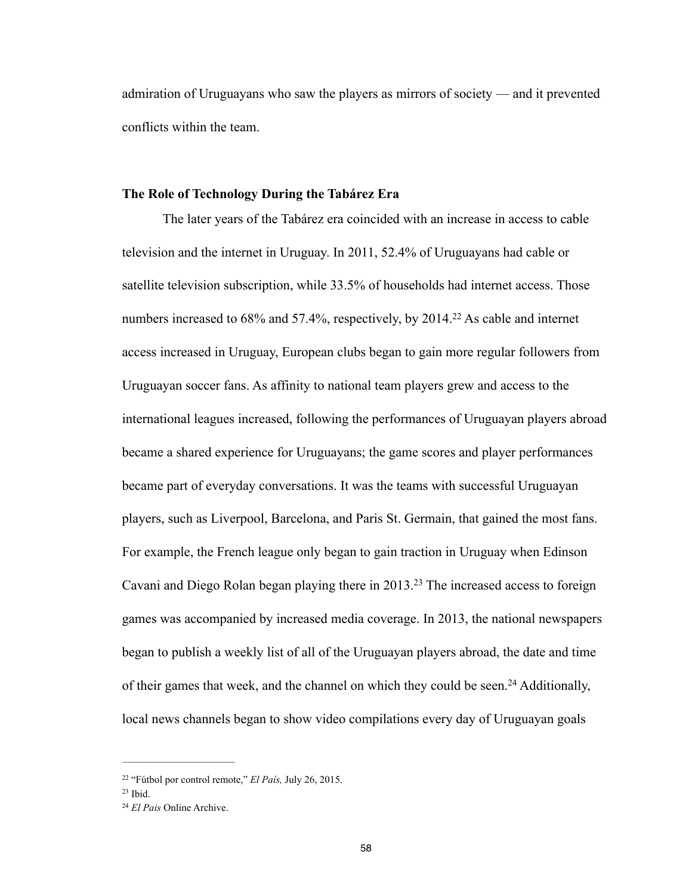admiration of Uruguayans who saw the players as mirrors of society — and it prevented conflicts within the team.

#### **The Role of Technology During the Tabárez Era**

The later years of the Tabárez era coincided with an increase in access to cable television and the internet in Uruguay. In 2011, 52.4% of Uruguayans had cable or satellite television subscription, while 33.5% of households had internet access. Those numbers increased to  $68\%$  and  $57.4\%$ , respectively, by  $2014<sup>22</sup>$  As cable and internet access increased in Uruguay, European clubs began to gain more regular followers from Uruguayan soccer fans. As affinity to national team players grew and access to the international leagues increased, following the performances of Uruguayan players abroad became a shared experience for Uruguayans; the game scores and player performances became part of everyday conversations. It was the teams with successful Uruguayan players, such as Liverpool, Barcelona, and Paris St. Germain, that gained the most fans. For example, the French league only began to gain traction in Uruguay when Edinson Cavani and Diego Rolan began playing there in 2013.<sup>23</sup> The increased access to foreign games was accompanied by increased media coverage. In 2013, the national newspapers began to publish a weekly list of all of the Uruguayan players abroad, the date and time of their games that week, and the channel on which they could be seen.<sup>24</sup> Additionally, local news channels began to show video compilations every day of Uruguayan goals

<sup>&</sup>lt;sup>22</sup> "Fútbol por control remote," *El País*, July 26, 2015.

 $23$  Ibid.

*El Pais* Online Archive. <sup>24</sup>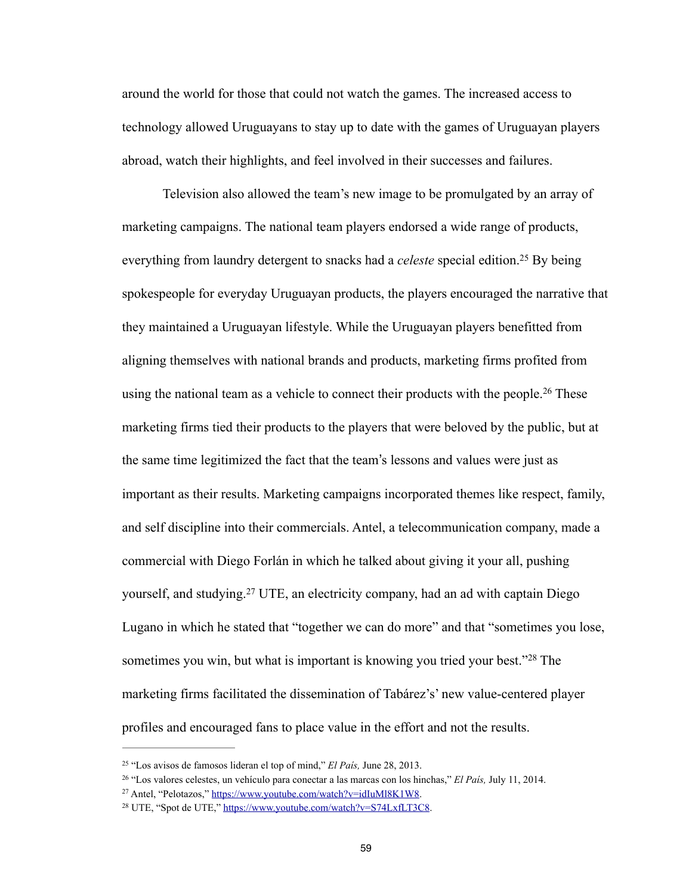around the world for those that could not watch the games. The increased access to technology allowed Uruguayans to stay up to date with the games of Uruguayan players abroad, watch their highlights, and feel involved in their successes and failures.

 Television also allowed the team's new image to be promulgated by an array of marketing campaigns. The national team players endorsed a wide range of products, everything from laundry detergent to snacks had a *celeste* special edition.<sup>25</sup> By being spokespeople for everyday Uruguayan products, the players encouraged the narrative that they maintained a Uruguayan lifestyle. While the Uruguayan players benefitted from aligning themselves with national brands and products, marketing firms profited from using the national team as a vehicle to connect their products with the people.<sup>26</sup> These marketing firms tied their products to the players that were beloved by the public, but at the same time legitimized the fact that the team's lessons and values were just as important as their results. Marketing campaigns incorporated themes like respect, family, and self discipline into their commercials. Antel, a telecommunication company, made a commercial with Diego Forlán in which he talked about giving it your all, pushing yourself, and studying.<sup>27</sup> UTE, an electricity company, had an ad with captain Diego Lugano in which he stated that "together we can do more" and that "sometimes you lose, sometimes you win, but what is important is knowing you tried your best."<sup>28</sup> The marketing firms facilitated the dissemination of Tabárez's' new value-centered player profiles and encouraged fans to place value in the effort and not the results.

<sup>&</sup>lt;sup>25</sup> "Los avisos de famosos lideran el top of mind," *El País*, June 28, 2013.

<sup>&</sup>lt;sup>26</sup> "Los valores celestes, un vehículo para conectar a las marcas con los hinchas," *El País*, July 11, 2014.

<sup>&</sup>lt;sup>27</sup> Antel, "Pelotazos,"<https://www.youtube.com/watch?v=idIuMl8K1W8>.

<sup>&</sup>lt;sup>28</sup> UTE, "Spot de UTE," <https://www.youtube.com/watch?v=S74LxfLT3C8>.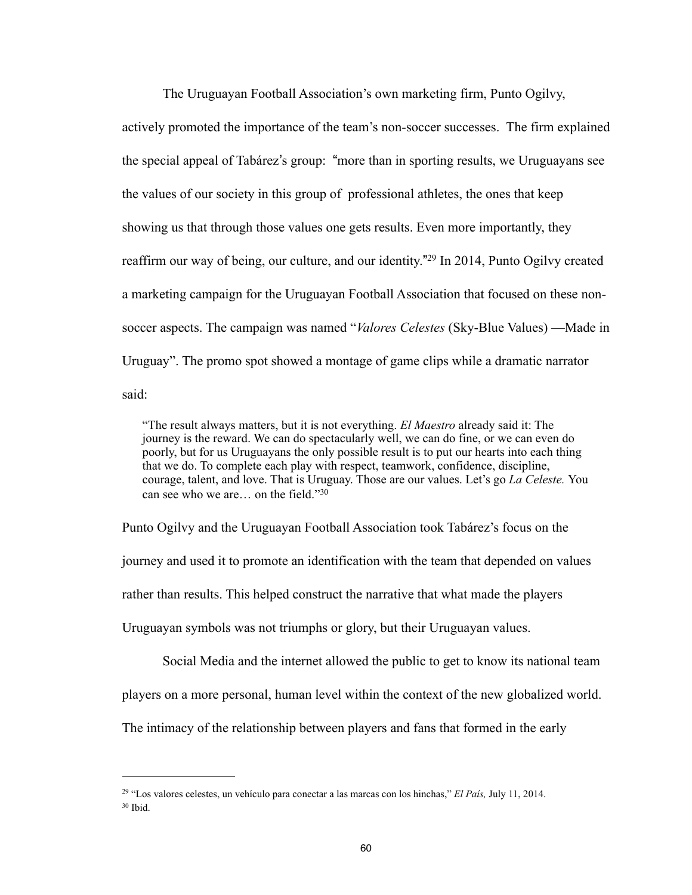The Uruguayan Football Association's own marketing firm, Punto Ogilvy,

actively promoted the importance of the team's non-soccer successes. The firm explained the special appeal of Tabárez's group: "more than in sporting results, we Uruguayans see the values of our society in this group of professional athletes, the ones that keep showing us that through those values one gets results. Even more importantly, they reaffirm our way of being, our culture, and our identity."<sup>29</sup> In 2014, Punto Ogilvy created a marketing campaign for the Uruguayan Football Association that focused on these nonsoccer aspects. The campaign was named "*Valores Celestes* (Sky-Blue Values) —Made in Uruguay". The promo spot showed a montage of game clips while a dramatic narrator said:

"The result always matters, but it is not everything. *El Maestro* already said it: The journey is the reward. We can do spectacularly well, we can do fine, or we can even do poorly, but for us Uruguayans the only possible result is to put our hearts into each thing that we do. To complete each play with respect, teamwork, confidence, discipline, courage, talent, and love. That is Uruguay. Those are our values. Let's go *La Celeste.* You can see who we are… on the field." $30$ 

Punto Ogilvy and the Uruguayan Football Association took Tabárez's focus on the journey and used it to promote an identification with the team that depended on values rather than results. This helped construct the narrative that what made the players Uruguayan symbols was not triumphs or glory, but their Uruguayan values.

Social Media and the internet allowed the public to get to know its national team

players on a more personal, human level within the context of the new globalized world.

The intimacy of the relationship between players and fans that formed in the early

<sup>&</sup>lt;sup>29</sup> "Los valores celestes, un vehículo para conectar a las marcas con los hinchas," *El País*, July 11, 2014.  $30$  Ibid.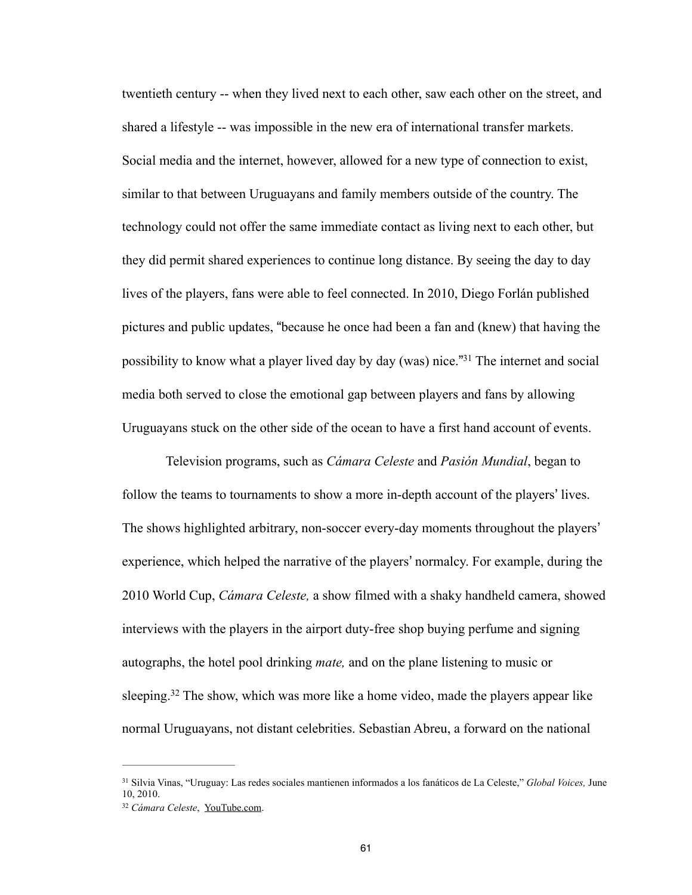twentieth century -- when they lived next to each other, saw each other on the street, and shared a lifestyle -- was impossible in the new era of international transfer markets. Social media and the internet, however, allowed for a new type of connection to exist, similar to that between Uruguayans and family members outside of the country. The technology could not offer the same immediate contact as living next to each other, but they did permit shared experiences to continue long distance. By seeing the day to day lives of the players, fans were able to feel connected. In 2010, Diego Forlán published pictures and public updates, "because he once had been a fan and (knew) that having the possibility to know what a player lived day by day (was) nice.<sup>"31</sup> The internet and social media both served to close the emotional gap between players and fans by allowing Uruguayans stuck on the other side of the ocean to have a first hand account of events.

 Television programs, such as *Cámara Celeste* and *Pasión Mundial*, began to follow the teams to tournaments to show a more in-depth account of the players' lives. The shows highlighted arbitrary, non-soccer every-day moments throughout the players' experience, which helped the narrative of the players' normalcy. For example, during the 2010 World Cup, *Cámara Celeste,* a show filmed with a shaky handheld camera, showed interviews with the players in the airport duty-free shop buying perfume and signing autographs, the hotel pool drinking *mate,* and on the plane listening to music or sleeping.<sup>32</sup> The show, which was more like a home video, made the players appear like normal Uruguayans, not distant celebrities. Sebastian Abreu, a forward on the national

Silvia Vinas, "Uruguay: Las redes sociales mantienen informados a los fanáticos de La Celeste," *Global Voices,* June 31 10, 2010.

*Cámara Celeste*, [YouTube.com](http://youtube.com). <sup>32</sup>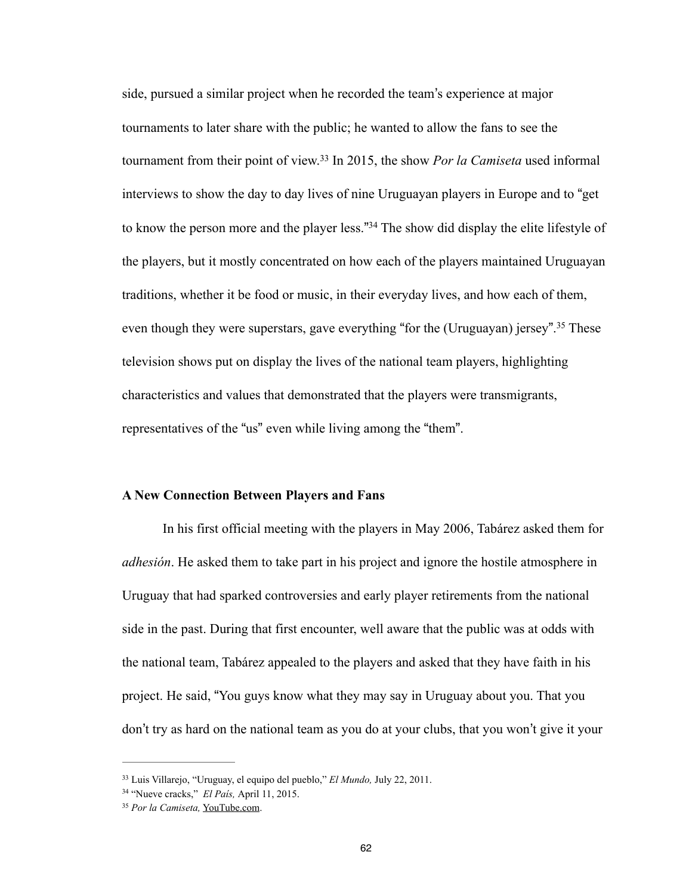side, pursued a similar project when he recorded the team's experience at major tournaments to later share with the public; he wanted to allow the fans to see the tournament from their point of view.<sup>33</sup> In 2015, the show *Por la Camiseta* used informal interviews to show the day to day lives of nine Uruguayan players in Europe and to "get to know the person more and the player less."<sup>34</sup> The show did display the elite lifestyle of the players, but it mostly concentrated on how each of the players maintained Uruguayan traditions, whether it be food or music, in their everyday lives, and how each of them, even though they were superstars, gave everything "for the (Uruguayan) jersey".<sup>35</sup> These television shows put on display the lives of the national team players, highlighting characteristics and values that demonstrated that the players were transmigrants, representatives of the "us" even while living among the "them".

### **A New Connection Between Players and Fans**

In his first official meeting with the players in May 2006, Tabárez asked them for *adhesión*. He asked them to take part in his project and ignore the hostile atmosphere in Uruguay that had sparked controversies and early player retirements from the national side in the past. During that first encounter, well aware that the public was at odds with the national team, Tabárez appealed to the players and asked that they have faith in his project. He said, "You guys know what they may say in Uruguay about you. That you don't try as hard on the national team as you do at your clubs, that you won't give it your

Luis Villarejo, "Uruguay, el equipo del pueblo," *El Mundo,* July 22, 2011. <sup>33</sup>

<sup>&</sup>lt;sup>34</sup> "Nueve cracks," *El País*, April 11, 2015.

*Por la Camiseta,* [YouTube.com.](http://youtube.com) 35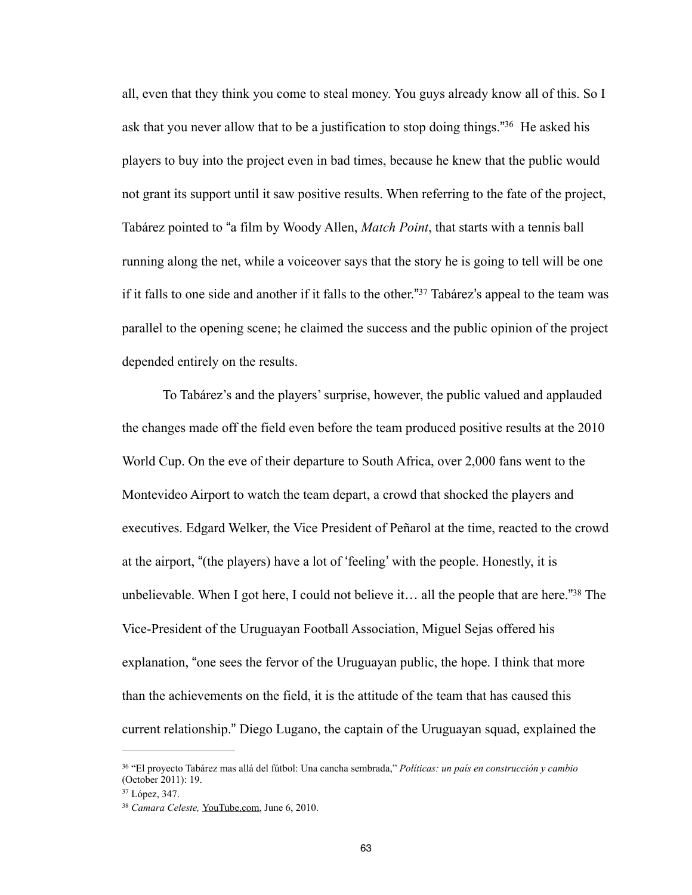all, even that they think you come to steal money. You guys already know all of this. So I ask that you never allow that to be a justification to stop doing things."<sup>36</sup> He asked his players to buy into the project even in bad times, because he knew that the public would not grant its support until it saw positive results. When referring to the fate of the project, Tabárez pointed to "a film by Woody Allen, *Match Point*, that starts with a tennis ball running along the net, while a voiceover says that the story he is going to tell will be one if it falls to one side and another if it falls to the other."<sup>37</sup> Tabárez's appeal to the team was parallel to the opening scene; he claimed the success and the public opinion of the project depended entirely on the results.

 To Tabárez's and the players' surprise, however, the public valued and applauded the changes made off the field even before the team produced positive results at the 2010 World Cup. On the eve of their departure to South Africa, over 2,000 fans went to the Montevideo Airport to watch the team depart, a crowd that shocked the players and executives. Edgard Welker, the Vice President of Peñarol at the time, reacted to the crowd at the airport, "(the players) have a lot of 'feeling' with the people. Honestly, it is unbelievable. When I got here, I could not believe it... all the people that are here."<sup>38</sup> The Vice-President of the Uruguayan Football Association, Miguel Sejas offered his explanation, "one sees the fervor of the Uruguayan public, the hope. I think that more than the achievements on the field, it is the attitude of the team that has caused this current relationship." Diego Lugano, the captain of the Uruguayan squad, explained the

 <sup>&</sup>quot;El proyecto Tabárez mas allá del fútbol: Una cancha sembrada," *Políticas: un país en construcción y cambio* <sup>36</sup> (October 2011): 19.

<sup>37</sup> López, 347.

<sup>&</sup>lt;sup>38</sup> Camara Celeste, [YouTube.com,](http://youtube.com) June 6, 2010.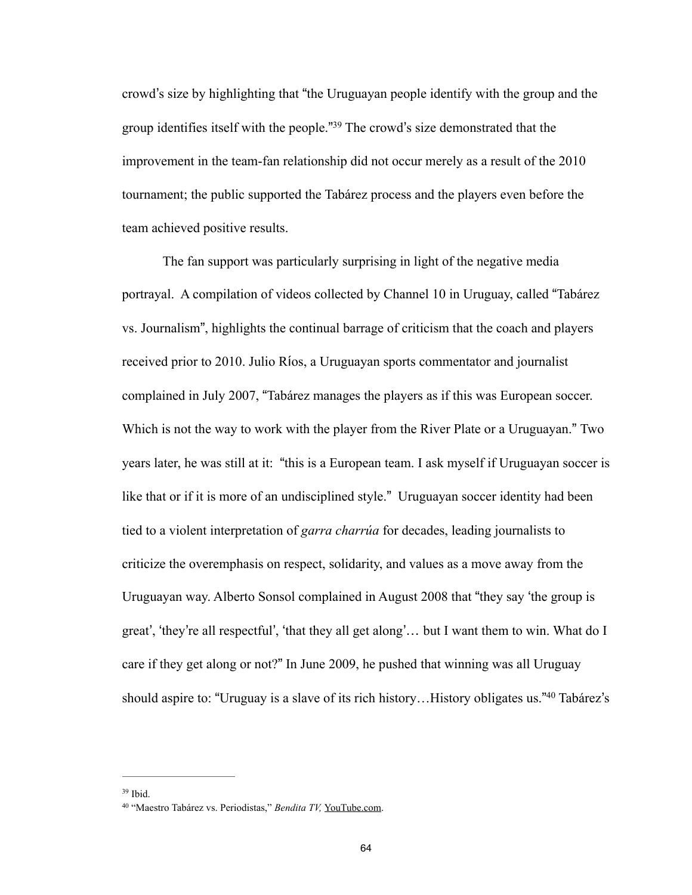crowd's size by highlighting that "the Uruguayan people identify with the group and the group identifies itself with the people."<sup>39</sup> The crowd's size demonstrated that the improvement in the team-fan relationship did not occur merely as a result of the 2010 tournament; the public supported the Tabárez process and the players even before the team achieved positive results.

 The fan support was particularly surprising in light of the negative media portrayal. A compilation of videos collected by Channel 10 in Uruguay, called "Tabárez vs. Journalism", highlights the continual barrage of criticism that the coach and players received prior to 2010. Julio Ríos, a Uruguayan sports commentator and journalist complained in July 2007, "Tabárez manages the players as if this was European soccer. Which is not the way to work with the player from the River Plate or a Uruguayan." Two years later, he was still at it: "this is a European team. I ask myself if Uruguayan soccer is like that or if it is more of an undisciplined style."Uruguayan soccer identity had been tied to a violent interpretation of *garra charrúa* for decades, leading journalists to criticize the overemphasis on respect, solidarity, and values as a move away from the Uruguayan way. Alberto Sonsol complained in August 2008 that "they say 'the group is great', 'they're all respectful', 'that they all get along'… but I want them to win. What do I care if they get along or not?" In June 2009, he pushed that winning was all Uruguay should aspire to: "Uruguay is a slave of its rich history...History obligates us."<sup>40</sup> Tabárez's

<sup>39</sup> Ibid.

<sup>&</sup>lt;sup>40</sup> "Maestro Tabárez vs. Periodistas," Bendita TV, [YouTube.com.](http://youtube.com)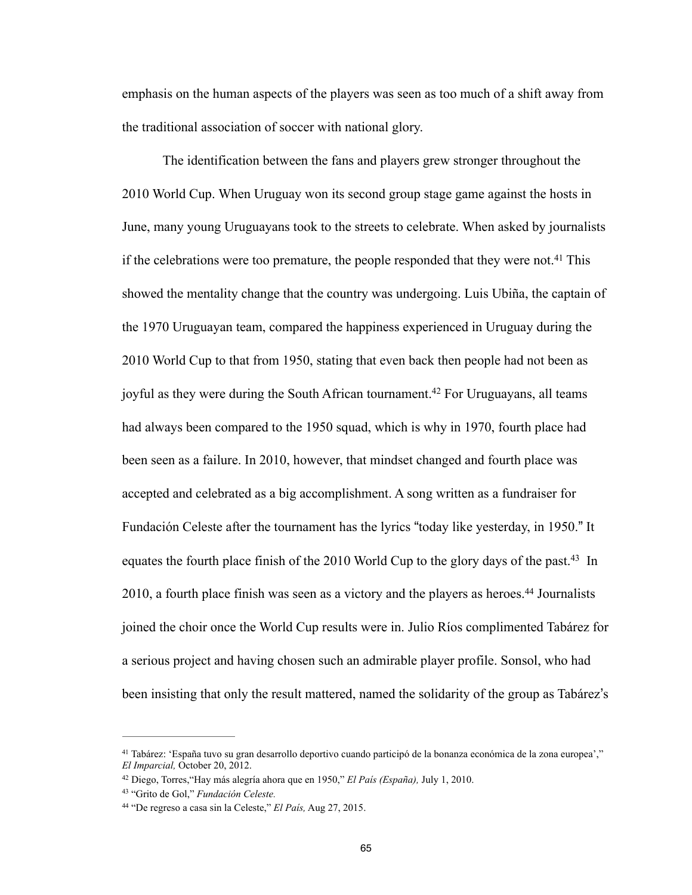emphasis on the human aspects of the players was seen as too much of a shift away from the traditional association of soccer with national glory.

 The identification between the fans and players grew stronger throughout the 2010 World Cup. When Uruguay won its second group stage game against the hosts in June, many young Uruguayans took to the streets to celebrate. When asked by journalists if the celebrations were too premature, the people responded that they were not.<sup>41</sup> This showed the mentality change that the country was undergoing. Luis Ubiña, the captain of the 1970 Uruguayan team, compared the happiness experienced in Uruguay during the 2010 World Cup to that from 1950, stating that even back then people had not been as joyful as they were during the South African tournament.<sup>42</sup> For Uruguayans, all teams had always been compared to the 1950 squad, which is why in 1970, fourth place had been seen as a failure. In 2010, however, that mindset changed and fourth place was accepted and celebrated as a big accomplishment. A song written as a fundraiser for Fundación Celeste after the tournament has the lyrics "today like yesterday, in 1950." It equates the fourth place finish of the 2010 World Cup to the glory days of the past.<sup>43</sup> In  $2010$ , a fourth place finish was seen as a victory and the players as heroes.<sup>44</sup> Journalists joined the choir once the World Cup results were in. Julio Ríos complimented Tabárez for a serious project and having chosen such an admirable player profile. Sonsol, who had been insisting that only the result mattered, named the solidarity of the group as Tabárez's

Tabárez: 'España tuvo su gran desarrollo deportivo cuando participó de la bonanza económica de la zona europea'," 41 *El Imparcial,* October 20, 2012.

Diego, Torres,"Hay más alegría ahora que en 1950," *El País (España),* July 1, 2010. <sup>42</sup>

<sup>&</sup>lt;sup>43</sup> "Grito de Gol," *Fundación Celeste.* 

<sup>&</sup>lt;sup>44</sup> "De regreso a casa sin la Celeste," *El País*, Aug 27, 2015.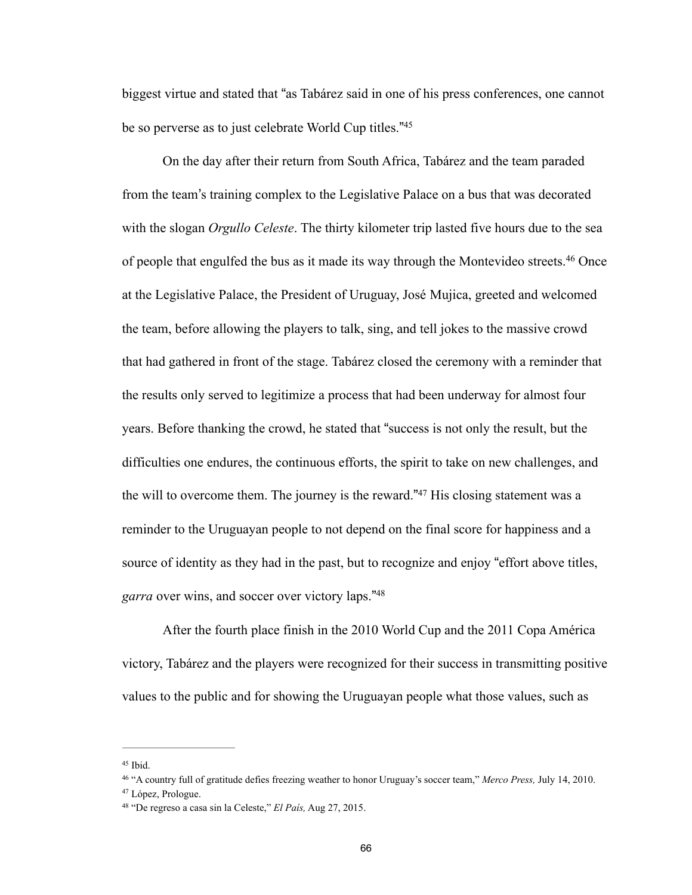biggest virtue and stated that "as Tabárez said in one of his press conferences, one cannot be so perverse as to just celebrate World Cup titles."<sup>45</sup>

 On the day after their return from South Africa, Tabárez and the team paraded from the team's training complex to the Legislative Palace on a bus that was decorated with the slogan *Orgullo Celeste*. The thirty kilometer trip lasted five hours due to the sea of people that engulfed the bus as it made its way through the Montevideo streets.<sup>46</sup> Once at the Legislative Palace, the President of Uruguay, José Mujica, greeted and welcomed the team, before allowing the players to talk, sing, and tell jokes to the massive crowd that had gathered in front of the stage. Tabárez closed the ceremony with a reminder that the results only served to legitimize a process that had been underway for almost four years. Before thanking the crowd, he stated that "success is not only the result, but the difficulties one endures, the continuous efforts, the spirit to take on new challenges, and the will to overcome them. The journey is the reward." $47$  His closing statement was a reminder to the Uruguayan people to not depend on the final score for happiness and a source of identity as they had in the past, but to recognize and enjoy "effort above titles, *garra* over wins, and soccer over victory laps."<sup>48</sup>

 After the fourth place finish in the 2010 World Cup and the 2011 Copa América victory, Tabárez and the players were recognized for their success in transmitting positive values to the public and for showing the Uruguayan people what those values, such as

 $45$  Ibid.

<sup>&</sup>lt;sup>46</sup> "A country full of gratitude defies freezing weather to honor Uruguay's soccer team," *Merco Press*, July 14, 2010.

<sup>47</sup> López, Prologue.

<sup>&</sup>lt;sup>48</sup> "De regreso a casa sin la Celeste," *El País*, Aug 27, 2015.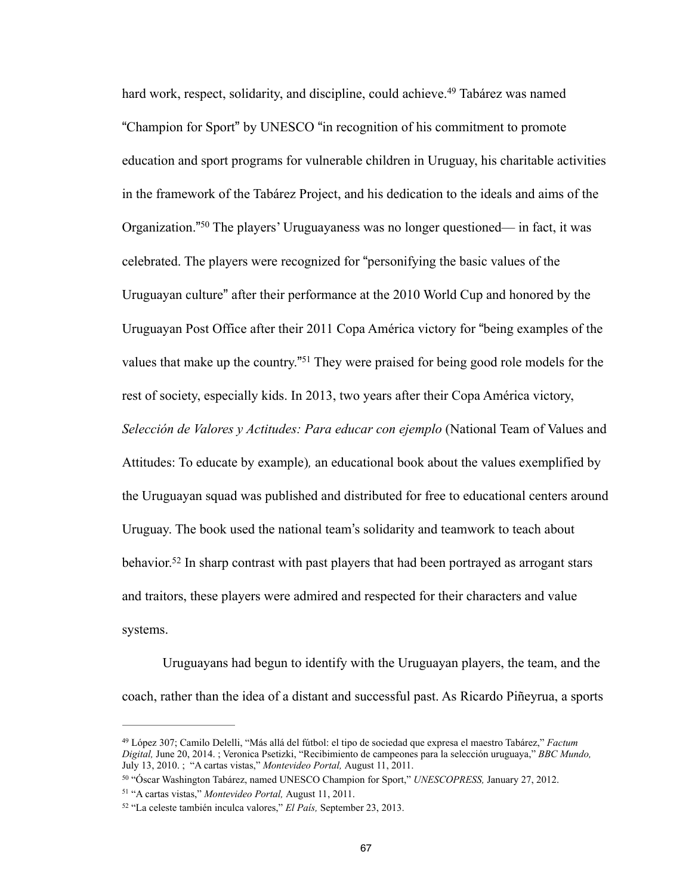hard work, respect, solidarity, and discipline, could achieve.<sup>49</sup> Tabárez was named "Champion for Sport" by UNESCO "in recognition of his commitment to promote education and sport programs for vulnerable children in Uruguay, his charitable activities in the framework of the Tabárez Project, and his dedication to the ideals and aims of the Organization."<sup>50</sup> The players' Uruguayaness was no longer questioned— in fact, it was celebrated. The players were recognized for "personifying the basic values of the Uruguayan culture" after their performance at the 2010 World Cup and honored by the Uruguayan Post Office after their 2011 Copa América victory for "being examples of the values that make up the country."<sup>51</sup> They were praised for being good role models for the rest of society, especially kids. In 2013, two years after their Copa América victory, *Selección de Valores y Actitudes: Para educar con ejemplo* (National Team of Values and Attitudes: To educate by example)*,* an educational book about the values exemplified by the Uruguayan squad was published and distributed for free to educational centers around Uruguay. The book used the national team's solidarity and teamwork to teach about behavior.<sup>52</sup> In sharp contrast with past players that had been portrayed as arrogant stars and traitors, these players were admired and respected for their characters and value systems.

 Uruguayans had begun to identify with the Uruguayan players, the team, and the coach, rather than the idea of a distant and successful past. As Ricardo Piñeyrua, a sports

López 307; Camilo Delelli, "Más allá del fútbol: el tipo de sociedad que expresa el maestro Tabárez," *Factum* <sup>49</sup> *Digital,* June 20, 2014. ; Veronica Psetizki, "Recibimiento de campeones para la selección uruguaya," *BBC Mundo,*  July 13, 2010. ; "A cartas vistas," *Montevideo Portal,* August 11, 2011.

<sup>&</sup>lt;sup>50</sup> "Óscar Washington Tabárez, named UNESCO Champion for Sport," *UNESCOPRESS*, January 27, 2012. <sup>51</sup> "A cartas vistas," *Montevideo Portal*, August 11, 2011.

<sup>&</sup>lt;sup>52</sup> "La celeste también inculca valores," *El País*, September 23, 2013.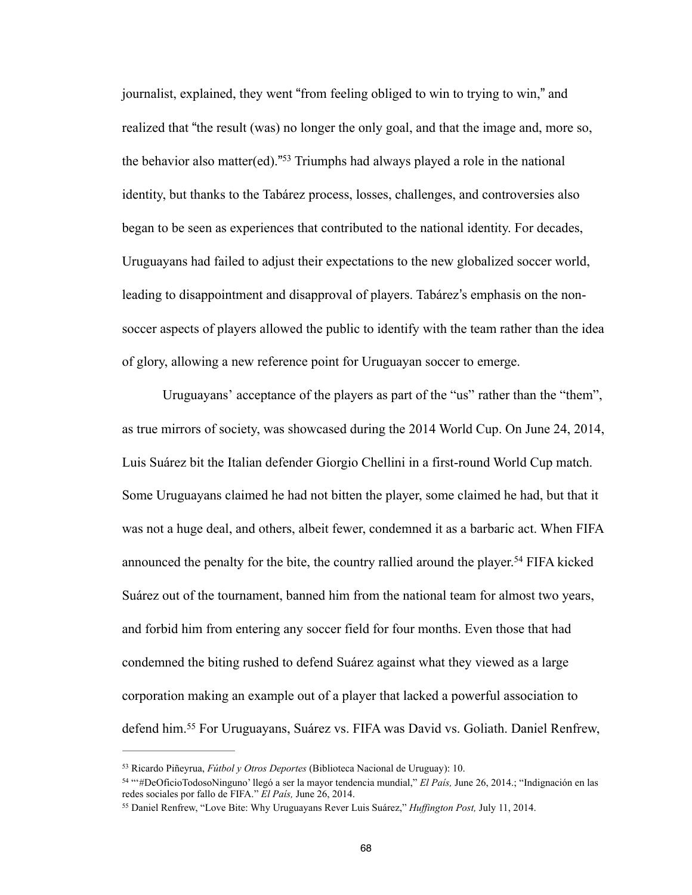journalist, explained, they went "from feeling obliged to win to trying to win," and realized that "the result (was) no longer the only goal, and that the image and, more so, the behavior also matter(ed)."<sup>53</sup> Triumphs had always played a role in the national identity, but thanks to the Tabárez process, losses, challenges, and controversies also began to be seen as experiences that contributed to the national identity. For decades, Uruguayans had failed to adjust their expectations to the new globalized soccer world, leading to disappointment and disapproval of players. Tabárez's emphasis on the nonsoccer aspects of players allowed the public to identify with the team rather than the idea of glory, allowing a new reference point for Uruguayan soccer to emerge.

 Uruguayans' acceptance of the players as part of the "us" rather than the "them", as true mirrors of society, was showcased during the 2014 World Cup. On June 24, 2014, Luis Suárez bit the Italian defender Giorgio Chellini in a first-round World Cup match. Some Uruguayans claimed he had not bitten the player, some claimed he had, but that it was not a huge deal, and others, albeit fewer, condemned it as a barbaric act. When FIFA announced the penalty for the bite, the country rallied around the player.<sup>54</sup> FIFA kicked Suárez out of the tournament, banned him from the national team for almost two years, and forbid him from entering any soccer field for four months. Even those that had condemned the biting rushed to defend Suárez against what they viewed as a large corporation making an example out of a player that lacked a powerful association to defend him.<sup>55</sup> For Uruguayans, Suárez vs. FIFA was David vs. Goliath. Daniel Renfrew,

Ricardo Piñeyrua, *Fútbol y Otros Deportes* (Biblioteca Nacional de Uruguay): 10. 53

<sup>&</sup>lt;sup>54</sup> "#DeOficioTodosoNinguno' llegó a ser la mayor tendencia mundial," *El País*, June 26, 2014.; "Indignación en las redes sociales por fallo de FIFA." *El País,* June 26, 2014.

<sup>&</sup>lt;sup>55</sup> Daniel Renfrew, "Love Bite: Why Uruguayans Rever Luis Suárez," *Huffington Post*, July 11, 2014.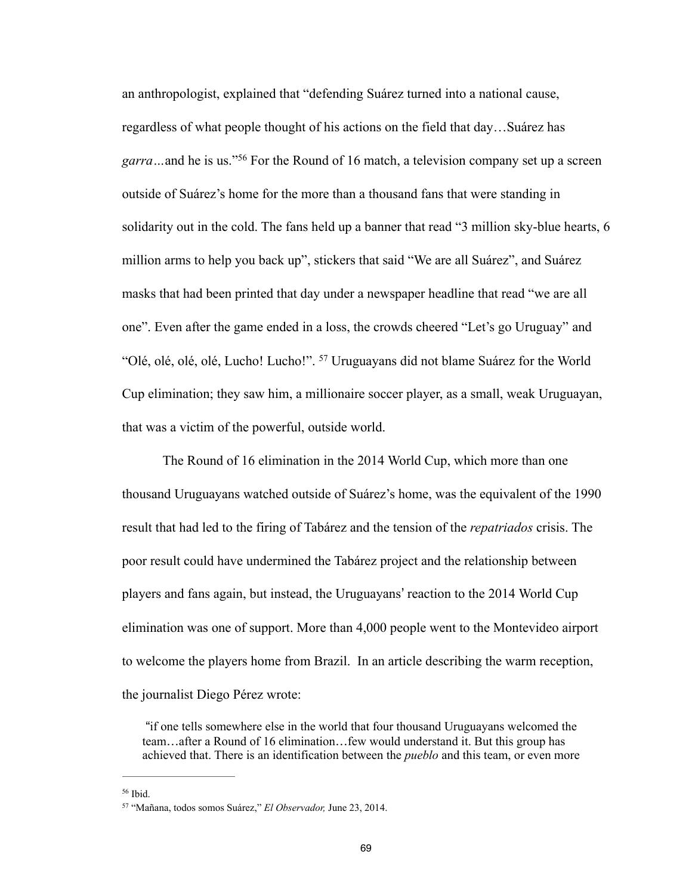an anthropologist, explained that "defending Suárez turned into a national cause, regardless of what people thought of his actions on the field that day…Suárez has *garra* ... and he is us.<sup>756</sup> For the Round of 16 match, a television company set up a screen outside of Suárez's home for the more than a thousand fans that were standing in solidarity out in the cold. The fans held up a banner that read "3 million sky-blue hearts, 6 million arms to help you back up", stickers that said "We are all Suárez", and Suárez masks that had been printed that day under a newspaper headline that read "we are all one". Even after the game ended in a loss, the crowds cheered "Let's go Uruguay" and "Olé, olé, olé, olé, Lucho! Lucho!". <sup>57</sup> Uruguayans did not blame Suárez for the World Cup elimination; they saw him, a millionaire soccer player, as a small, weak Uruguayan, that was a victim of the powerful, outside world.

 The Round of 16 elimination in the 2014 World Cup, which more than one thousand Uruguayans watched outside of Suárez's home, was the equivalent of the 1990 result that had led to the firing of Tabárez and the tension of the *repatriados* crisis. The poor result could have undermined the Tabárez project and the relationship between players and fans again, but instead, the Uruguayans' reaction to the 2014 World Cup elimination was one of support. More than 4,000 people went to the Montevideo airport to welcome the players home from Brazil. In an article describing the warm reception, the journalist Diego Pérez wrote:

 "if one tells somewhere else in the world that four thousand Uruguayans welcomed the team…after a Round of 16 elimination…few would understand it. But this group has achieved that. There is an identification between the *pueblo* and this team, or even more

 $56$  Ibid.

<sup>&</sup>lt;sup>57</sup> "Mañana, todos somos Suárez," *El Observador*, June 23, 2014.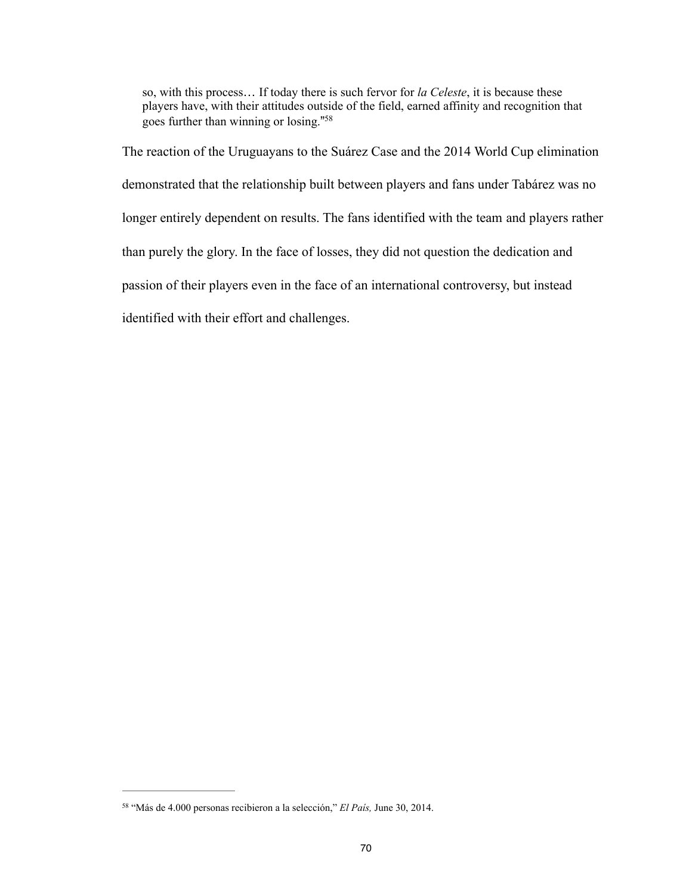so, with this process… If today there is such fervor for *la Celeste*, it is because these players have, with their attitudes outside of the field, earned affinity and recognition that goes further than winning or losing."<sup>58</sup>

The reaction of the Uruguayans to the Suárez Case and the 2014 World Cup elimination demonstrated that the relationship built between players and fans under Tabárez was no longer entirely dependent on results. The fans identified with the team and players rather than purely the glory. In the face of losses, they did not question the dedication and passion of their players even in the face of an international controversy, but instead identified with their effort and challenges.

<sup>&</sup>lt;sup>58</sup> "Más de 4.000 personas recibieron a la selección," *El País*, June 30, 2014.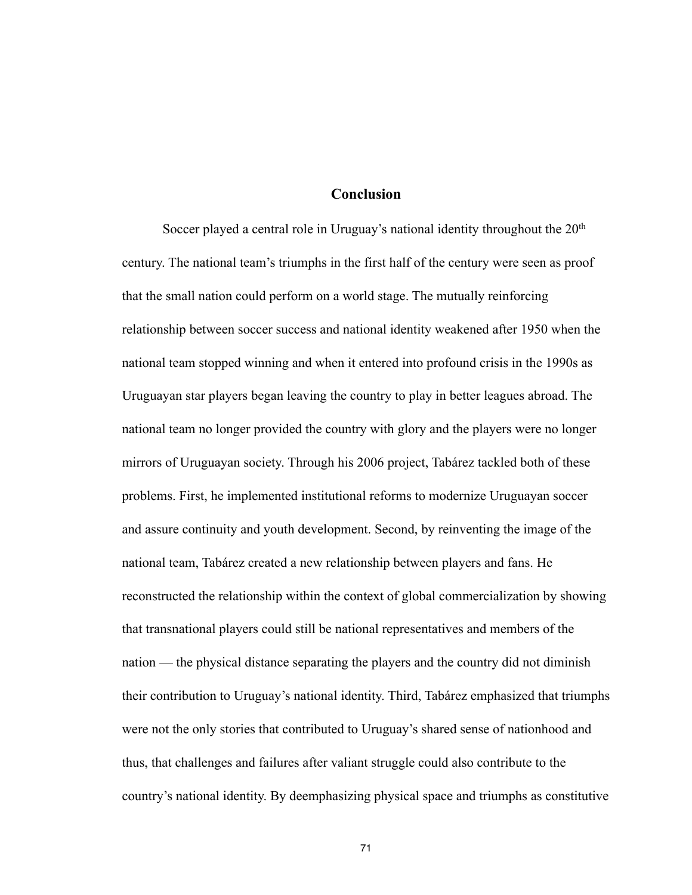#### **Conclusion**

Soccer played a central role in Uruguay's national identity throughout the 20<sup>th</sup> century. The national team's triumphs in the first half of the century were seen as proof that the small nation could perform on a world stage. The mutually reinforcing relationship between soccer success and national identity weakened after 1950 when the national team stopped winning and when it entered into profound crisis in the 1990s as Uruguayan star players began leaving the country to play in better leagues abroad. The national team no longer provided the country with glory and the players were no longer mirrors of Uruguayan society. Through his 2006 project, Tabárez tackled both of these problems. First, he implemented institutional reforms to modernize Uruguayan soccer and assure continuity and youth development. Second, by reinventing the image of the national team, Tabárez created a new relationship between players and fans. He reconstructed the relationship within the context of global commercialization by showing that transnational players could still be national representatives and members of the nation — the physical distance separating the players and the country did not diminish their contribution to Uruguay's national identity. Third, Tabárez emphasized that triumphs were not the only stories that contributed to Uruguay's shared sense of nationhood and thus, that challenges and failures after valiant struggle could also contribute to the country's national identity. By deemphasizing physical space and triumphs as constitutive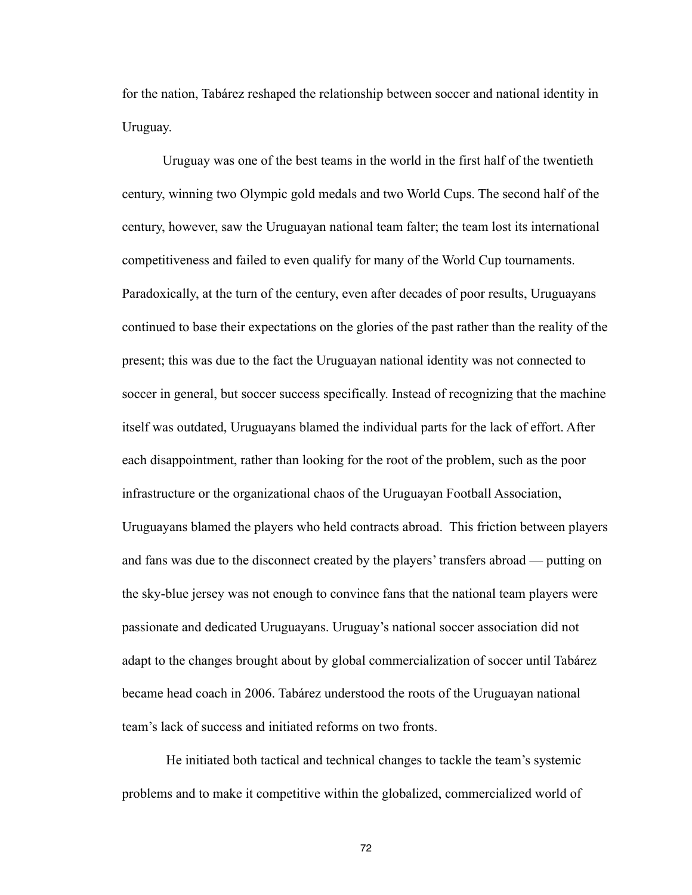for the nation, Tabárez reshaped the relationship between soccer and national identity in Uruguay.

 Uruguay was one of the best teams in the world in the first half of the twentieth century, winning two Olympic gold medals and two World Cups. The second half of the century, however, saw the Uruguayan national team falter; the team lost its international competitiveness and failed to even qualify for many of the World Cup tournaments. Paradoxically, at the turn of the century, even after decades of poor results, Uruguayans continued to base their expectations on the glories of the past rather than the reality of the present; this was due to the fact the Uruguayan national identity was not connected to soccer in general, but soccer success specifically. Instead of recognizing that the machine itself was outdated, Uruguayans blamed the individual parts for the lack of effort. After each disappointment, rather than looking for the root of the problem, such as the poor infrastructure or the organizational chaos of the Uruguayan Football Association, Uruguayans blamed the players who held contracts abroad. This friction between players and fans was due to the disconnect created by the players' transfers abroad — putting on the sky-blue jersey was not enough to convince fans that the national team players were passionate and dedicated Uruguayans. Uruguay's national soccer association did not adapt to the changes brought about by global commercialization of soccer until Tabárez became head coach in 2006. Tabárez understood the roots of the Uruguayan national team's lack of success and initiated reforms on two fronts.

 He initiated both tactical and technical changes to tackle the team's systemic problems and to make it competitive within the globalized, commercialized world of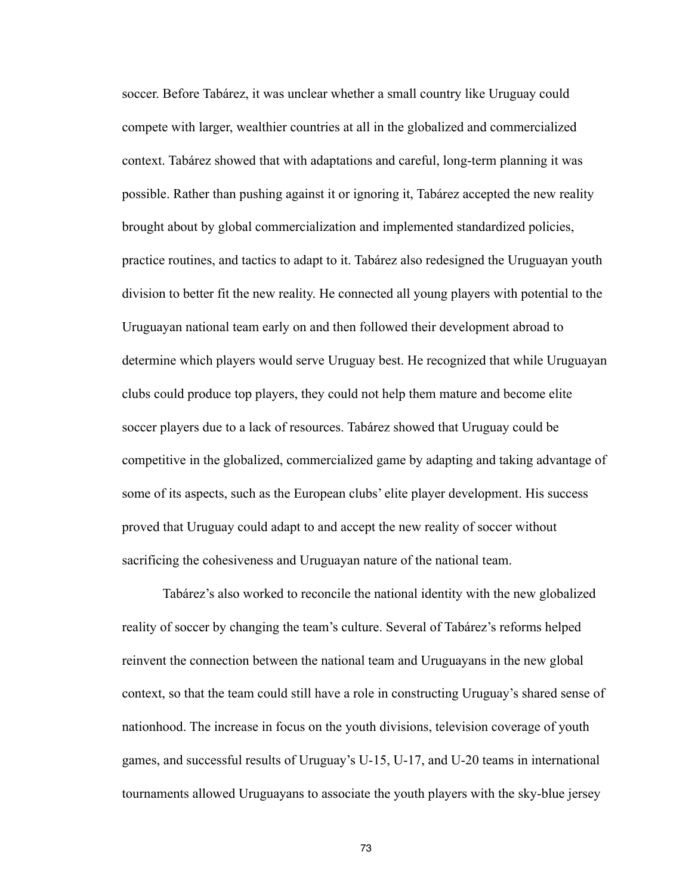soccer. Before Tabárez, it was unclear whether a small country like Uruguay could compete with larger, wealthier countries at all in the globalized and commercialized context. Tabárez showed that with adaptations and careful, long-term planning it was possible. Rather than pushing against it or ignoring it, Tabárez accepted the new reality brought about by global commercialization and implemented standardized policies, practice routines, and tactics to adapt to it. Tabárez also redesigned the Uruguayan youth division to better fit the new reality. He connected all young players with potential to the Uruguayan national team early on and then followed their development abroad to determine which players would serve Uruguay best. He recognized that while Uruguayan clubs could produce top players, they could not help them mature and become elite soccer players due to a lack of resources. Tabárez showed that Uruguay could be competitive in the globalized, commercialized game by adapting and taking advantage of some of its aspects, such as the European clubs' elite player development. His success proved that Uruguay could adapt to and accept the new reality of soccer without sacrificing the cohesiveness and Uruguayan nature of the national team.

 Tabárez's also worked to reconcile the national identity with the new globalized reality of soccer by changing the team's culture. Several of Tabárez's reforms helped reinvent the connection between the national team and Uruguayans in the new global context, so that the team could still have a role in constructing Uruguay's shared sense of nationhood. The increase in focus on the youth divisions, television coverage of youth games, and successful results of Uruguay's U-15, U-17, and U-20 teams in international tournaments allowed Uruguayans to associate the youth players with the sky-blue jersey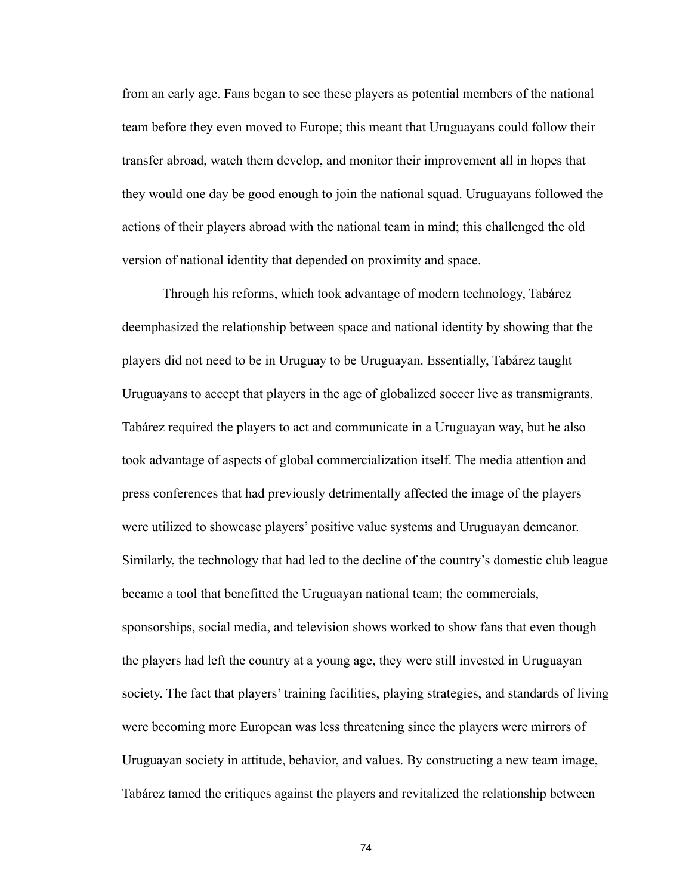from an early age. Fans began to see these players as potential members of the national team before they even moved to Europe; this meant that Uruguayans could follow their transfer abroad, watch them develop, and monitor their improvement all in hopes that they would one day be good enough to join the national squad. Uruguayans followed the actions of their players abroad with the national team in mind; this challenged the old version of national identity that depended on proximity and space.

 Through his reforms, which took advantage of modern technology, Tabárez deemphasized the relationship between space and national identity by showing that the players did not need to be in Uruguay to be Uruguayan. Essentially, Tabárez taught Uruguayans to accept that players in the age of globalized soccer live as transmigrants. Tabárez required the players to act and communicate in a Uruguayan way, but he also took advantage of aspects of global commercialization itself. The media attention and press conferences that had previously detrimentally affected the image of the players were utilized to showcase players' positive value systems and Uruguayan demeanor. Similarly, the technology that had led to the decline of the country's domestic club league became a tool that benefitted the Uruguayan national team; the commercials, sponsorships, social media, and television shows worked to show fans that even though the players had left the country at a young age, they were still invested in Uruguayan society. The fact that players' training facilities, playing strategies, and standards of living were becoming more European was less threatening since the players were mirrors of Uruguayan society in attitude, behavior, and values. By constructing a new team image, Tabárez tamed the critiques against the players and revitalized the relationship between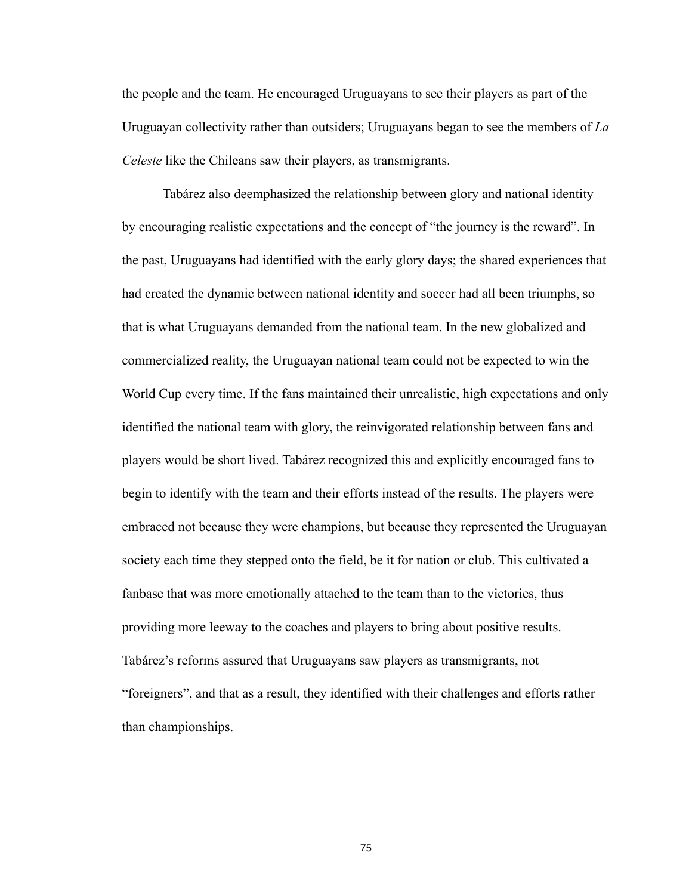the people and the team. He encouraged Uruguayans to see their players as part of the Uruguayan collectivity rather than outsiders; Uruguayans began to see the members of *La Celeste* like the Chileans saw their players, as transmigrants.

 Tabárez also deemphasized the relationship between glory and national identity by encouraging realistic expectations and the concept of "the journey is the reward". In the past, Uruguayans had identified with the early glory days; the shared experiences that had created the dynamic between national identity and soccer had all been triumphs, so that is what Uruguayans demanded from the national team. In the new globalized and commercialized reality, the Uruguayan national team could not be expected to win the World Cup every time. If the fans maintained their unrealistic, high expectations and only identified the national team with glory, the reinvigorated relationship between fans and players would be short lived. Tabárez recognized this and explicitly encouraged fans to begin to identify with the team and their efforts instead of the results. The players were embraced not because they were champions, but because they represented the Uruguayan society each time they stepped onto the field, be it for nation or club. This cultivated a fanbase that was more emotionally attached to the team than to the victories, thus providing more leeway to the coaches and players to bring about positive results. Tabárez's reforms assured that Uruguayans saw players as transmigrants, not "foreigners", and that as a result, they identified with their challenges and efforts rather than championships.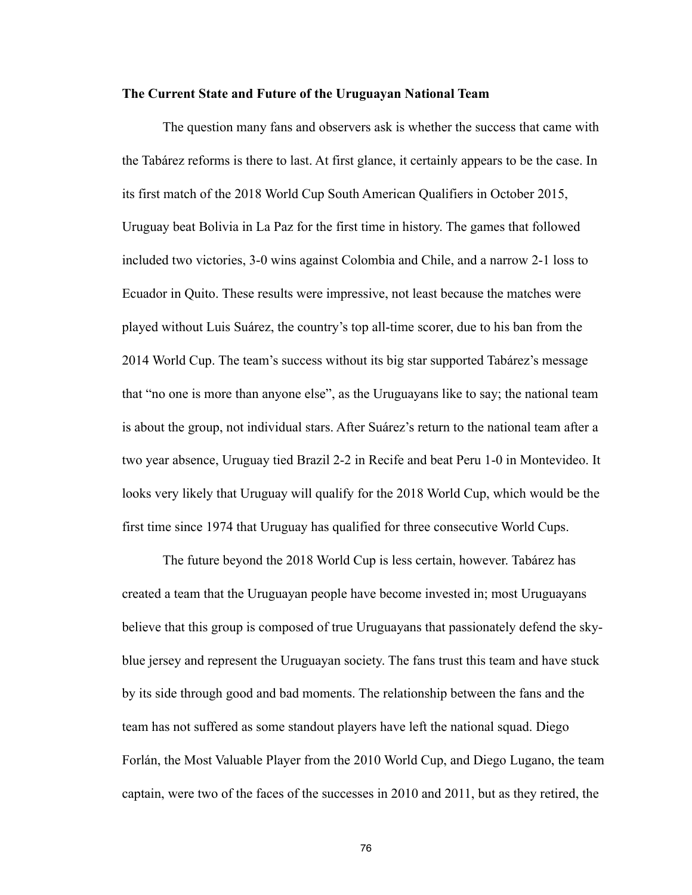#### **The Current State and Future of the Uruguayan National Team**

 The question many fans and observers ask is whether the success that came with the Tabárez reforms is there to last. At first glance, it certainly appears to be the case. In its first match of the 2018 World Cup South American Qualifiers in October 2015, Uruguay beat Bolivia in La Paz for the first time in history. The games that followed included two victories, 3-0 wins against Colombia and Chile, and a narrow 2-1 loss to Ecuador in Quito. These results were impressive, not least because the matches were played without Luis Suárez, the country's top all-time scorer, due to his ban from the 2014 World Cup. The team's success without its big star supported Tabárez's message that "no one is more than anyone else", as the Uruguayans like to say; the national team is about the group, not individual stars. After Suárez's return to the national team after a two year absence, Uruguay tied Brazil 2-2 in Recife and beat Peru 1-0 in Montevideo. It looks very likely that Uruguay will qualify for the 2018 World Cup, which would be the first time since 1974 that Uruguay has qualified for three consecutive World Cups.

 The future beyond the 2018 World Cup is less certain, however. Tabárez has created a team that the Uruguayan people have become invested in; most Uruguayans believe that this group is composed of true Uruguayans that passionately defend the skyblue jersey and represent the Uruguayan society. The fans trust this team and have stuck by its side through good and bad moments. The relationship between the fans and the team has not suffered as some standout players have left the national squad. Diego Forlán, the Most Valuable Player from the 2010 World Cup, and Diego Lugano, the team captain, were two of the faces of the successes in 2010 and 2011, but as they retired, the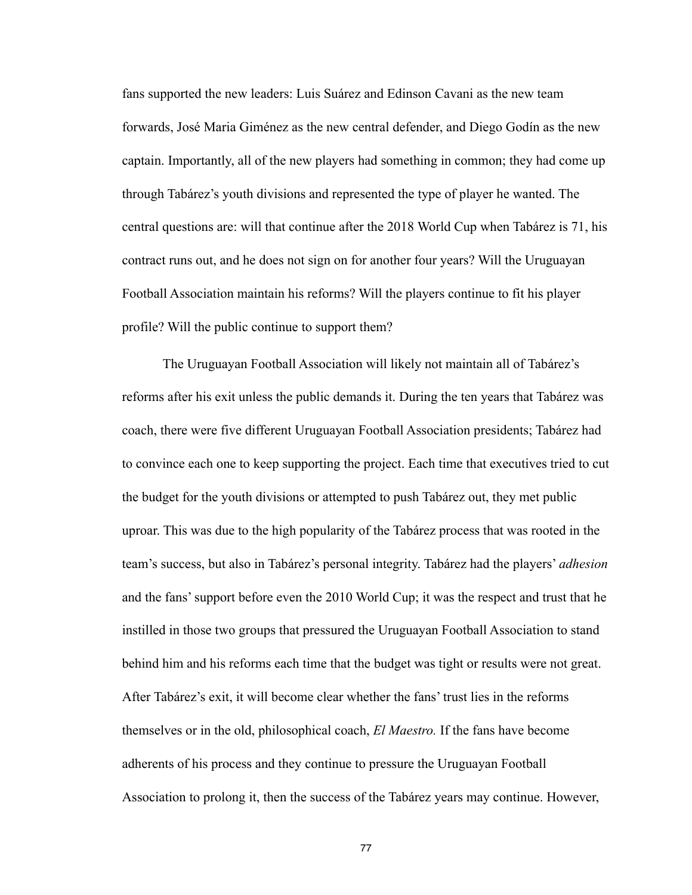fans supported the new leaders: Luis Suárez and Edinson Cavani as the new team forwards, José Maria Giménez as the new central defender, and Diego Godín as the new captain. Importantly, all of the new players had something in common; they had come up through Tabárez's youth divisions and represented the type of player he wanted. The central questions are: will that continue after the 2018 World Cup when Tabárez is 71, his contract runs out, and he does not sign on for another four years? Will the Uruguayan Football Association maintain his reforms? Will the players continue to fit his player profile? Will the public continue to support them?

 The Uruguayan Football Association will likely not maintain all of Tabárez's reforms after his exit unless the public demands it. During the ten years that Tabárez was coach, there were five different Uruguayan Football Association presidents; Tabárez had to convince each one to keep supporting the project. Each time that executives tried to cut the budget for the youth divisions or attempted to push Tabárez out, they met public uproar. This was due to the high popularity of the Tabárez process that was rooted in the team's success, but also in Tabárez's personal integrity. Tabárez had the players' *adhesion*  and the fans' support before even the 2010 World Cup; it was the respect and trust that he instilled in those two groups that pressured the Uruguayan Football Association to stand behind him and his reforms each time that the budget was tight or results were not great. After Tabárez's exit, it will become clear whether the fans' trust lies in the reforms themselves or in the old, philosophical coach, *El Maestro.* If the fans have become adherents of his process and they continue to pressure the Uruguayan Football Association to prolong it, then the success of the Tabárez years may continue. However,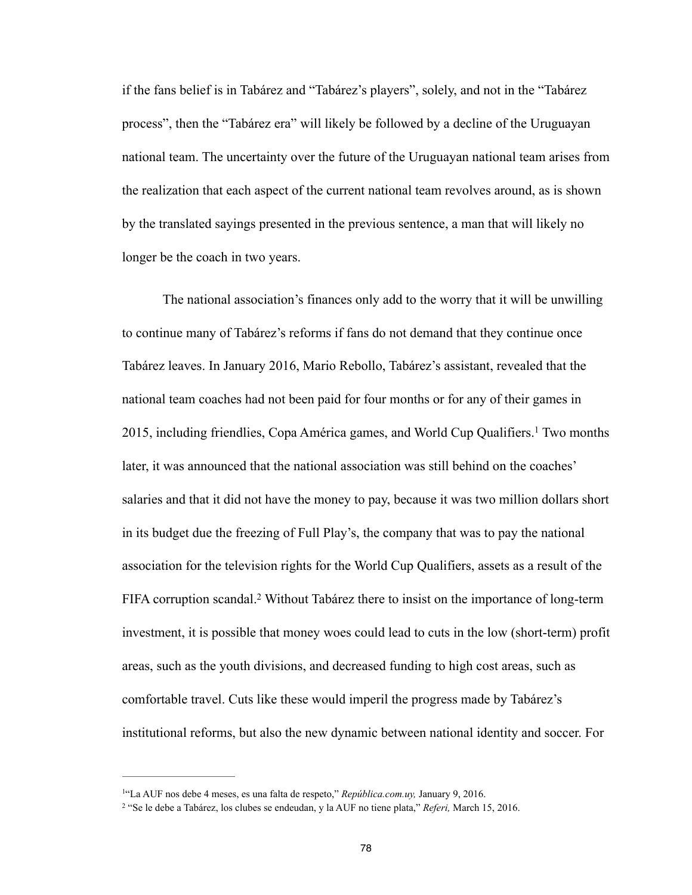if the fans belief is in Tabárez and "Tabárez's players", solely, and not in the "Tabárez process", then the "Tabárez era" will likely be followed by a decline of the Uruguayan national team. The uncertainty over the future of the Uruguayan national team arises from the realization that each aspect of the current national team revolves around, as is shown by the translated sayings presented in the previous sentence, a man that will likely no longer be the coach in two years.

 The national association's finances only add to the worry that it will be unwilling to continue many of Tabárez's reforms if fans do not demand that they continue once Tabárez leaves. In January 2016, Mario Rebollo, Tabárez's assistant, revealed that the national team coaches had not been paid for four months or for any of their games in 2015, including friendlies, Copa América games, and World Cup Qualifiers.<sup>1</sup> Two months later, it was announced that the national association was still behind on the coaches' salaries and that it did not have the money to pay, because it was two million dollars short in its budget due the freezing of Full Play's, the company that was to pay the national association for the television rights for the World Cup Qualifiers, assets as a result of the FIFA corruption scandal.<sup>2</sup> Without Tabárez there to insist on the importance of long-term investment, it is possible that money woes could lead to cuts in the low (short-term) profit areas, such as the youth divisions, and decreased funding to high cost areas, such as comfortable travel. Cuts like these would imperil the progress made by Tabárez's institutional reforms, but also the new dynamic between national identity and soccer. For

<sup>&</sup>lt;sup>1</sup>"La AUF nos debe 4 meses, es una falta de respeto," *República.com.uy*, January 9, 2016.

 <sup>&</sup>quot;Se le debe a Tabárez, los clubes se endeudan, y la AUF no tiene plata," *Referi,* March 15, 2016. <sup>2</sup>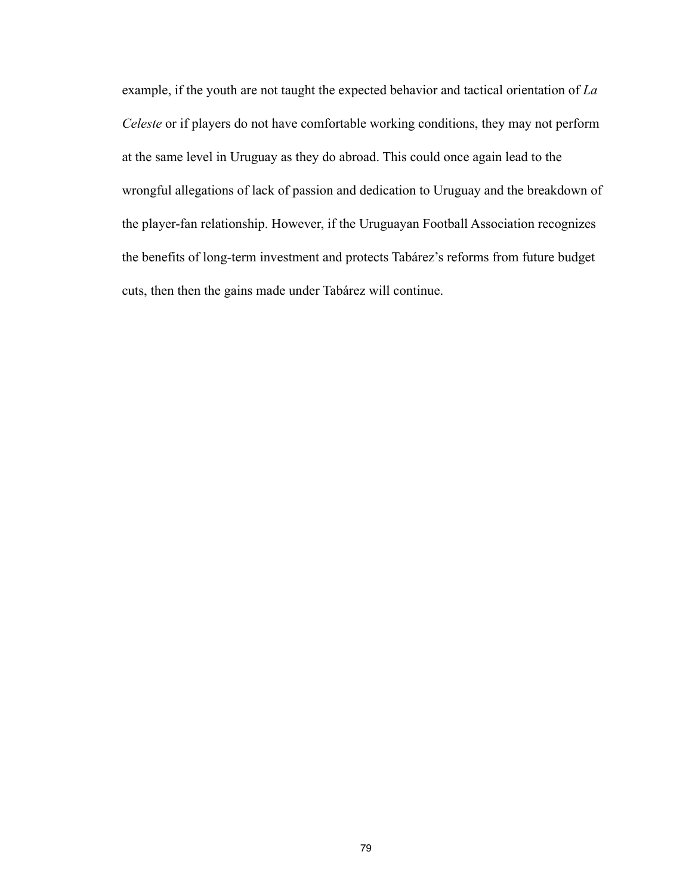example, if the youth are not taught the expected behavior and tactical orientation of *La Celeste* or if players do not have comfortable working conditions, they may not perform at the same level in Uruguay as they do abroad. This could once again lead to the wrongful allegations of lack of passion and dedication to Uruguay and the breakdown of the player-fan relationship. However, if the Uruguayan Football Association recognizes the benefits of long-term investment and protects Tabárez's reforms from future budget cuts, then then the gains made under Tabárez will continue.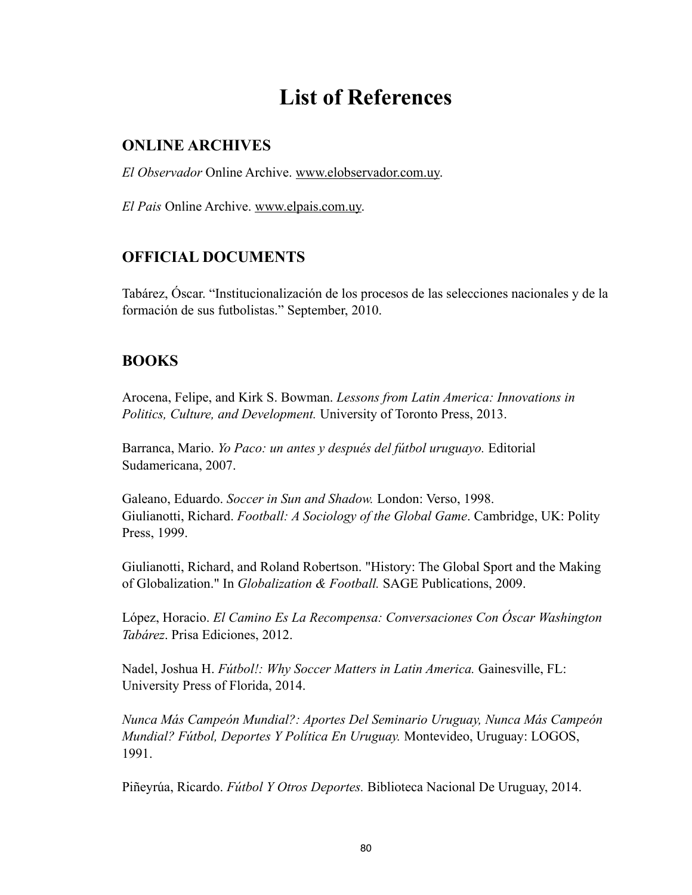# **List of References**

#### **ONLINE ARCHIVES**

*El Observador* Online Archive. [www.elobservador.com.uy](http://www.elobservador.com.uy).

*El Pais* Online Archive. [www.elpais.com.uy.](http://www.elpais.com.uy)

## **OFFICIAL DOCUMENTS**

Tabárez, Óscar. "Institucionalización de los procesos de las selecciones nacionales y de la formación de sus futbolistas." September, 2010.

#### **BOOKS**

Arocena, Felipe, and Kirk S. Bowman. *Lessons from Latin America: Innovations in Politics, Culture, and Development.* University of Toronto Press, 2013.

Barranca, Mario. *Yo Paco: un antes y después del fútbol uruguayo.* Editorial Sudamericana, 2007.

Galeano, Eduardo. *Soccer in Sun and Shadow.* London: Verso, 1998. Giulianotti, Richard. *Football: A Sociology of the Global Game*. Cambridge, UK: Polity Press, 1999.

Giulianotti, Richard, and Roland Robertson. "History: The Global Sport and the Making of Globalization." In *Globalization & Football.* SAGE Publications, 2009.

López, Horacio. *El Camino Es La Recompensa: Conversaciones Con Óscar Washington Tabárez*. Prisa Ediciones, 2012.

Nadel, Joshua H. *Fútbol!: Why Soccer Matters in Latin America.* Gainesville, FL: University Press of Florida, 2014.

*Nunca Más Campeón Mundial?: Aportes Del Seminario Uruguay, Nunca Más Campeón Mundial? Fútbol, Deportes Y Política En Uruguay.* Montevideo, Uruguay: LOGOS, 1991.

Piñeyrúa, Ricardo. *Fútbol Y Otros Deportes.* Biblioteca Nacional De Uruguay, 2014.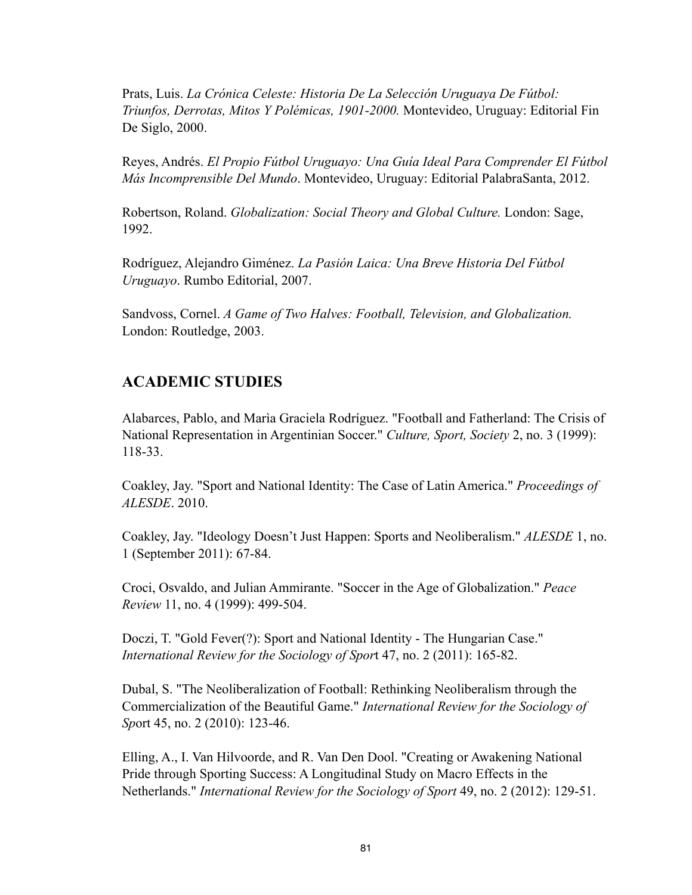Prats, Luis. *La Crónica Celeste: Historia De La Selección Uruguaya De Fútbol: Triunfos, Derrotas, Mitos Y Polémicas, 1901-2000.* Montevideo, Uruguay: Editorial Fin De Siglo, 2000.

Reyes, Andrés. *El Propio Fútbol Uruguayo: Una Guía Ideal Para Comprender El Fútbol Más Incomprensible Del Mundo*. Montevideo, Uruguay: Editorial PalabraSanta, 2012.

Robertson, Roland. *Globalization: Social Theory and Global Culture.* London: Sage, 1992.

Rodríguez, Alejandro Giménez. *La Pasión Laica: Una Breve Historia Del Fútbol Uruguayo*. Rumbo Editorial, 2007.

Sandvoss, Cornel. *A Game of Two Halves: Football, Television, and Globalization.* London: Routledge, 2003.

#### **ACADEMIC STUDIES**

Alabarces, Pablo, and Marìa Graciela Rodríguez. "Football and Fatherland: The Crisis of National Representation in Argentinian Soccer." *Culture, Sport, Society* 2, no. 3 (1999): 118-33.

Coakley, Jay. "Sport and National Identity: The Case of Latin America." *Proceedings of ALESDE*. 2010.

Coakley, Jay. "Ideology Doesn't Just Happen: Sports and Neoliberalism." *ALESDE* 1, no. 1 (September 2011): 67-84.

Croci, Osvaldo, and Julian Ammirante. "Soccer in the Age of Globalization." *Peace Review* 11, no. 4 (1999): 499-504.

Doczi, T. "Gold Fever(?): Sport and National Identity - The Hungarian Case." *International Review for the Sociology of Spor*t 47, no. 2 (2011): 165-82.

Dubal, S. "The Neoliberalization of Football: Rethinking Neoliberalism through the Commercialization of the Beautiful Game." *International Review for the Sociology of Sp*ort 45, no. 2 (2010): 123-46.

Elling, A., I. Van Hilvoorde, and R. Van Den Dool. "Creating or Awakening National Pride through Sporting Success: A Longitudinal Study on Macro Effects in the Netherlands." *International Review for the Sociology of Sport* 49, no. 2 (2012): 129-51.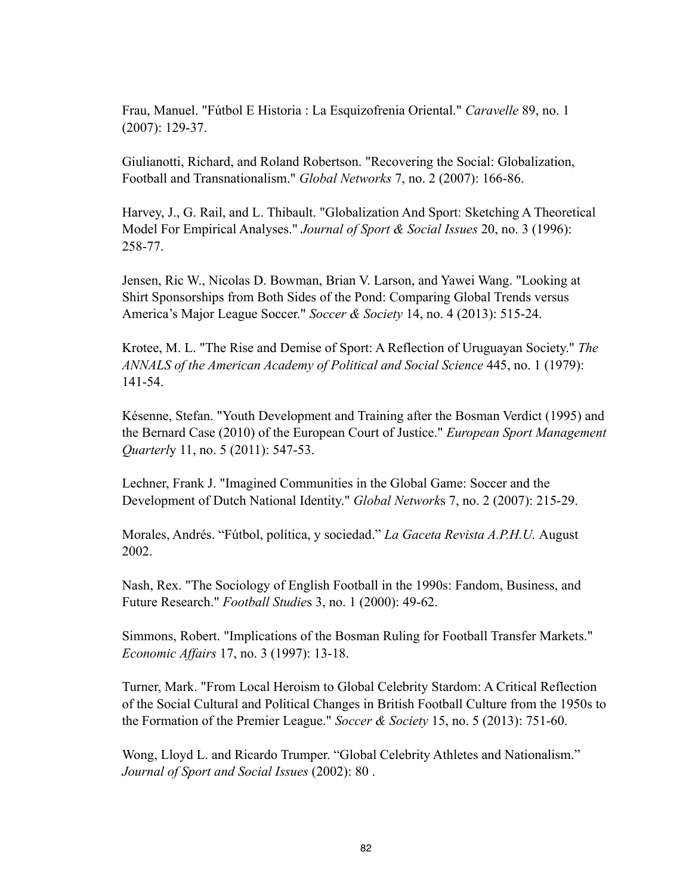Frau, Manuel. "Fútbol E Historia : La Esquizofrenia Oriental." *Caravelle* 89, no. 1 (2007): 129-37.

Giulianotti, Richard, and Roland Robertson. "Recovering the Social: Globalization, Football and Transnationalism." *Global Networks* 7, no. 2 (2007): 166-86.

Harvey, J., G. Rail, and L. Thibault. "Globalization And Sport: Sketching A Theoretical Model For Empirical Analyses." *Journal of Sport & Social Issues* 20, no. 3 (1996): 258-77.

Jensen, Ric W., Nicolas D. Bowman, Brian V. Larson, and Yawei Wang. "Looking at Shirt Sponsorships from Both Sides of the Pond: Comparing Global Trends versus America's Major League Soccer." *Soccer & Society* 14, no. 4 (2013): 515-24.

Krotee, M. L. "The Rise and Demise of Sport: A Reflection of Uruguayan Society." *The ANNALS of the American Academy of Political and Social Science* 445, no. 1 (1979): 141-54.

Késenne, Stefan. "Youth Development and Training after the Bosman Verdict (1995) and the Bernard Case (2010) of the European Court of Justice." *European Sport Management Quarterly* 11, no. 5 (2011): 547-53.

Lechner, Frank J. "Imagined Communities in the Global Game: Soccer and the Development of Dutch National Identity." *Global Network*s 7, no. 2 (2007): 215-29.

Morales, Andrés. "Fútbol, política, y sociedad." *La Gaceta Revista A.P.H.U.* August 2002.

Nash, Rex. "The Sociology of English Football in the 1990s: Fandom, Business, and Future Research." *Football Studie*s 3, no. 1 (2000): 49-62.

Simmons, Robert. "Implications of the Bosman Ruling for Football Transfer Markets." *Economic Affairs* 17, no. 3 (1997): 13-18.

Turner, Mark. "From Local Heroism to Global Celebrity Stardom: A Critical Reflection of the Social Cultural and Political Changes in British Football Culture from the 1950s to the Formation of the Premier League." *Soccer & Society* 15, no. 5 (2013): 751-60.

Wong, Lloyd L. and Ricardo Trumper. "Global Celebrity Athletes and Nationalism." *Journal of Sport and Social Issues* (2002): 80 .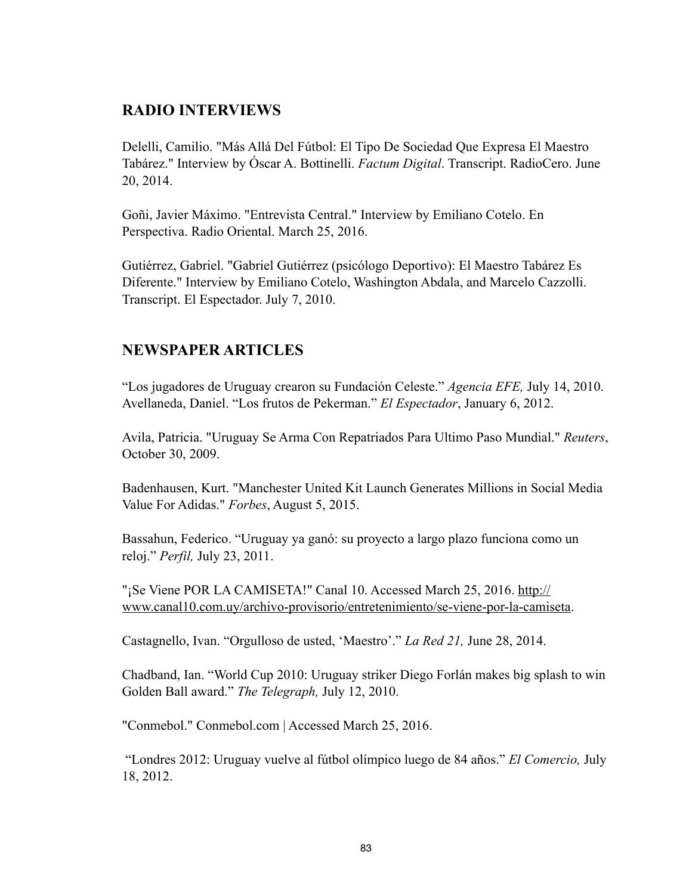#### **RADIO INTERVIEWS**

Delelli, Camilio. "Más Allá Del Fútbol: El Tipo De Sociedad Que Expresa El Maestro Tabárez." Interview by Óscar A. Bottinelli. *Factum Digital*. Transcript. RadioCero. June 20, 2014.

Goñi, Javier Máximo. "Entrevista Central." Interview by Emiliano Cotelo. En Perspectiva. Radio Oriental. March 25, 2016.

Gutiérrez, Gabriel. "Gabriel Gutiérrez (psicólogo Deportivo): El Maestro Tabárez Es Diferente." Interview by Emiliano Cotelo, Washington Abdala, and Marcelo Cazzolli. Transcript. El Espectador. July 7, 2010.

### **NEWSPAPER ARTICLES**

"Los jugadores de Uruguay crearon su Fundación Celeste." *Agencia EFE,* July 14, 2010. Avellaneda, Daniel. "Los frutos de Pekerman." *El Espectador*, January 6, 2012.

Avila, Patricia. "Uruguay Se Arma Con Repatriados Para Ultimo Paso Mundial." *Reuters*, October 30, 2009.

Badenhausen, Kurt. "Manchester United Kit Launch Generates Millions in Social Media Value For Adidas." *Forbes*, August 5, 2015.

Bassahun, Federico. "Uruguay ya ganó: su proyecto a largo plazo funciona como un reloj." *Perfil,* July 23, 2011.

"¡Se Viene POR LA CAMISETA!" Canal 10. Accessed March 25, 2016. http:// [www.canal10.com.uy/archivo-provisorio/entretenimiento/se-viene-por-la-camiseta](http://www.canal10.com.uy/archivo-provisorio/entretenimiento/se-viene-por-la-camiseta).

Castagnello, Ivan. "Orgulloso de usted, 'Maestro'." *La Red 21,* June 28, 2014.

Chadband, Ian. "World Cup 2010: Uruguay striker Diego Forlán makes big splash to win Golden Ball award." *The Telegraph,* July 12, 2010.

"Conmebol." Conmebol.com | Accessed March 25, 2016.

 "Londres 2012: Uruguay vuelve al fútbol olímpico luego de 84 años." *El Comercio,* July 18, 2012.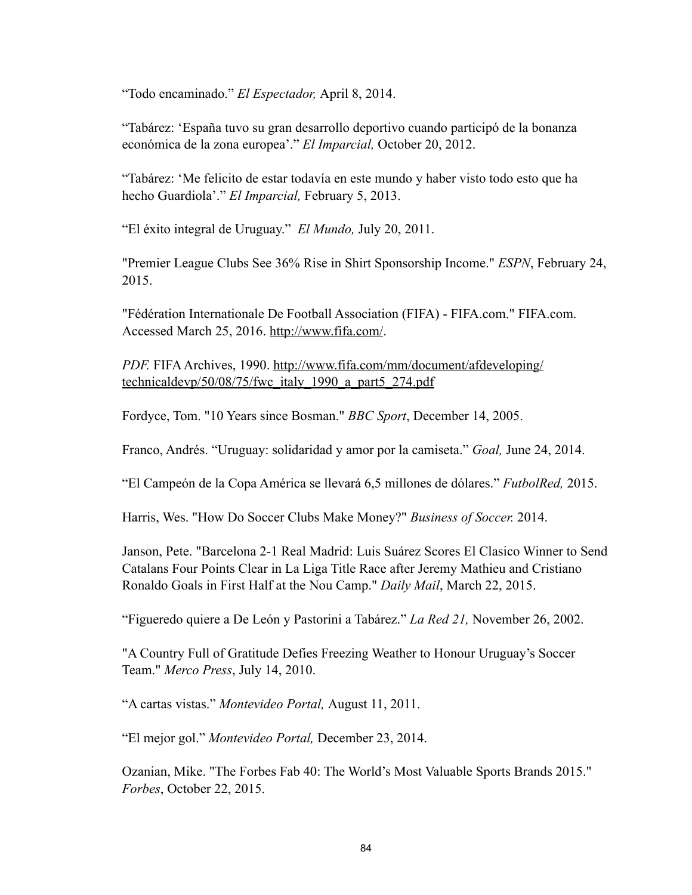"Todo encaminado." *El Espectador,* April 8, 2014.

"Tabárez: 'España tuvo su gran desarrollo deportivo cuando participó de la bonanza económica de la zona europea'." *El Imparcial,* October 20, 2012.

"Tabárez: 'Me felicito de estar todavía en este mundo y haber visto todo esto que ha hecho Guardiola'." *El Imparcial,* February 5, 2013.

"El éxito integral de Uruguay." *El Mundo,* July 20, 2011.

"Premier League Clubs See 36% Rise in Shirt Sponsorship Income." *ESPN*, February 24, 2015.

"Fédération Internationale De Football Association (FIFA) - FIFA.com." FIFA.com. Accessed March 25, 2016. <http://www.fifa.com/>.

*PDF.* [FIFA Archives, 1990. http://www.fifa.com/mm/document/afdeveloping/](http://www.fifa.com/mm/document/afdeveloping/technicaldevp/50/08/75/fwc_italy_1990_a_part5_274.pdf) technicaldevp/50/08/75/fwc\_italy\_1990\_a\_part5\_274.pdf

Fordyce, Tom. "10 Years since Bosman." *BBC Sport*, December 14, 2005.

Franco, Andrés. "Uruguay: solidaridad y amor por la camiseta." *Goal,* June 24, 2014.

"El Campeón de la Copa América se llevará 6,5 millones de dólares." *FutbolRed,* 2015.

Harris, Wes. "How Do Soccer Clubs Make Money?" *Business of Soccer.* 2014.

Janson, Pete. "Barcelona 2-1 Real Madrid: Luis Suárez Scores El Clasico Winner to Send Catalans Four Points Clear in La Liga Title Race after Jeremy Mathieu and Cristiano Ronaldo Goals in First Half at the Nou Camp." *Daily Mail*, March 22, 2015.

"Figueredo quiere a De León y Pastorini a Tabárez." *La Red 21,* November 26, 2002.

"A Country Full of Gratitude Defies Freezing Weather to Honour Uruguay's Soccer Team." *Merco Press*, July 14, 2010.

"A cartas vistas." *Montevideo Portal,* August 11, 2011.

"El mejor gol." *Montevideo Portal,* December 23, 2014.

Ozanian, Mike. "The Forbes Fab 40: The World's Most Valuable Sports Brands 2015." *Forbes*, October 22, 2015.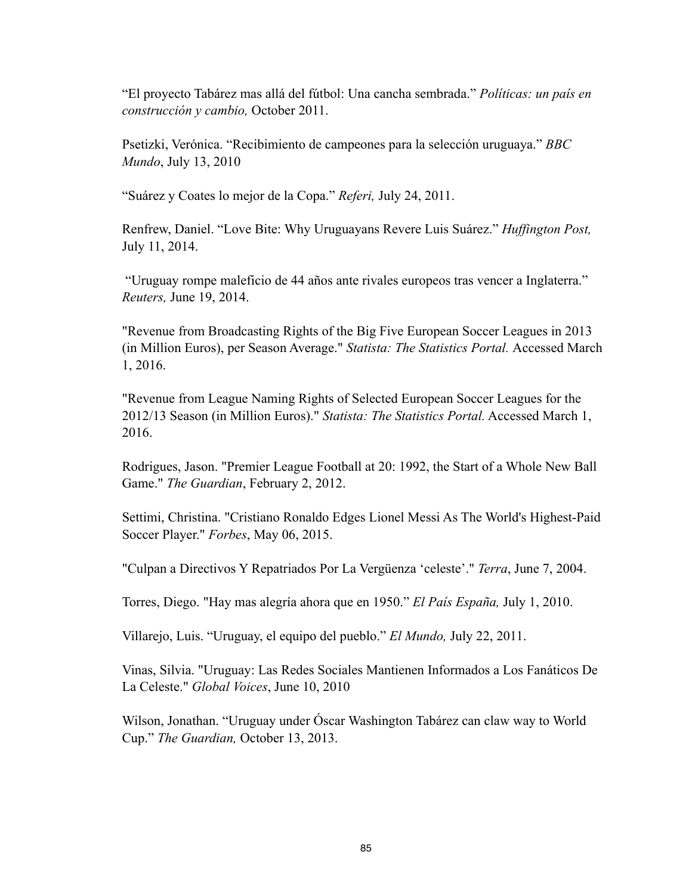"El proyecto Tabárez mas allá del fútbol: Una cancha sembrada." *Políticas: un país en construcción y cambio,* October 2011.

Psetizki, Verónica. "Recibimiento de campeones para la selección uruguaya." *BBC Mundo*, July 13, 2010

"Suárez y Coates lo mejor de la Copa." *Referi,* July 24, 2011.

Renfrew, Daniel. "Love Bite: Why Uruguayans Revere Luis Suárez." *Huffington Post,*  July 11, 2014.

 "Uruguay rompe maleficio de 44 años ante rivales europeos tras vencer a Inglaterra." *Reuters,* June 19, 2014.

"Revenue from Broadcasting Rights of the Big Five European Soccer Leagues in 2013 (in Million Euros), per Season Average." *Statista: The Statistics Portal.* Accessed March 1, 2016.

"Revenue from League Naming Rights of Selected European Soccer Leagues for the 2012/13 Season (in Million Euros)." *Statista: The Statistics Portal.* Accessed March 1, 2016.

Rodrigues, Jason. "Premier League Football at 20: 1992, the Start of a Whole New Ball Game." *The Guardian*, February 2, 2012.

Settimi, Christina. "Cristiano Ronaldo Edges Lionel Messi As The World's Highest-Paid Soccer Player." *Forbes*, May 06, 2015.

"Culpan a Directivos Y Repatriados Por La Vergüenza 'celeste'." *Terra*, June 7, 2004.

Torres, Diego. "Hay mas alegría ahora que en 1950." *El País España,* July 1, 2010.

Villarejo, Luis. "Uruguay, el equipo del pueblo." *El Mundo,* July 22, 2011.

Vinas, Silvia. "Uruguay: Las Redes Sociales Mantienen Informados a Los Fanáticos De La Celeste." *Global Voices*, June 10, 2010

Wilson, Jonathan. "Uruguay under Óscar Washington Tabárez can claw way to World Cup." *The Guardian,* October 13, 2013.